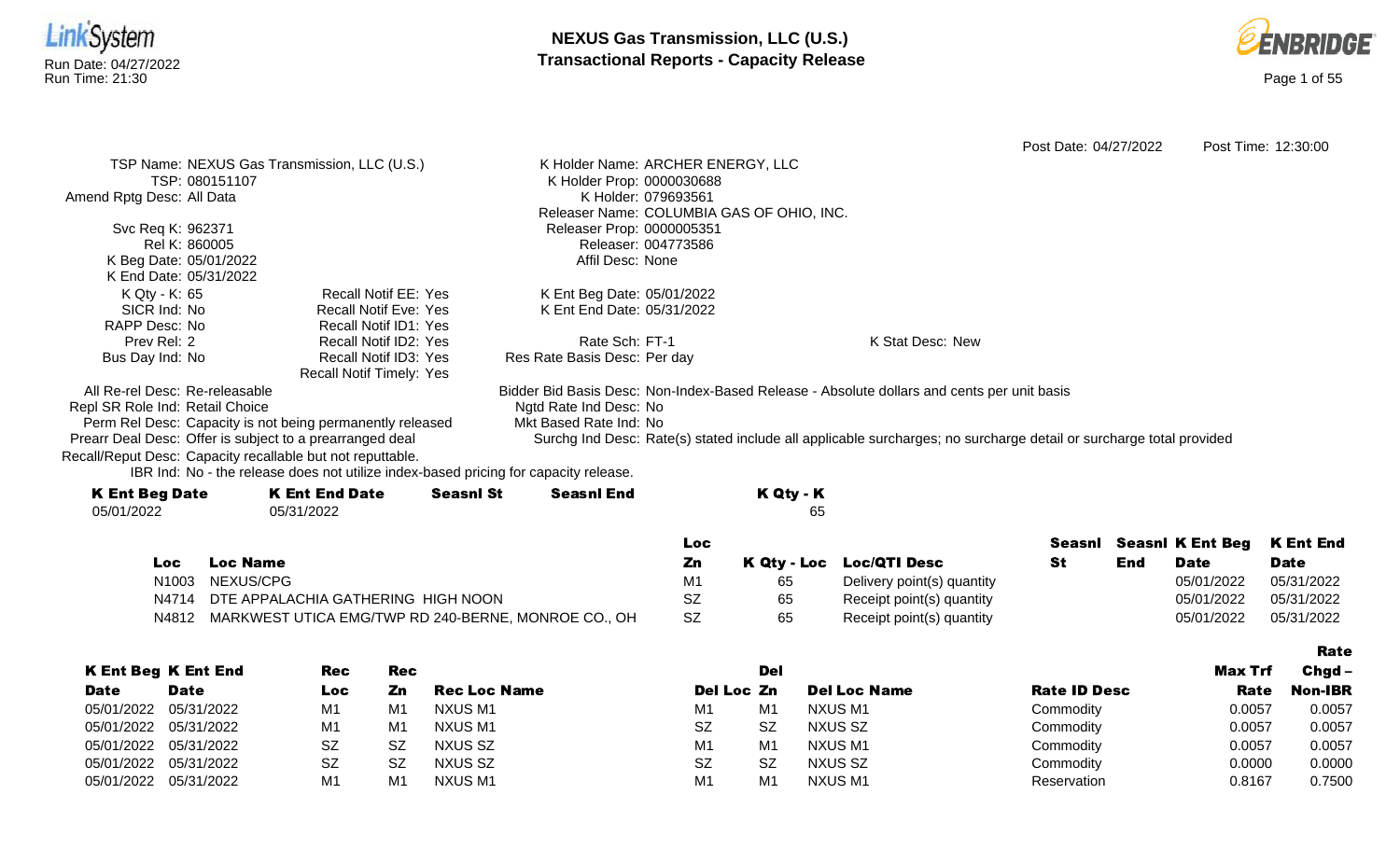



|                                                            |                                                                                      |                     |                                   |                     |                                           |                                                                                                                    | Post Date: 04/27/2022 |     |                         | Post Time: 12:30:00 |
|------------------------------------------------------------|--------------------------------------------------------------------------------------|---------------------|-----------------------------------|---------------------|-------------------------------------------|--------------------------------------------------------------------------------------------------------------------|-----------------------|-----|-------------------------|---------------------|
|                                                            | TSP Name: NEXUS Gas Transmission, LLC (U.S.)                                         |                     | K Holder Name: ARCHER ENERGY, LLC |                     |                                           |                                                                                                                    |                       |     |                         |                     |
| TSP: 080151107                                             |                                                                                      |                     | K Holder Prop: 0000030688         |                     |                                           |                                                                                                                    |                       |     |                         |                     |
| Amend Rptg Desc: All Data                                  |                                                                                      |                     |                                   | K Holder: 079693561 |                                           |                                                                                                                    |                       |     |                         |                     |
|                                                            |                                                                                      |                     |                                   |                     | Releaser Name: COLUMBIA GAS OF OHIO, INC. |                                                                                                                    |                       |     |                         |                     |
| Svc Req K: 962371                                          |                                                                                      |                     | Releaser Prop: 0000005351         |                     |                                           |                                                                                                                    |                       |     |                         |                     |
| Rel K: 860005                                              |                                                                                      |                     |                                   | Releaser: 004773586 |                                           |                                                                                                                    |                       |     |                         |                     |
| K Beg Date: 05/01/2022                                     |                                                                                      |                     | Affil Desc: None                  |                     |                                           |                                                                                                                    |                       |     |                         |                     |
| K End Date: 05/31/2022                                     |                                                                                      |                     |                                   |                     |                                           |                                                                                                                    |                       |     |                         |                     |
| K Qty - K: 65                                              | <b>Recall Notif EE: Yes</b>                                                          |                     | K Ent Beg Date: 05/01/2022        |                     |                                           |                                                                                                                    |                       |     |                         |                     |
| SICR Ind: No                                               | <b>Recall Notif Eve: Yes</b>                                                         |                     | K Ent End Date: 05/31/2022        |                     |                                           |                                                                                                                    |                       |     |                         |                     |
| RAPP Desc: No                                              | <b>Recall Notif ID1: Yes</b>                                                         |                     |                                   |                     |                                           |                                                                                                                    |                       |     |                         |                     |
| Prev Rel: 2                                                | Recall Notif ID2: Yes                                                                |                     | Rate Sch: FT-1                    |                     |                                           | K Stat Desc: New                                                                                                   |                       |     |                         |                     |
| Bus Day Ind: No                                            | Recall Notif ID3: Yes<br>Recall Notif Timely: Yes                                    |                     | Res Rate Basis Desc: Per day      |                     |                                           |                                                                                                                    |                       |     |                         |                     |
| All Re-rel Desc: Re-releasable                             |                                                                                      |                     |                                   |                     |                                           | Bidder Bid Basis Desc: Non-Index-Based Release - Absolute dollars and cents per unit basis                         |                       |     |                         |                     |
| Repl SR Role Ind: Retail Choice                            |                                                                                      |                     | Ngtd Rate Ind Desc: No            |                     |                                           |                                                                                                                    |                       |     |                         |                     |
| Perm Rel Desc: Capacity is not being permanently released  |                                                                                      |                     | Mkt Based Rate Ind: No            |                     |                                           |                                                                                                                    |                       |     |                         |                     |
| Prearr Deal Desc: Offer is subject to a prearranged deal   |                                                                                      |                     |                                   |                     |                                           | Surchg Ind Desc: Rate(s) stated include all applicable surcharges; no surcharge detail or surcharge total provided |                       |     |                         |                     |
| Recall/Reput Desc: Capacity recallable but not reputtable. | IBR Ind: No - the release does not utilize index-based pricing for capacity release. |                     |                                   |                     |                                           |                                                                                                                    |                       |     |                         |                     |
| <b>K Ent Beg Date</b>                                      | <b>K Ent End Date</b>                                                                | <b>Seasnl St</b>    | <b>Seasnl End</b>                 |                     | K Qty - K                                 |                                                                                                                    |                       |     |                         |                     |
| 05/01/2022                                                 | 05/31/2022                                                                           |                     |                                   |                     | 65                                        |                                                                                                                    |                       |     |                         |                     |
|                                                            |                                                                                      |                     |                                   | Loc                 |                                           |                                                                                                                    | Seasnl                |     | <b>Seasnl K Ent Beg</b> | <b>K</b> Ent End    |
| <b>Loc Name</b><br><b>Loc</b>                              |                                                                                      |                     |                                   | Zn                  | <b>K Qty - Loc</b>                        | <b>Loc/QTI Desc</b>                                                                                                | <b>St</b>             | End | <b>Date</b>             | <b>Date</b>         |
| NEXUS/CPG<br>N1003                                         |                                                                                      |                     |                                   | M1                  | 65                                        | Delivery point(s) quantity                                                                                         |                       |     | 05/01/2022              | 05/31/2022          |
| N4714                                                      | DTE APPALACHIA GATHERING HIGH NOON                                                   |                     |                                   | <b>SZ</b>           | 65                                        | Receipt point(s) quantity                                                                                          |                       |     | 05/01/2022              | 05/31/2022          |
| N4812                                                      | MARKWEST UTICA EMG/TWP RD 240-BERNE, MONROE CO., OH                                  |                     |                                   | <b>SZ</b>           | 65                                        | Receipt point(s) quantity                                                                                          |                       |     | 05/01/2022              | 05/31/2022          |
|                                                            |                                                                                      |                     |                                   |                     |                                           |                                                                                                                    |                       |     |                         |                     |
|                                                            |                                                                                      |                     |                                   |                     |                                           |                                                                                                                    |                       |     |                         | <b>Rate</b>         |
| <b>K Ent Beg K Ent End</b>                                 | <b>Rec</b><br>Rec                                                                    |                     |                                   |                     | <b>Del</b>                                |                                                                                                                    |                       |     | Max Trf                 | Chgd-               |
| <b>Date</b><br><b>Date</b>                                 | Zn<br><b>Loc</b>                                                                     | <b>Rec Loc Name</b> |                                   |                     | Del Loc Zn                                | <b>Del Loc Name</b>                                                                                                | <b>Rate ID Desc</b>   |     | Rate                    | <b>Non-IBR</b>      |

05/01/2022 05/31/2022 M1 M1 NXUS M1 M M1 M1 M1 NXUS M1 Commodity 0.0057 0.0057 05/01/2022 05/31/2022 M1 M1 NXUS M1 SZ SZ SZ NXUS SZ Commodity 0.0057 0.0057 05/01/2022 05/31/2022 SZ SZ NXUS SZ NXUS SZ MXUS M1 M1 NXUS M1 SZ Commodity 0.0057 0.0057 05/01/2022 05/31/2022 SZ SZ NXUS SZ SZ SZ SZ NXUS SZ Commodity 0.0000 0.0000 05/01/2022 05/31/2022 M1 M1 NXUS M1 M M1 M1 M1 M1 NXUS M1 Seservation 0.8167 0.7500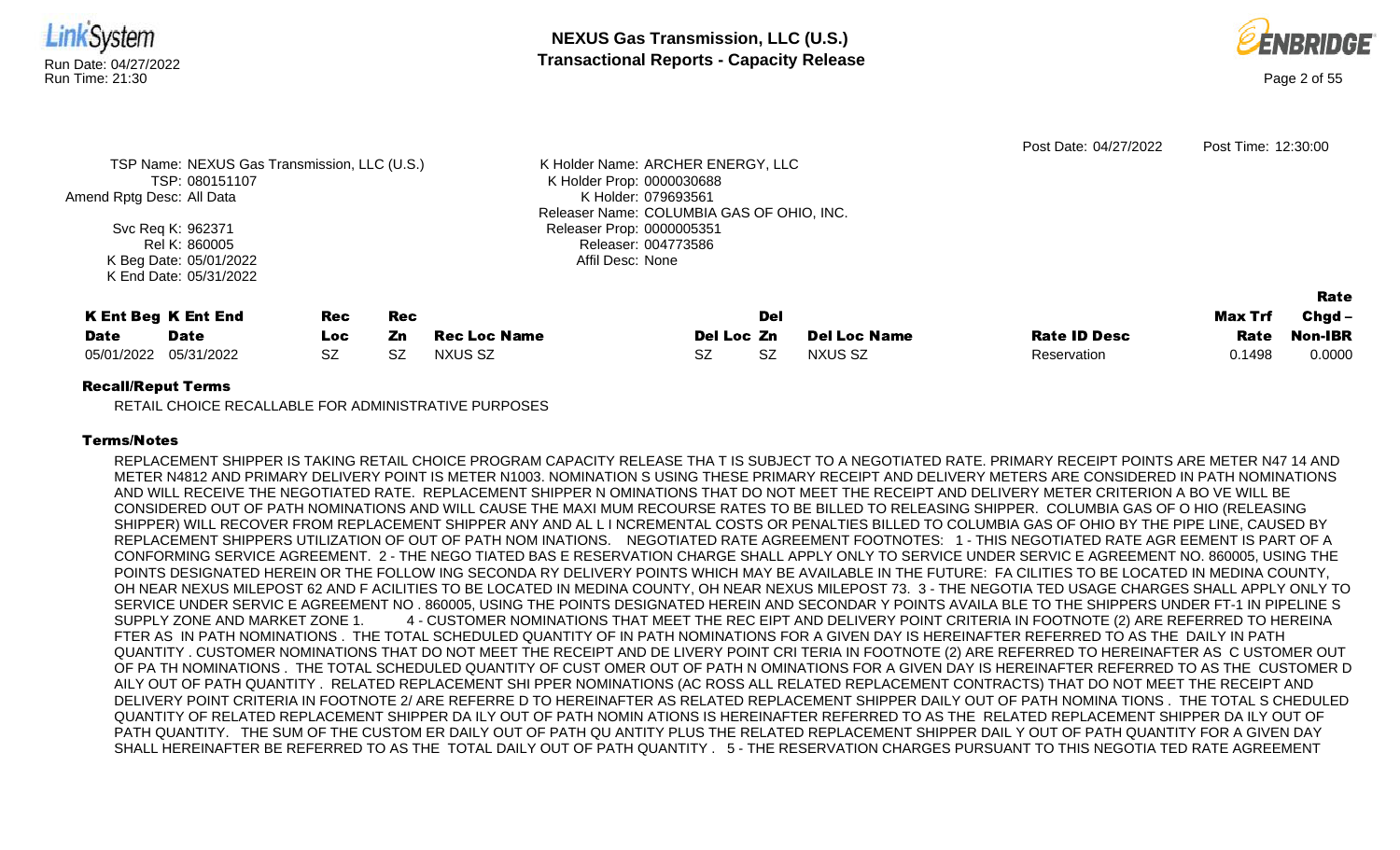



|                           |                                              |           |           |                     |                                           |           |                     | Post Date: 04/27/2022 | Post Time: 12:30:00 |                |
|---------------------------|----------------------------------------------|-----------|-----------|---------------------|-------------------------------------------|-----------|---------------------|-----------------------|---------------------|----------------|
|                           | TSP Name: NEXUS Gas Transmission, LLC (U.S.) |           |           |                     | K Holder Name: ARCHER ENERGY, LLC         |           |                     |                       |                     |                |
|                           | TSP: 080151107                               |           |           |                     | K Holder Prop: 0000030688                 |           |                     |                       |                     |                |
| Amend Rptg Desc: All Data |                                              |           |           |                     | K Holder: 079693561                       |           |                     |                       |                     |                |
|                           |                                              |           |           |                     | Releaser Name: COLUMBIA GAS OF OHIO, INC. |           |                     |                       |                     |                |
|                           | Svc Req K: 962371                            |           |           |                     | Releaser Prop: 0000005351                 |           |                     |                       |                     |                |
|                           | Rel K: 860005                                |           |           |                     | Releaser: 004773586                       |           |                     |                       |                     |                |
|                           | K Beg Date: 05/01/2022                       |           |           |                     | Affil Desc: None                          |           |                     |                       |                     |                |
|                           | K End Date: 05/31/2022                       |           |           |                     |                                           |           |                     |                       |                     |                |
|                           |                                              |           |           |                     |                                           |           |                     |                       |                     | Rate           |
|                           | <b>K Ent Beg K Ent End</b>                   | Rec       | Rec       |                     |                                           | Del       |                     |                       | Max Trf             | $Chgd -$       |
| <b>Date</b>               | <b>Date</b>                                  | Loc       | Zn        | <b>Rec Loc Name</b> | Del Loc Zn                                |           | <b>Del Loc Name</b> | <b>Rate ID Desc</b>   | Rate                | <b>Non-IBR</b> |
| 05/01/2022                | 05/31/2022                                   | <b>SZ</b> | <b>SZ</b> | NXUS SZ             | <b>SZ</b>                                 | <b>SZ</b> | NXUS SZ             | Reservation           | 0.1498              | 0.0000         |
|                           |                                              |           |           |                     |                                           |           |                     |                       |                     |                |

RETAIL CHOICE RECALLABLE FOR ADMINISTRATIVE PURPOSES

## Terms/Notes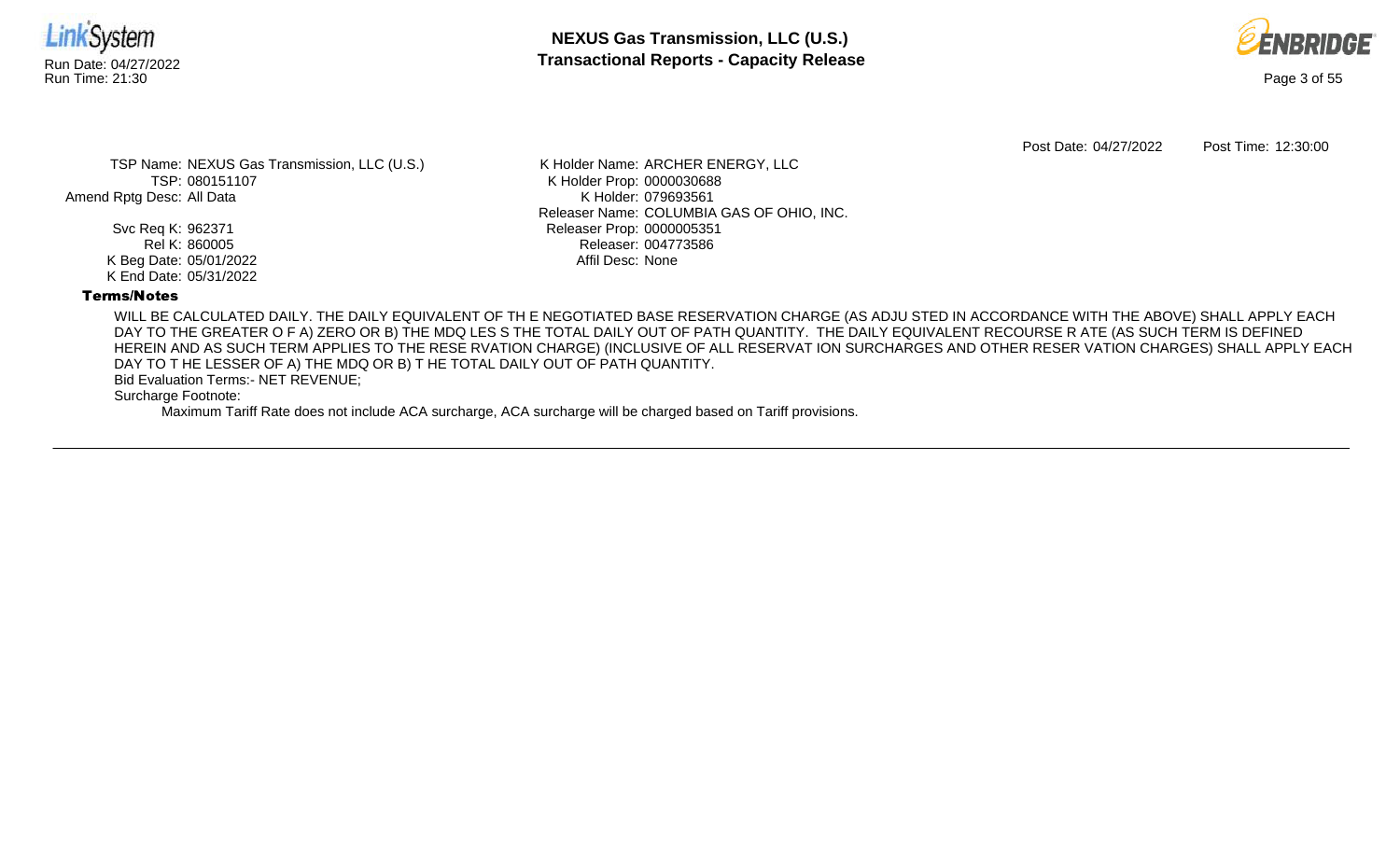



Post Date: 04/27/2022 Post Time: 12:30:00

TSP Name: NEXUS Gas Transmission, LLC (U.S.) TSP: 080151107 Amend Rptg Desc: All Data

> Svc Req K: 962371 Rel K: 860005 K Beg Date: 05/01/2022 K End Date: 05/31/2022

K Holder Name: ARCHER ENERGY, LLC K Holder Prop: 0000030688 K Holder: 079693561 Releaser Name: COLUMBIA GAS OF OHIO, INC. Releaser Prop: 0000005351 Releaser: 004773586 Affil Desc: None

## Terms/Notes

WILL BE CALCULATED DAILY. THE DAILY EQUIVALENT OF TH E NEGOTIATED BASE RESERVATION CHARGE (AS ADJU STED IN ACCORDANCE WITH THE ABOVE) SHALL APPLY EACH DAY TO THE GREATER O F A) ZERO OR B) THE MDQ LES S THE TOTAL DAILY OUT OF PATH QUANTITY. THE DAILY EQUIVALENT RECOURSE R ATE (AS SUCH TERM IS DEFINED HEREIN AND AS SUCH TERM APPLIES TO THE RESE RVATION CHARGE) (INCLUSIVE OF ALL RESERVAT ION SURCHARGES AND OTHER RESER VATION CHARGES) SHALL APPLY EACH DAY TO T HE LESSER OF A) THE MDQ OR B) T HE TOTAL DAILY OUT OF PATH QUANTITY.

Bid Evaluation Terms:- NET REVENUE;

Surcharge Footnote: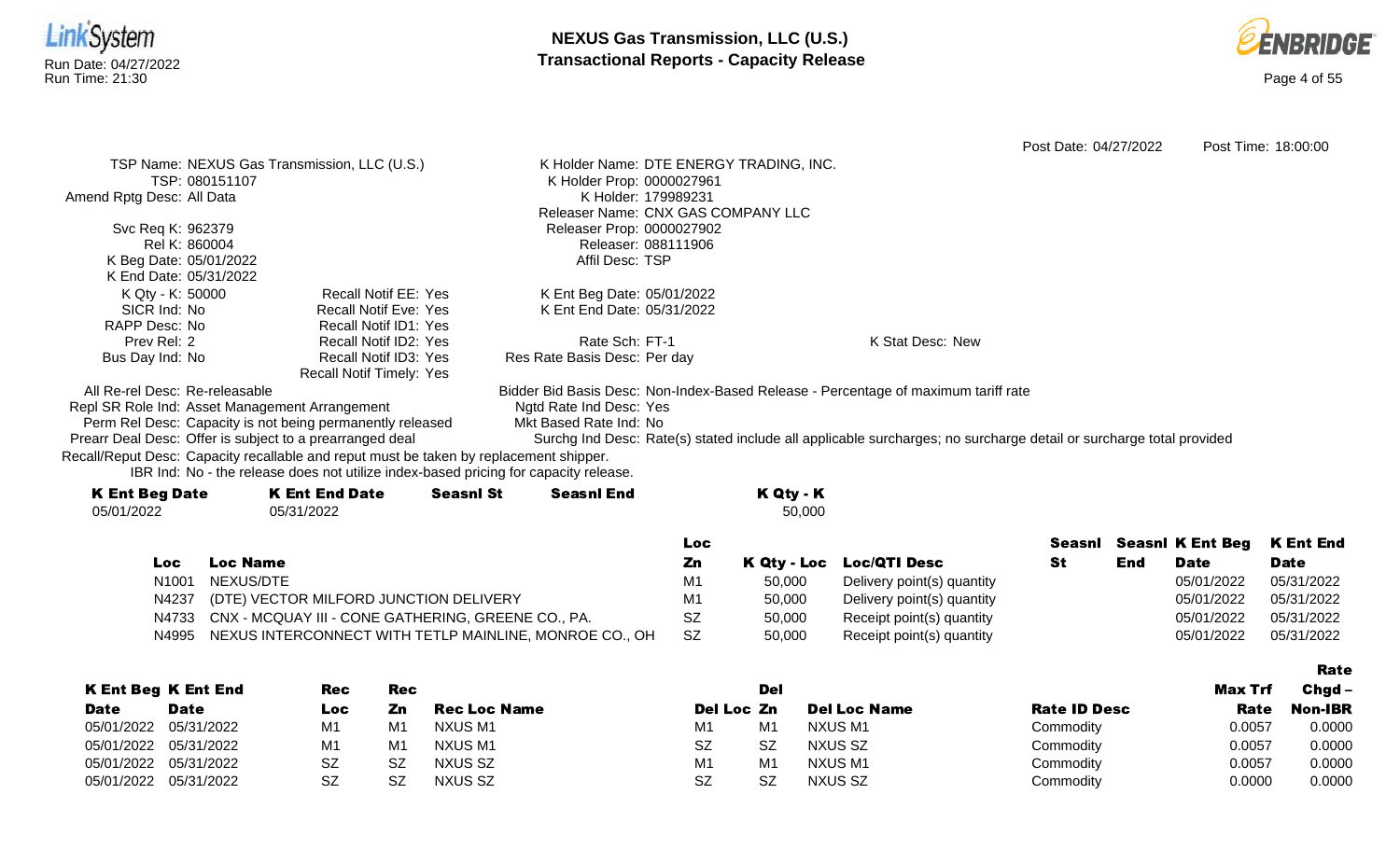



Post Date: 04/27/2022 Post Time: 18:00:00 TSP Name: NEXUS Gas Transmission, LLC (U.S.) TSP: 080151107 Amend Rptg Desc: All Data Svc Req K: 962379 Rel K: 860004 K Beg Date: 05/01/2022 K End Date: 05/31/2022 K Holder Name: DTE ENERGY TRADING, INC. K Holder Prop: 0000027961 K Holder: 179989231 Releaser Name: CNX GAS COMPANY LLC Releaser Prop: 0000027902 Releaser: 088111906 Affil Desc: TSP K Qty - K: 50000 SICR Ind: No RAPP Desc: No Prev Rel: 2 Bus Day Ind: No Recall Notif EE: Yes Recall Notif Eve: Yes Recall Notif ID1: Yes Recall Notif ID2: Yes Recall Notif ID3: Yes Recall Notif Timely: Yes K Ent Beg Date: 05/01/2022 K Ent End Date: 05/31/2022 Rate Sch: FT-1 Res Rate Basis Desc: Per day K Stat Desc: New All Re-rel Desc: Re-releasable Repl SR Role Ind: Asset Management Arrangement Bidder Bid Basis Desc: Non-Index-Based Release - Percentage of maximum tariff rate Ngtd Rate Ind Desc: Yes

Perm Rel Desc: Capacity is not being permanently released Prearr Deal Desc: Offer is subject to a prearranged deal

Mkt Based Rate Ind: No

Surchg Ind Desc: Rate(s) stated include all applicable surcharges; no surcharge detail or surcharge total provided

Recall/Reput Desc: Capacity recallable and reput must be taken by replacement shipper.

IBR Ind: No - the release does not utilize index-based pricing for capacity release.

| <b>K Ent Beg Date</b> | <b>K Ent End Date</b> | <b>Seasnl St</b> | <b>Seasnl End</b> |     | K Qty - K |                          |
|-----------------------|-----------------------|------------------|-------------------|-----|-----------|--------------------------|
| 05/01/2022            | 05/31/2022            |                  |                   |     | 50,000    |                          |
|                       |                       |                  |                   | Loc |           |                          |
| Loc.                  | Loc Name              |                  |                   | Zn  |           | K Qty - Loc Loc/QTI Desc |

| LOC               | Loc name                                               |    |        | <b>N GIA - FOC FOCATI DESC</b> | 141 L 9 | Date       | Date       |
|-------------------|--------------------------------------------------------|----|--------|--------------------------------|---------|------------|------------|
| N <sub>1001</sub> | NEXUS/DTE                                              | M1 | 50.000 | Delivery point(s) quantity     |         | 05/01/2022 | 05/31/2022 |
| N4237             | (DTE) VECTOR MILFORD JUNCTION DELIVERY                 | M1 | 50.000 | Delivery point(s) quantity     |         | 05/01/2022 | 05/31/2022 |
| N4733             | CNX - MCQUAY III - CONE GATHERING, GREENE CO., PA.     |    | 50,000 | Receipt point(s) quantity      |         | 05/01/2022 | 05/31/2022 |
| N4995             | NEXUS INTERCONNECT WITH TETLP MAINLINE, MONROE CO., OH |    | 50,000 | Receipt point(s) quantity      |         | 05/01/2022 | 05/31/2022 |

|             |                            |           |     |                |                |           |                     |                     |                | ------         |
|-------------|----------------------------|-----------|-----|----------------|----------------|-----------|---------------------|---------------------|----------------|----------------|
|             | <b>K Ent Beg K Ent End</b> | Rec       | Rec |                |                | Del       |                     |                     | <b>Max Trf</b> | $Chgd -$       |
| <b>Date</b> | <b>Date</b>                | Loc       | Zn  | Rec Loc Name   | Del Loc Zn     |           | <b>Del Loc Name</b> | <b>Rate ID Desc</b> | Rate           | <b>Non-IBR</b> |
| 05/01/2022  | 05/31/2022                 | M1        | M1  | NXUS M1        | M <sup>1</sup> | M1        | NXUS M1             | Commodity           | 0.0057         | 0.0000         |
|             | 05/01/2022 05/31/2022      | M1        | M   | NXUS M1        | <b>SZ</b>      | <b>SZ</b> | NXUS SZ             | Commodity           | 0.0057         | 0.0000         |
| 05/01/2022  | 05/31/2022                 | <b>SZ</b> | SZ  | NXUS SZ        | M1             | M1        | NXUS M1             | Commodity           | 0.0057         | 0.0000         |
|             | 05/01/2022 05/31/2022      | SZ        | 87  | <b>NXUS SZ</b> | SZ             | SZ        | NXUS SZ             | Commodity           | 0.0000         | 0.0000         |

## Rate

K Ent End Date

Seasnl Seasnl K Ent Beg

Date

**End** 

St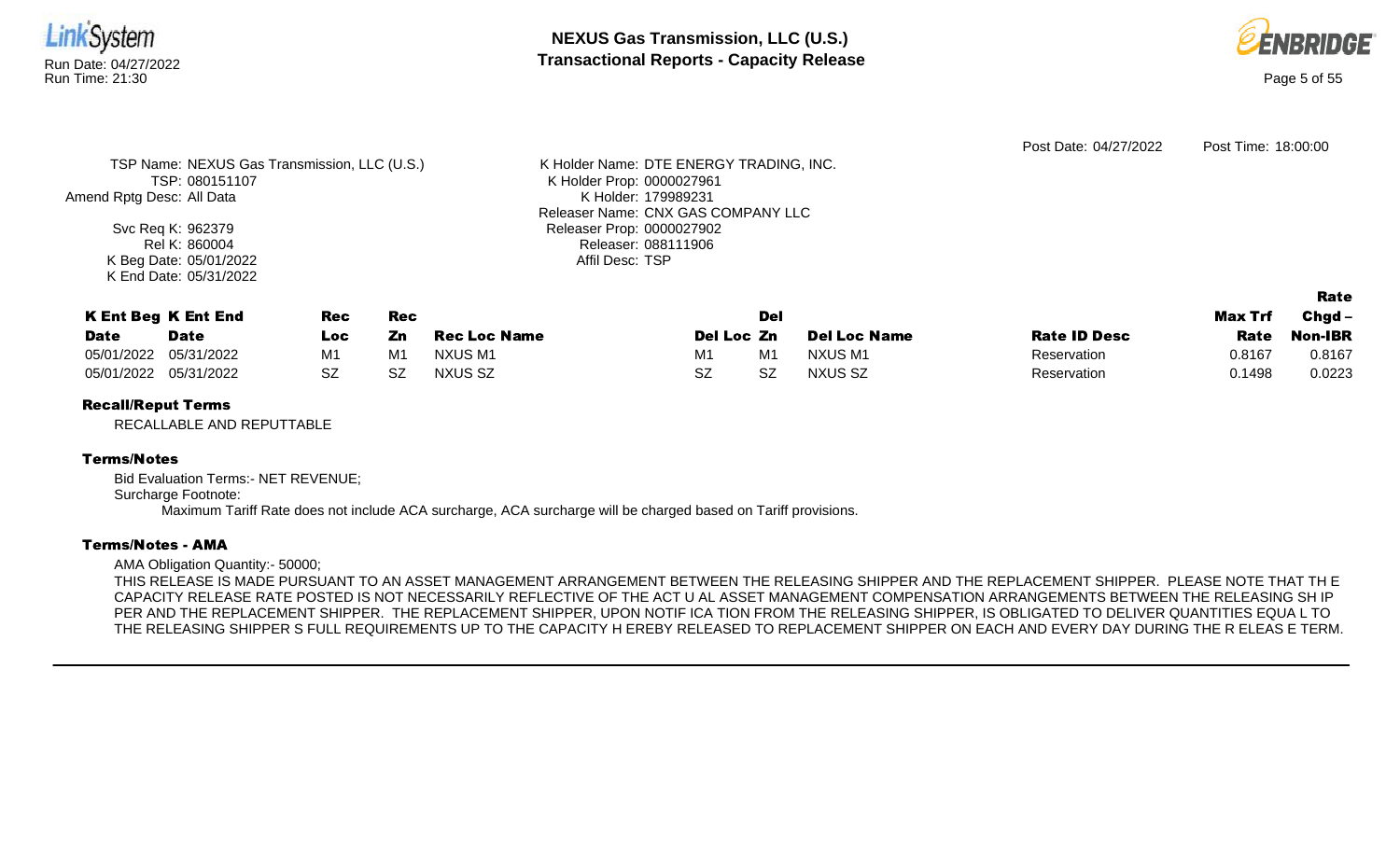



Rate

|                                              |                                         | Post Date: 04/27/2022 | Post Time: 18:00:00 |
|----------------------------------------------|-----------------------------------------|-----------------------|---------------------|
| TSP Name: NEXUS Gas Transmission, LLC (U.S.) | K Holder Name: DTE ENERGY TRADING, INC. |                       |                     |
| TSP: 080151107                               | K Holder Prop: 0000027961               |                       |                     |
| Amend Rptg Desc: All Data                    | K Holder: 179989231                     |                       |                     |
|                                              | Releaser Name: CNX GAS COMPANY LLC      |                       |                     |
| Svc Req K: 962379                            | Releaser Prop: 0000027902               |                       |                     |
| Rel K: 860004                                | Releaser: 088111906                     |                       |                     |
| K Beg Date: 05/01/2022                       | Affil Desc: TSP                         |                       |                     |
| K End Date: 05/31/2022                       |                                         |                       |                     |

|                       | <b>K Ent Beg K Ent End</b> | Rec  | Rec |                     |            | Del |                     |                     | <b>Max Trf</b> | $Chgd -$ |
|-----------------------|----------------------------|------|-----|---------------------|------------|-----|---------------------|---------------------|----------------|----------|
| <b>Date</b>           | Date                       | LOC. | Zn  | <b>Rec Loc Name</b> | Del Loc Zn |     | <b>Del Loc Name</b> | <b>Rate ID Desc</b> | Rate           | Non-IBR  |
| 05/01/2022 05/31/2022 |                            | M1   | M1  | NXUS M1             | M1         | M1  | NXUS M1             | Reservation         | 0.8167         | 0.8167   |
| 05/01/2022 05/31/2022 |                            | .SZ  | SZ  | <b>NXUS SZ</b>      | SZ         | SZ  | NXUS SZ             | Reservation         | 0.1498         | 0.0223   |

# Recall/Reput Terms

RECALLABLE AND REPUTTABLE

## Terms/Notes

Bid Evaluation Terms:- NET REVENUE; Surcharge Footnote: Maximum Tariff Rate does not include ACA surcharge, ACA surcharge will be charged based on Tariff provisions.

#### Terms/Notes - AMA

AMA Obligation Quantity:- 50000;

THIS RELEASE IS MADE PURSUANT TO AN ASSET MANAGEMENT ARRANGEMENT BETWEEN THE RELEASING SHIPPER AND THE REPLACEMENT SHIPPER. PLEASE NOTE THAT TH E CAPACITY RELEASE RATE POSTED IS NOT NECESSARILY REFLECTIVE OF THE ACT U AL ASSET MANAGEMENT COMPENSATION ARRANGEMENTS BETWEEN THE RELEASING SH IP PER AND THE REPLACEMENT SHIPPER. THE REPLACEMENT SHIPPER, UPON NOTIF ICA TION FROM THE RELEASING SHIPPER, IS OBLIGATED TO DELIVER QUANTITIES EQUA L TO THE RELEASING SHIPPER S FULL REQUIREMENTS UP TO THE CAPACITY H EREBY RELEASED TO REPLACEMENT SHIPPER ON EACH AND EVERY DAY DURING THE R ELEAS E TERM.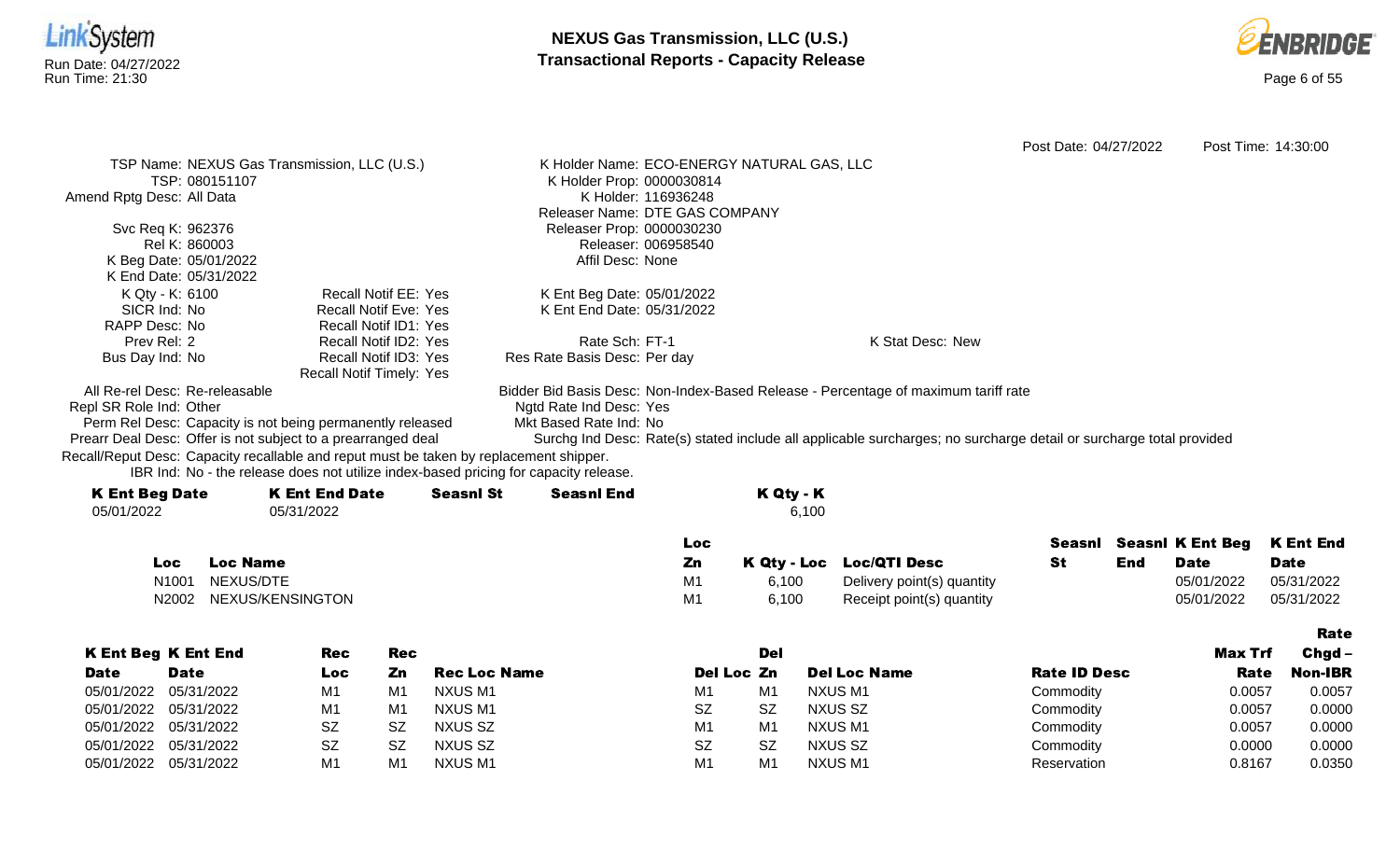



Rate

Post Date: 04/27/2022 Post Time: 14:30:00 K Holder Name: ECO-ENERGY NATURAL GAS, LLC K Holder Prop: 0000030814 K Holder: 116936248 Releaser Name: DTE GAS COMPANY Releaser Prop: 0000030230 Releaser: 006958540 Affil Desc: None Recall Notif EE: Yes Recall Notif Eve: Yes Recall Notif ID1: Yes K Ent Beg Date: 05/01/2022 K Ent End Date: 05/31/2022

> Rate Sch: FT-1 Res Rate Basis Desc: Per day

K Stat Desc: New

All Re-rel Desc: Re-releasable

Repl SR Role Ind: Other

Amend Rptg Desc: All Data

Svc Req K: 962376 Rel K: 860003 K Beg Date: 05/01/2022 K End Date: 05/31/2022

K Qty - K: 6100 SICR Ind: No RAPP Desc: No Prev Rel: 2 Bus Day Ind: No

Perm Rel Desc: Capacity is not being permanently released

TSP Name: NEXUS Gas Transmission, LLC (U.S.)

TSP: 080151107

Ngtd Rate Ind Desc: Yes Mkt Based Rate Ind: No

Prearr Deal Desc: Offer is not subject to a prearranged deal Surchg Ind Desc: Rate(s) stated include all applicable surcharges; no surcharge detail or surcharge total provided Recall/Reput Desc: Capacity recallable and reput must be taken by replacement shipper.

IBR Ind: No - the release does not utilize index-based pricing for capacity release.

Recall Notif ID2: Yes Recall Notif ID3: Yes Recall Notif Timely: Yes

| <b>K Ent Beg Date</b> | <b>K Ent End Date</b> | <b>Seasnl St</b> | <b>Seasnl End</b> | K Qty - K |
|-----------------------|-----------------------|------------------|-------------------|-----------|
| 05/01/2022            | 05/31/2022            |                  |                   | 6,100     |
|                       |                       |                  |                   |           |

|       |                  | <b>LOC</b> |       |                            |     | Seasni Seasni K Ent Beg K Ent End |             |
|-------|------------------|------------|-------|----------------------------|-----|-----------------------------------|-------------|
| Loc.  | <b>Loc Name</b>  | Zn         |       | K Qty - Loc Loc/QTI Desc   | End | <b>Date</b>                       | <b>Date</b> |
| N1001 | NEXUS/DTE        | M1         | 6.100 | Delivery point(s) quantity |     | 05/01/2022                        | 05/31/2022  |
| N2002 | NEXUS/KENSINGTON | M1         | 6.100 | Receipt point(s) quantity  |     | 05/01/2022                        | 05/31/2022  |

Bidder Bid Basis Desc: Non-Index-Based Release - Percentage of maximum tariff rate

|             |                            |           |                |                     |                |     |                     |                     |         | ------         |
|-------------|----------------------------|-----------|----------------|---------------------|----------------|-----|---------------------|---------------------|---------|----------------|
|             | <b>K Ent Beg K Ent End</b> | Rec       | Rec            |                     |                | Del |                     |                     | Max Trf | $Chgd -$       |
| <b>Date</b> | <b>Date</b>                | Loc       | Zn             | <b>Rec Loc Name</b> | Del Loc Zn     |     | <b>Del Loc Name</b> | <b>Rate ID Desc</b> | Rate    | <b>Non-IBR</b> |
|             | 05/01/2022 05/31/2022      | M1        | M1             | NXUS M1             | M1             | M1  | NXUS M1             | Commodity           | 0.0057  | 0.0057         |
|             | 05/01/2022 05/31/2022      | M1        | M <sub>1</sub> | NXUS M1             | <b>SZ</b>      | SZ  | NXUS SZ             | Commodity           | 0.0057  | 0.0000         |
|             | 05/01/2022 05/31/2022      | <b>SZ</b> | <b>SZ</b>      | NXUS SZ             | M1             | M1  | NXUS M1             | Commodity           | 0.0057  | 0.0000         |
|             | 05/01/2022 05/31/2022      | <b>SZ</b> | <b>SZ</b>      | <b>NXUS SZ</b>      | <b>SZ</b>      | SZ  | NXUS SZ             | Commodity           | 0.0000  | 0.0000         |
|             | 05/01/2022 05/31/2022      | M1        | M <sub>1</sub> | NXUS M1             | M <sub>1</sub> | M1  | NXUS M1             | Reservation         | 0.8167  | 0.0350         |
|             |                            |           |                |                     |                |     |                     |                     |         |                |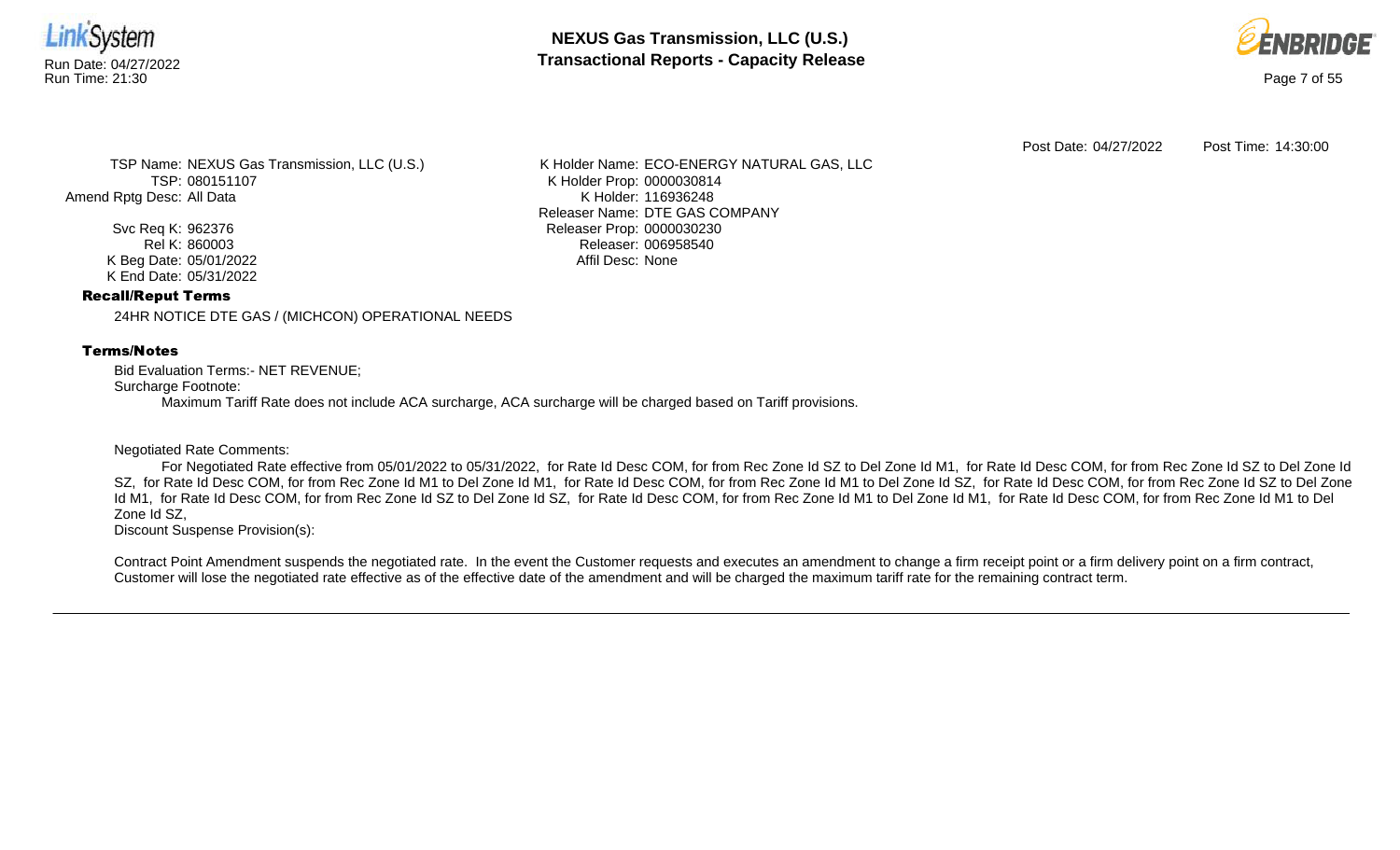

**NEXUS Gas Transmission, LLC (U.S.)** Run Date: 04/27/2022<br>Run Time: 21:30<br>Run Time: 21:30



Post Date: 04/27/2022 Post Time: 14:30:00

TSP Name: NEXUS Gas Transmission, LLC (U.S.) TSP: 080151107 Amend Rptg Desc: All Data

> Svc Req K: 962376 Rel K: 860003 K Beg Date: 05/01/2022 K End Date: 05/31/2022

K Holder Name: ECO-ENERGY NATURAL GAS, LLC K Holder Prop: 0000030814 K Holder: 116936248 Releaser Name: DTE GAS COMPANY Releaser Prop: 0000030230 Releaser: 006958540 Affil Desc: None

## Recall/Reput Terms

24HR NOTICE DTE GAS / (MICHCON) OPERATIONAL NEEDS

## Terms/Notes

Bid Evaluation Terms:- NET REVENUE; Surcharge Footnote: Maximum Tariff Rate does not include ACA surcharge, ACA surcharge will be charged based on Tariff provisions.

## Negotiated Rate Comments:

For Negotiated Rate effective from 05/01/2022 to 05/31/2022, for Rate Id Desc COM, for from Rec Zone Id SZ to Del Zone Id M1, for Rate Id Desc COM, for from Rec Zone Id SZ to Del Zone Id SZ, for Rate Id Desc COM, for from Rec Zone Id M1 to Del Zone Id M1, for Rate Id Desc COM, for from Rec Zone Id SO id Desc COM, for from Rec Zone Id SZ to Del Zone Id M1, for Rate Id Desc COM, for from Rec Zone Id SZ to Del Zone Id SZ, for Rate Id Desc COM, for from Rec Zone Id M1 to Del Zone Id M1, for Rate Id Desc COM, for from Rec Zone Id M1 to Del Zone Id SZ,

Discount Suspense Provision(s):

Contract Point Amendment suspends the negotiated rate. In the event the Customer requests and executes an amendment to change a firm receipt point or a firm delivery point on a firm contract, Customer will lose the negotiated rate effective as of the effective date of the amendment and will be charged the maximum tariff rate for the remaining contract term.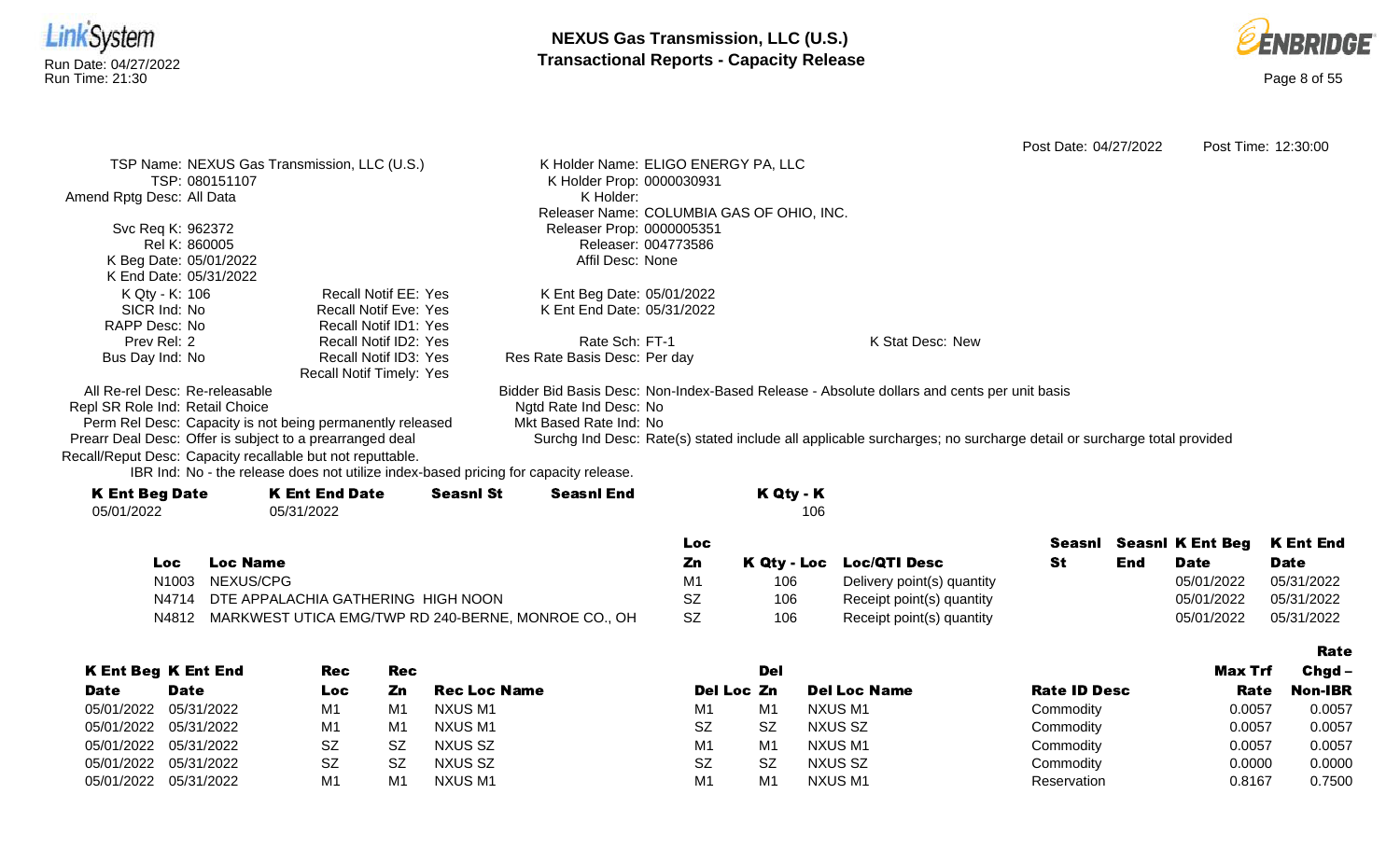



Post Date: 04/27/2022 Post Time: 12:30:00

TSP Name: NEXUS Gas Transmission, LLC (U.S.) TSP: 080151107 Amend Rptg Desc: All Data Svc Req K: 962372 Rel K: 860005 K Beg Date: 05/01/2022 K End Date: 05/31/2022 K Holder Name: ELIGO ENERGY PA, LLC K Holder Prop: 0000030931 K Holder: Releaser Name: COLUMBIA GAS OF OHIO, INC. Releaser Prop: 0000005351 Releaser: 004773586 Affil Desc: None K Qty - K: 106 SICR Ind: No RAPP Desc: No Prev Rel: 2 Bus Day Ind: No Recall Notif EE: Yes Recall Notif Eve: Yes Recall Notif ID1: Yes Recall Notif ID2: Yes Recall Notif ID3: Yes Recall Notif Timely: Yes K Ent Beg Date: 05/01/2022 K Ent End Date: 05/31/2022 Rate Sch: FT-1 Res Rate Basis Desc: Per day K Stat Desc: New All Re-rel Desc: Re-releasable Repl SR Role Ind: Retail Choice Bidder Bid Basis Desc: Non-Index-Based Release - Absolute dollars and cents per unit basis Ngtd Rate Ind Desc: No Mkt Based Rate Ind: No

Perm Rel Desc: Capacity is not being permanently released Prearr Deal Desc: Offer is subject to a prearranged deal

Recall/Reput Desc: Capacity recallable but not reputtable.

IBR Ind: No - the release does not utilize index-based pricing for capacity release.

| <b>K Ent Beg Date</b> | K Ent End Date | <b>Seasnl St</b> | <b>Seasnl End</b> | K Qty - K |
|-----------------------|----------------|------------------|-------------------|-----------|
| 05/01/2022            | 05/31/2022     |                  |                   | 106       |
|                       |                |                  |                   |           |

|       |                                                           | Loc       |     |                            | Seasnl |     | <b>Seasni K Ent Beg K Ent End</b> |             |
|-------|-----------------------------------------------------------|-----------|-----|----------------------------|--------|-----|-----------------------------------|-------------|
| Loc   | <b>Loc Name</b>                                           | Zn        |     | K Qty - Loc Loc/QTI Desc   |        | End | <b>Date</b>                       | <b>Date</b> |
| N1003 | NEXUS/CPG                                                 | M1        | 106 | Delivery point(s) quantity |        |     | 05/01/2022                        | 05/31/2022  |
|       | N4714 DTE APPALACHIA GATHERING HIGH NOON                  | SZ        | 106 | Receipt point(s) quantity  |        |     | 05/01/2022                        | 05/31/2022  |
|       | N4812 MARKWEST UTICA EMG/TWP RD 240-BERNE, MONROE CO., OH | <b>SZ</b> | 106 | Receipt point(s) quantity  |        |     | 05/01/2022                        | 05/31/2022  |

Surchg Ind Desc: Rate(s) stated include all applicable surcharges; no surcharge detail or surcharge total provided

|                       |                            |           |                |                     |                |                | Rate                |                     |         |                |
|-----------------------|----------------------------|-----------|----------------|---------------------|----------------|----------------|---------------------|---------------------|---------|----------------|
|                       | <b>K Ent Beg K Ent End</b> | Rec       | Rec            |                     |                | Del            |                     |                     | Max Trf | $Chqd -$       |
| <b>Date</b>           | <b>Date</b>                | Loc       | Zn             | <b>Rec Loc Name</b> | Del Loc Zn     |                | <b>Del Loc Name</b> | <b>Rate ID Desc</b> | Rate    | <b>Non-IBR</b> |
| 05/01/2022            | 05/31/2022                 | M1        | M1             | NXUS M1             | M1             | M <sub>1</sub> | NXUS M1             | Commodity           | 0.0057  | 0.0057         |
| 05/01/2022 05/31/2022 |                            | M1        | M <sub>1</sub> | NXUS M1             | <b>SZ</b>      | <b>SZ</b>      | NXUS SZ             | Commodity           | 0.0057  | 0.0057         |
| 05/01/2022 05/31/2022 |                            | <b>SZ</b> | SZ             | NXUS SZ             | M <sub>1</sub> | M <sub>1</sub> | NXUS M1             | Commodity           | 0.0057  | 0.0057         |
| 05/01/2022 05/31/2022 |                            | <b>SZ</b> | -SZ            | NXUS SZ             | <b>SZ</b>      | SZ             | NXUS SZ             | Commodity           | 0.0000  | 0.0000         |
| 05/01/2022            | 05/31/2022                 | M1        | M <sub>1</sub> | NXUS M1             | M1             | M <sub>1</sub> | NXUS M1             | Reservation         | 0.8167  | 0.7500         |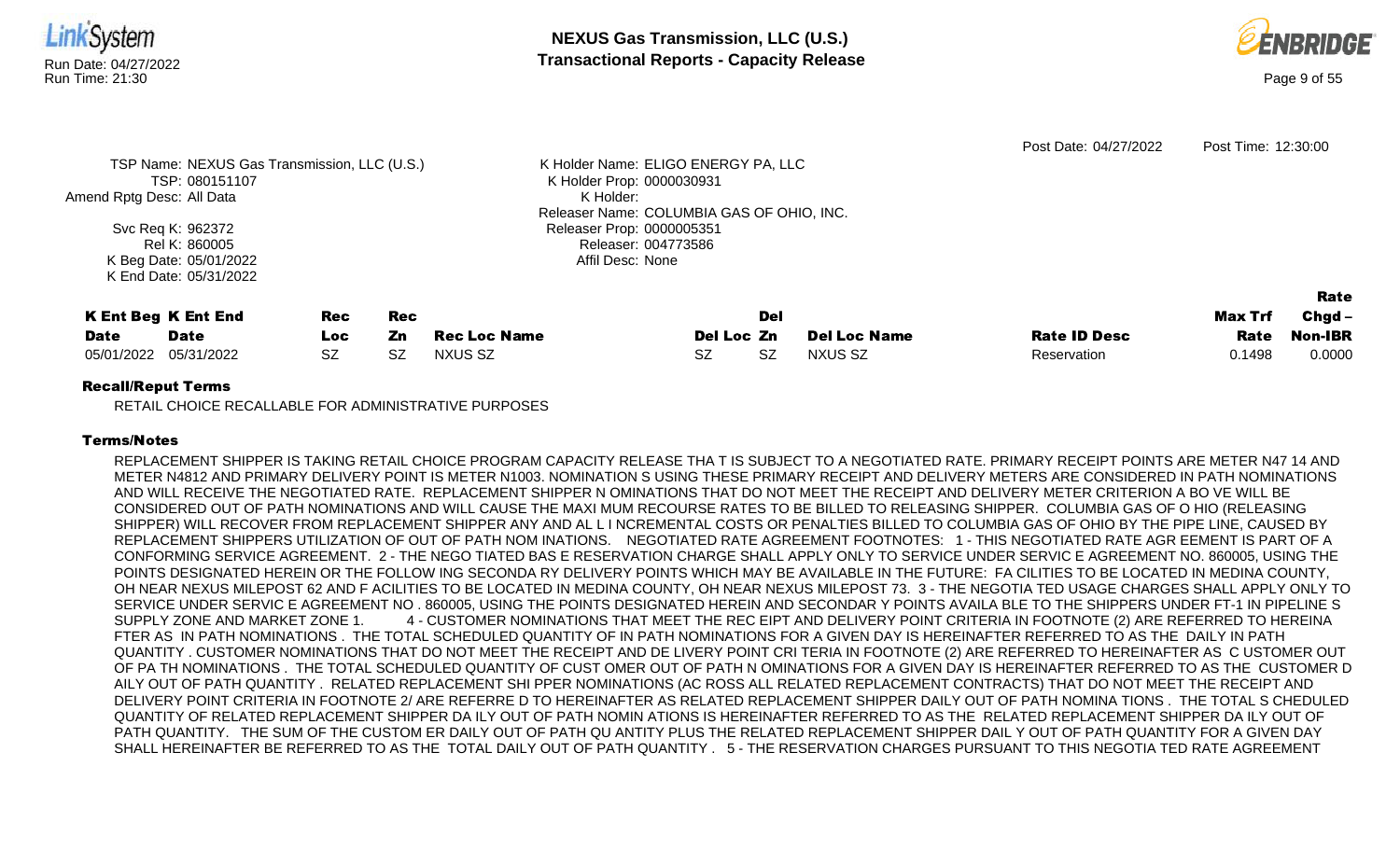

RETAIL CHOICE RECALLABLE FOR ADMINISTRATIVE PURPOSES

#### Terms/Notes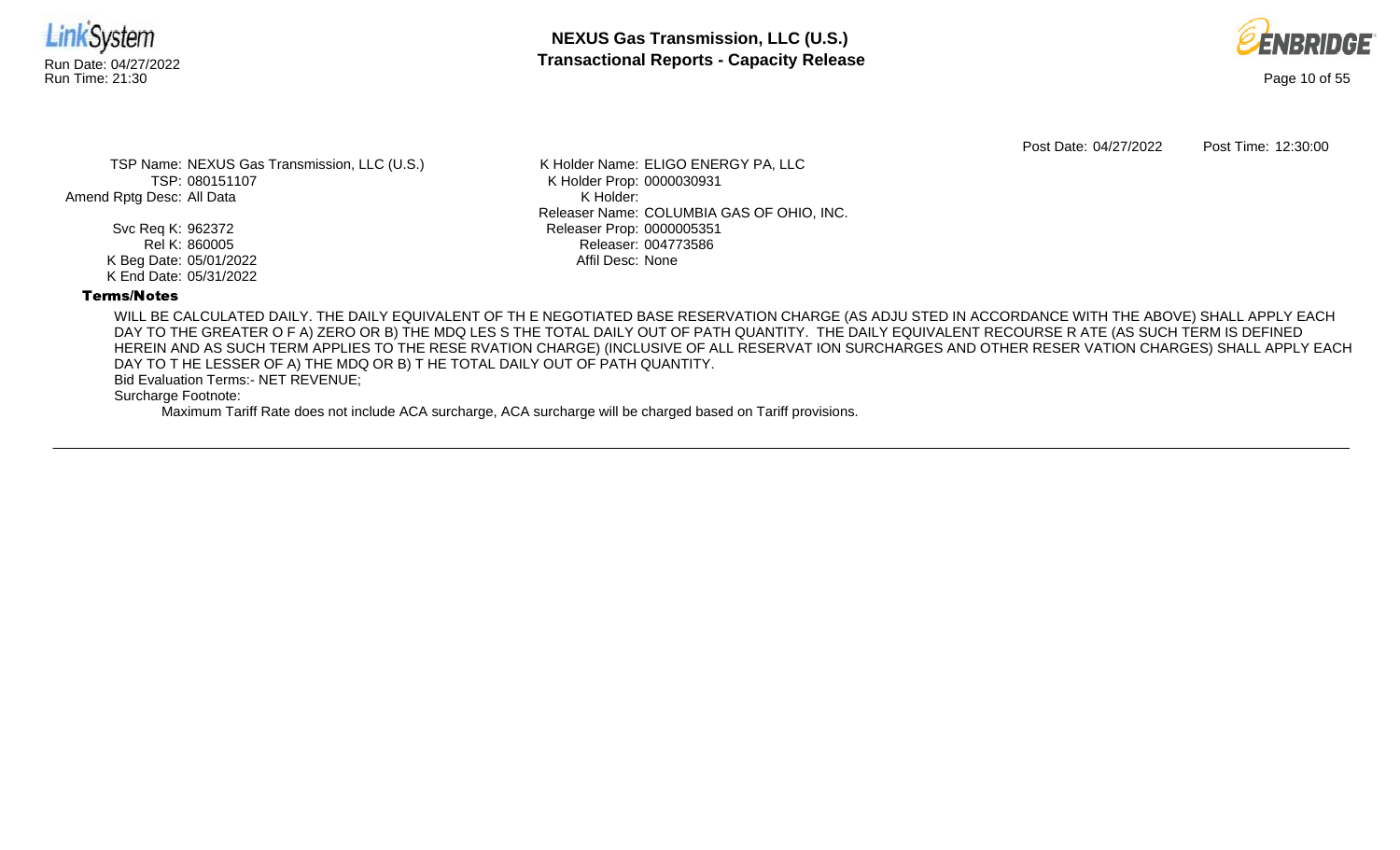



Post Date: 04/27/2022 Post Time: 12:30:00

TSP Name: NEXUS Gas Transmission, LLC (U.S.) TSP: 080151107 Amend Rptg Desc: All Data

> Svc Req K: 962372 Rel K: 860005 K Beg Date: 05/01/2022 K End Date: 05/31/2022

K Holder Name: ELIGO ENERGY PA, LLC K Holder Prop: 0000030931 K Holder: Releaser Name: COLUMBIA GAS OF OHIO, INC. Releaser Prop: 0000005351 Releaser: 004773586 Affil Desc: None

## Terms/Notes

WILL BE CALCULATED DAILY. THE DAILY EQUIVALENT OF TH E NEGOTIATED BASE RESERVATION CHARGE (AS ADJU STED IN ACCORDANCE WITH THE ABOVE) SHALL APPLY EACH DAY TO THE GREATER O F A) ZERO OR B) THE MDQ LES S THE TOTAL DAILY OUT OF PATH QUANTITY. THE DAILY EQUIVALENT RECOURSE R ATE (AS SUCH TERM IS DEFINED HEREIN AND AS SUCH TERM APPLIES TO THE RESE RVATION CHARGE) (INCLUSIVE OF ALL RESERVAT ION SURCHARGES AND OTHER RESER VATION CHARGES) SHALL APPLY EACH DAY TO T HE LESSER OF A) THE MDQ OR B) T HE TOTAL DAILY OUT OF PATH QUANTITY.

Bid Evaluation Terms:- NET REVENUE;

Surcharge Footnote: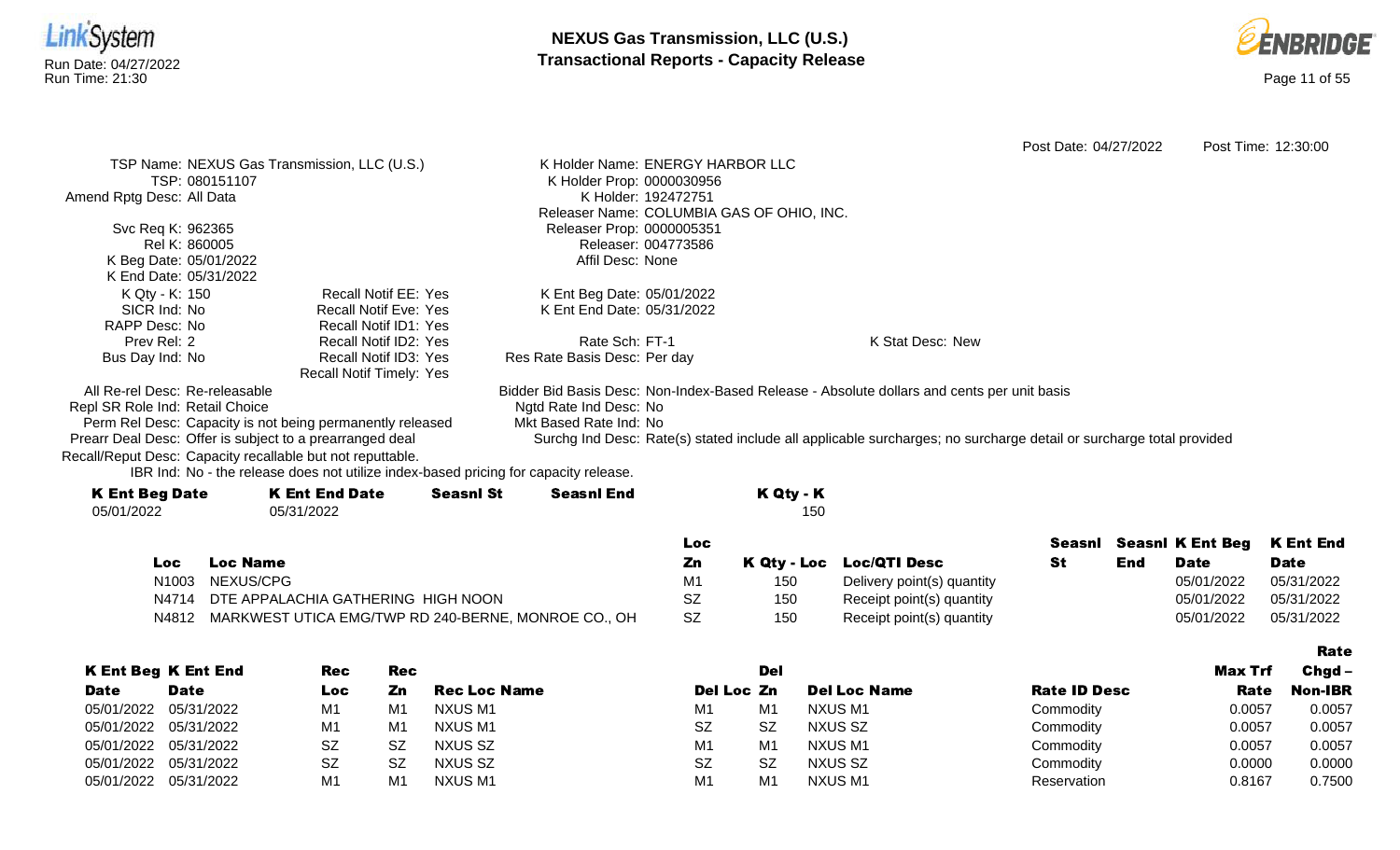



Post Date: 04/27/2022 Post Time: 12:30:00 TSP Name: NEXUS Gas Transmission, LLC (U.S.) TSP: 080151107 Amend Rptg Desc: All Data Svc Req K: 962365 Rel K: 860005 K Beg Date: 05/01/2022 K End Date: 05/31/2022 K Holder Name: ENERGY HARBOR LLC K Holder Prop: 0000030956 K Holder: 192472751 Releaser Name: COLUMBIA GAS OF OHIO, INC. Releaser Prop: 0000005351 Releaser: 004773586 Affil Desc: None K Qty - K: 150 SICR Ind: No RAPP Desc: No Prev Rel: 2 Bus Day Ind: No Recall Notif EE: Yes Recall Notif Eve: Yes Recall Notif ID1: Yes Recall Notif ID2: Yes Recall Notif ID3: Yes Recall Notif Timely: Yes K Ent Beg Date: 05/01/2022 K Ent End Date: 05/31/2022 Rate Sch: FT-1 Res Rate Basis Desc: Per day K Stat Desc: New All Re-rel Desc: Re-releasable Repl SR Role Ind: Retail Choice Perm Rel Desc: Capacity is not being permanently released Prearr Deal Desc: Offer is subject to a prearranged deal Bidder Bid Basis Desc: Non-Index-Based Release - Absolute dollars and cents per unit basis Ngtd Rate Ind Desc: No Mkt Based Rate Ind: No Surchg Ind Desc: Rate(s) stated include all applicable surcharges; no surcharge detail or surcharge total provided

Recall/Reput Desc: Capacity recallable but not reputtable.

| <b>K Ent Beg Date</b> | <b>K Ent End Date</b> | <b>Seasnl St</b> | <b>Seasnl End</b> | K Qty - K |
|-----------------------|-----------------------|------------------|-------------------|-----------|
| 05/01/2022            | 05/31/2022            |                  |                   | 150       |
|                       |                       |                  |                   |           |

|     |                                                           | LOC. |     |                            |     |             | Seasni Seasni K Ent Beg K Ent End |
|-----|-----------------------------------------------------------|------|-----|----------------------------|-----|-------------|-----------------------------------|
| Loc | <b>Loc Name</b>                                           | Zn   |     | K Qty - Loc Loc/QTI Desc   | End | <b>Date</b> | <b>Date</b>                       |
|     | N1003 NEXUS/CPG                                           |      | 150 | Delivery point(s) quantity |     | 05/01/2022  | 05/31/2022                        |
|     | N4714 DTE APPALACHIA GATHERING HIGH NOON                  | SZ   | 150 | Receipt point(s) quantity  |     | 05/01/2022  | 05/31/2022                        |
|     | N4812 MARKWEST UTICA EMG/TWP RD 240-BERNE, MONROE CO., OH | SZ.  | 150 | Receipt point(s) quantity  |     | 05/01/2022  | 05/31/2022                        |

|             |                            |            |     |              |                |                |                     |                     |         | Rate     |
|-------------|----------------------------|------------|-----|--------------|----------------|----------------|---------------------|---------------------|---------|----------|
|             | <b>K Ent Beg K Ent End</b> | <b>Rec</b> | Rec |              |                | Del            |                     |                     | Max Trf | $Chgd -$ |
| <b>Date</b> | <b>Date</b>                | Loc        | Zn  | Rec Loc Name | Del Loc Zn     |                | <b>Del Loc Name</b> | <b>Rate ID Desc</b> | Rate    | Non-IBR  |
|             | 05/01/2022 05/31/2022      | M1         | M1  | NXUS M1      | M <sub>1</sub> | M <sub>1</sub> | NXUS M1             | Commodity           | 0.0057  | 0.0057   |
|             | 05/01/2022 05/31/2022      | M1         | M1  | NXUS M1      | <b>SZ</b>      | <b>SZ</b>      | NXUS SZ             | Commodity           | 0.0057  | 0.0057   |
|             | 05/01/2022 05/31/2022      | <b>SZ</b>  | SZ  | NXUS SZ      | M <sub>1</sub> | M <sub>1</sub> | NXUS M1             | Commodity           | 0.0057  | 0.0057   |
|             | 05/01/2022 05/31/2022      | <b>SZ</b>  | SZ  | NXUS SZ      | <b>SZ</b>      | <b>SZ</b>      | NXUS SZ             | Commodity           | 0.0000  | 0.0000   |
| 05/01/2022  | 05/31/2022                 | M1         | M1  | NXUS M1      | M <sub>1</sub> | M1             | <b>NXUS M1</b>      | Reservation         | 0.8167  | 0.7500   |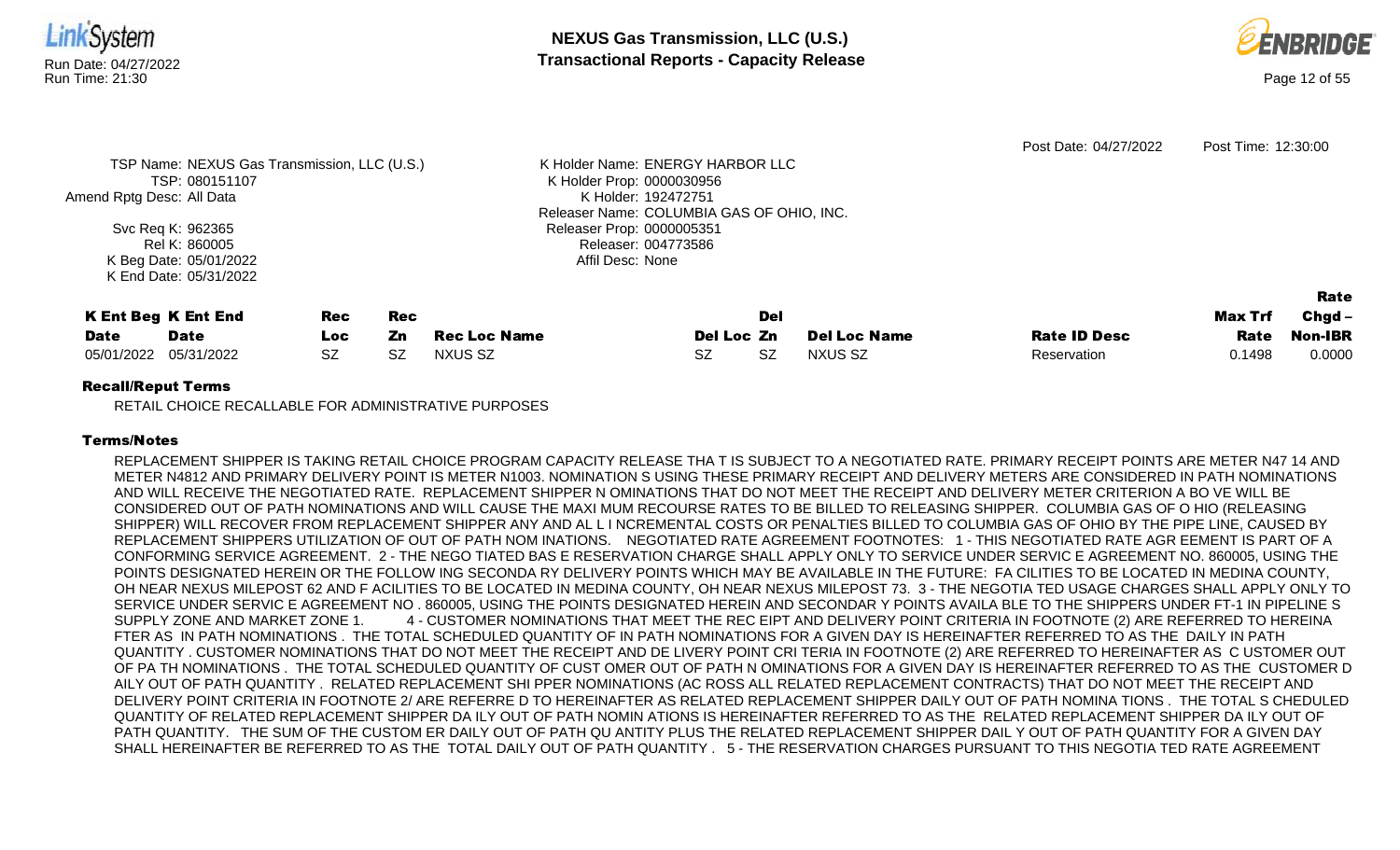



|                           |                                              |           |            |                     |                                           |     | Post Date: 04/27/2022 | Post Time: 12:30:00 |         |                |
|---------------------------|----------------------------------------------|-----------|------------|---------------------|-------------------------------------------|-----|-----------------------|---------------------|---------|----------------|
|                           | TSP Name: NEXUS Gas Transmission, LLC (U.S.) |           |            |                     | K Holder Name: ENERGY HARBOR LLC          |     |                       |                     |         |                |
|                           | TSP: 080151107                               |           |            |                     | K Holder Prop: 0000030956                 |     |                       |                     |         |                |
| Amend Rptg Desc: All Data |                                              |           |            |                     | K Holder: 192472751                       |     |                       |                     |         |                |
|                           |                                              |           |            |                     | Releaser Name: COLUMBIA GAS OF OHIO, INC. |     |                       |                     |         |                |
|                           | Svc Req K: 962365                            |           |            |                     | Releaser Prop: 0000005351                 |     |                       |                     |         |                |
|                           | Rel K: 860005                                |           |            |                     | Releaser: 004773586                       |     |                       |                     |         |                |
|                           | K Beg Date: 05/01/2022                       |           |            |                     | Affil Desc: None                          |     |                       |                     |         |                |
|                           | K End Date: 05/31/2022                       |           |            |                     |                                           |     |                       |                     |         |                |
|                           |                                              |           |            |                     |                                           |     |                       |                     |         | Rate           |
|                           | <b>K Ent Beg K Ent End</b>                   | Rec       | <b>Rec</b> |                     |                                           | Del |                       |                     | Max Trf | $Chgd -$       |
| <b>Date</b>               | <b>Date</b>                                  | Loc.      | Zn.        | <b>Rec Loc Name</b> | Del Loc Zn                                |     | <b>Del Loc Name</b>   | <b>Rate ID Desc</b> | Rate    | <b>Non-IBR</b> |
| 05/01/2022                | 05/31/2022                                   | <b>SZ</b> | <b>SZ</b>  | <b>NXUS SZ</b>      | SZ                                        | SZ. | <b>NXUS SZ</b>        | Reservation         | 0.1498  | 0.0000         |
| $\sim$ $\sim$ $\sim$      |                                              |           |            |                     |                                           |     |                       |                     |         |                |

RETAIL CHOICE RECALLABLE FOR ADMINISTRATIVE PURPOSES

## Terms/Notes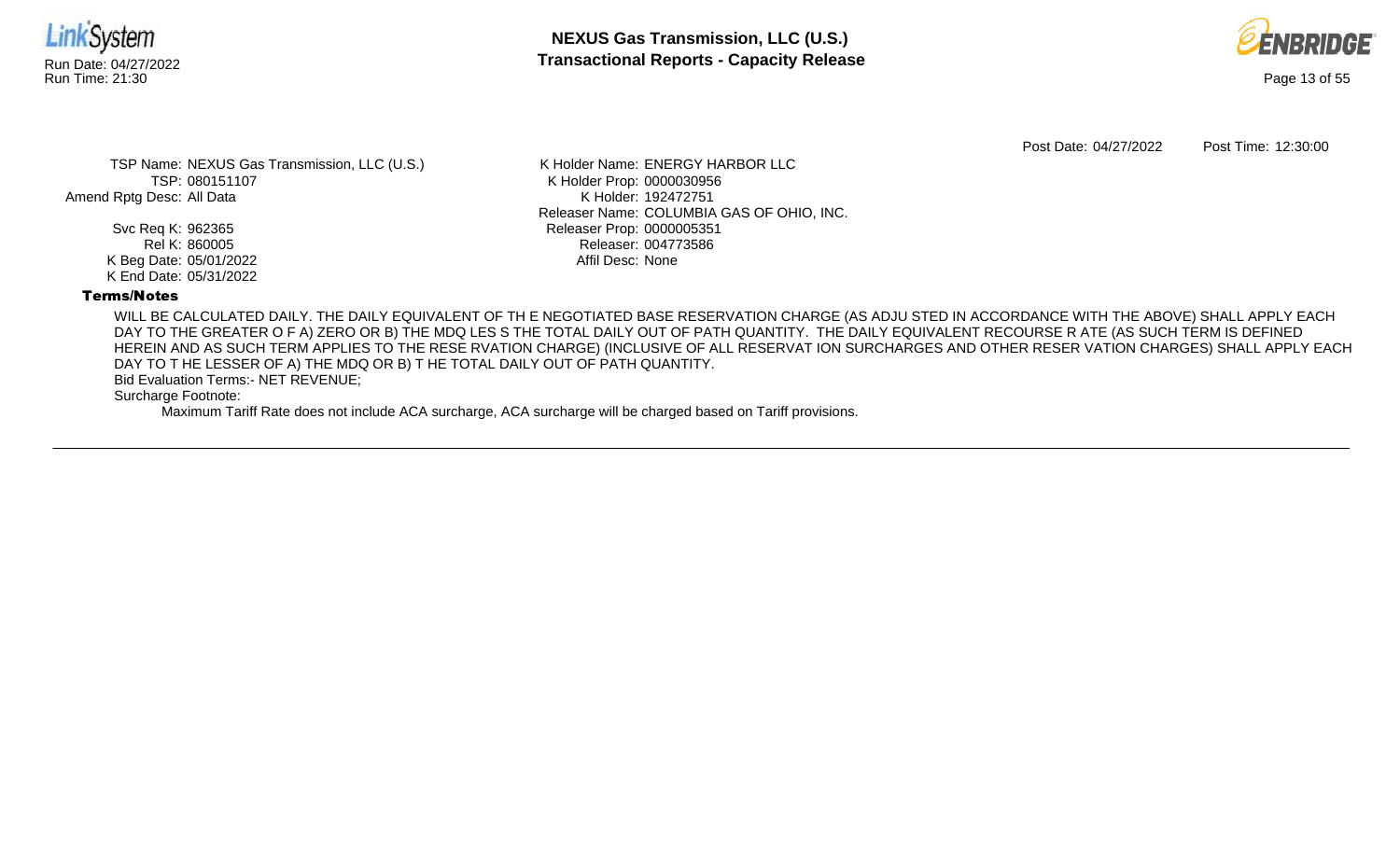



Post Date: 04/27/2022 Post Time: 12:30:00

TSP Name: NEXUS Gas Transmission, LLC (U.S.) TSP: 080151107 Amend Rptg Desc: All Data

> Svc Req K: 962365 Rel K: 860005 K Beg Date: 05/01/2022 K End Date: 05/31/2022

K Holder Name: ENERGY HARBOR LLC K Holder Prop: 0000030956 K Holder: 192472751 Releaser Name: COLUMBIA GAS OF OHIO, INC. Releaser Prop: 0000005351 Releaser: 004773586 Affil Desc: None

## Terms/Notes

WILL BE CALCULATED DAILY. THE DAILY EQUIVALENT OF TH E NEGOTIATED BASE RESERVATION CHARGE (AS ADJU STED IN ACCORDANCE WITH THE ABOVE) SHALL APPLY EACH DAY TO THE GREATER O F A) ZERO OR B) THE MDQ LES S THE TOTAL DAILY OUT OF PATH QUANTITY. THE DAILY EQUIVALENT RECOURSE R ATE (AS SUCH TERM IS DEFINED HEREIN AND AS SUCH TERM APPLIES TO THE RESE RVATION CHARGE) (INCLUSIVE OF ALL RESERVAT ION SURCHARGES AND OTHER RESER VATION CHARGES) SHALL APPLY EACH DAY TO T HE LESSER OF A) THE MDQ OR B) T HE TOTAL DAILY OUT OF PATH QUANTITY.

Bid Evaluation Terms:- NET REVENUE;

Surcharge Footnote: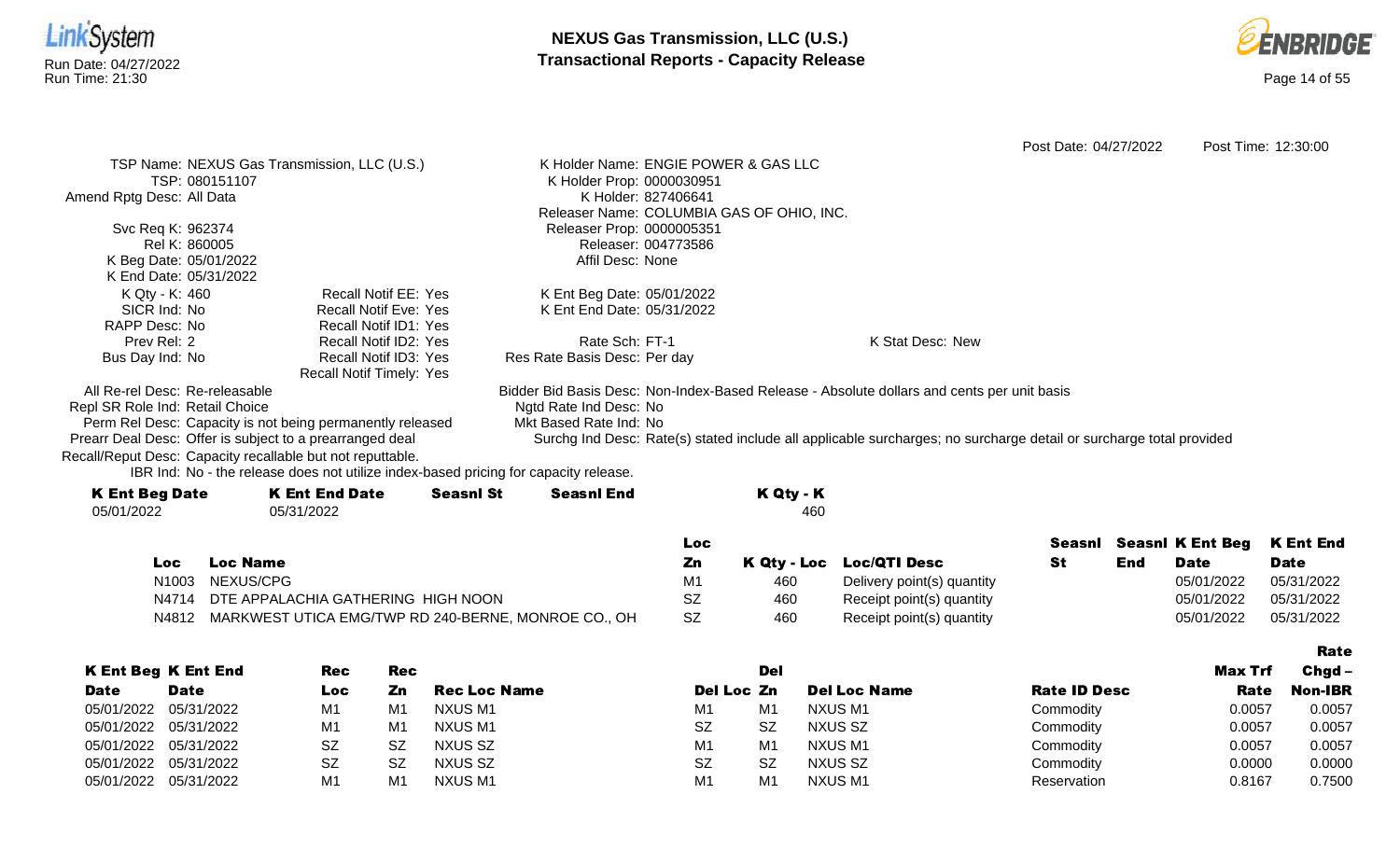



Rate

Post Date: 04/27/2022 Post Time: 12:30:00 TSP Name: NEXUS Gas Transmission, LLC (U.S.) TSP: 080151107 Amend Rptg Desc: All Data Svc Req K: 962374 Rel K: 860005 K Beg Date: 05/01/2022 K End Date: 05/31/2022 K Holder Name: ENGIE POWER & GAS LLC K Holder Prop: 0000030951 K Holder: 827406641 Releaser Name: COLUMBIA GAS OF OHIO, INC. Releaser Prop: 0000005351 Releaser: 004773586 Affil Desc: None K Qty - K: 460 SICR Ind: No RAPP Desc: No Prev Rel: 2 Bus Day Ind: No Recall Notif EE: Yes Recall Notif Eve: Yes Recall Notif ID1: Yes Recall Notif ID2: Yes Recall Notif ID3: Yes Recall Notif Timely: Yes K Ent Beg Date: 05/01/2022 K Ent End Date: 05/31/2022 Rate Sch: FT-1 Res Rate Basis Desc: Per day K Stat Desc: New All Re-rel Desc: Re-releasable Repl SR Role Ind: Retail Choice Perm Rel Desc: Capacity is not being permanently released Prearr Deal Desc: Offer is subject to a prearranged deal Bidder Bid Basis Desc: Non-Index-Based Release - Absolute dollars and cents per unit basis Ngtd Rate Ind Desc: No Mkt Based Rate Ind: No Surchg Ind Desc: Rate(s) stated include all applicable surcharges; no surcharge detail or surcharge total provided

Recall/Reput Desc: Capacity recallable but not reputtable.

| <b>K Ent Beg Date</b> | <b>K Ent End Date</b> | <b>Seasnl St</b> | <b>Seasnl End</b> | K Qty - K |
|-----------------------|-----------------------|------------------|-------------------|-----------|
| 05/01/2022            | 05/31/2022            |                  |                   | 460       |
|                       |                       |                  |                   |           |

|     |                                                           | Loc |     |                            |     | Seasni Seasni K Ent Beg K Ent End |             |
|-----|-----------------------------------------------------------|-----|-----|----------------------------|-----|-----------------------------------|-------------|
| Loc | Loc Name                                                  | Zn  |     | K Qty - Loc Loc/QTI Desc   | End | <b>Date</b>                       | <b>Date</b> |
|     | N1003 NEXUS/CPG                                           | M1  | 460 | Delivery point(s) quantity |     | 05/01/2022                        | 05/31/2022  |
|     | N4714 DTE APPALACHIA GATHERING HIGH NOON                  | SZ  | 460 | Receipt point(s) quantity  |     | 05/01/2022                        | 05/31/2022  |
|     | N4812 MARKWEST UTICA EMG/TWP RD 240-BERNE, MONROE CO., OH | SZ  | 460 | Receipt point(s) quantity  |     | 05/01/2022                        | 05/31/2022  |

|             |                            |     |     |                     |                |                |                     |                     |         | .              |
|-------------|----------------------------|-----|-----|---------------------|----------------|----------------|---------------------|---------------------|---------|----------------|
|             | <b>K Ent Beg K Ent End</b> | Rec | Rec |                     |                | Del            |                     |                     | Max Trf | $Chqd -$       |
| <b>Date</b> | <b>Date</b>                | Loc | Zn  | <b>Rec Loc Name</b> | Del Loc Zn     |                | <b>Del Loc Name</b> | <b>Rate ID Desc</b> | Rate    | <b>Non-IBR</b> |
| 05/01/2022  | 05/31/2022                 | M1  | M1  | NXUS M1             | M1             | M1             | NXUS M1             | Commodity           | 0.0057  | 0.0057         |
| 05/01/2022  | 05/31/2022                 | M1  | M1  | NXUS M1             | <b>SZ</b>      | <b>SZ</b>      | NXUS SZ             | Commodity           | 0.0057  | 0.0057         |
| 05/01/2022  | 05/31/2022                 | SZ  | -SZ | NXUS SZ             | M <sub>1</sub> | M <sub>1</sub> | NXUS M1             | Commodity           | 0.0057  | 0.0057         |
| 05/01/2022  | 05/31/2022                 | SZ  | -SZ | NXUS SZ             | <b>SZ</b>      | SZ             | NXUS SZ             | Commodity           | 0.0000  | 0.0000         |
| 05/01/2022  | 05/31/2022                 | M1  | M1  | NXUS M1             | M1             | M <sub>1</sub> | NXUS M1             | Reservation         | 0.8167  | 0.7500         |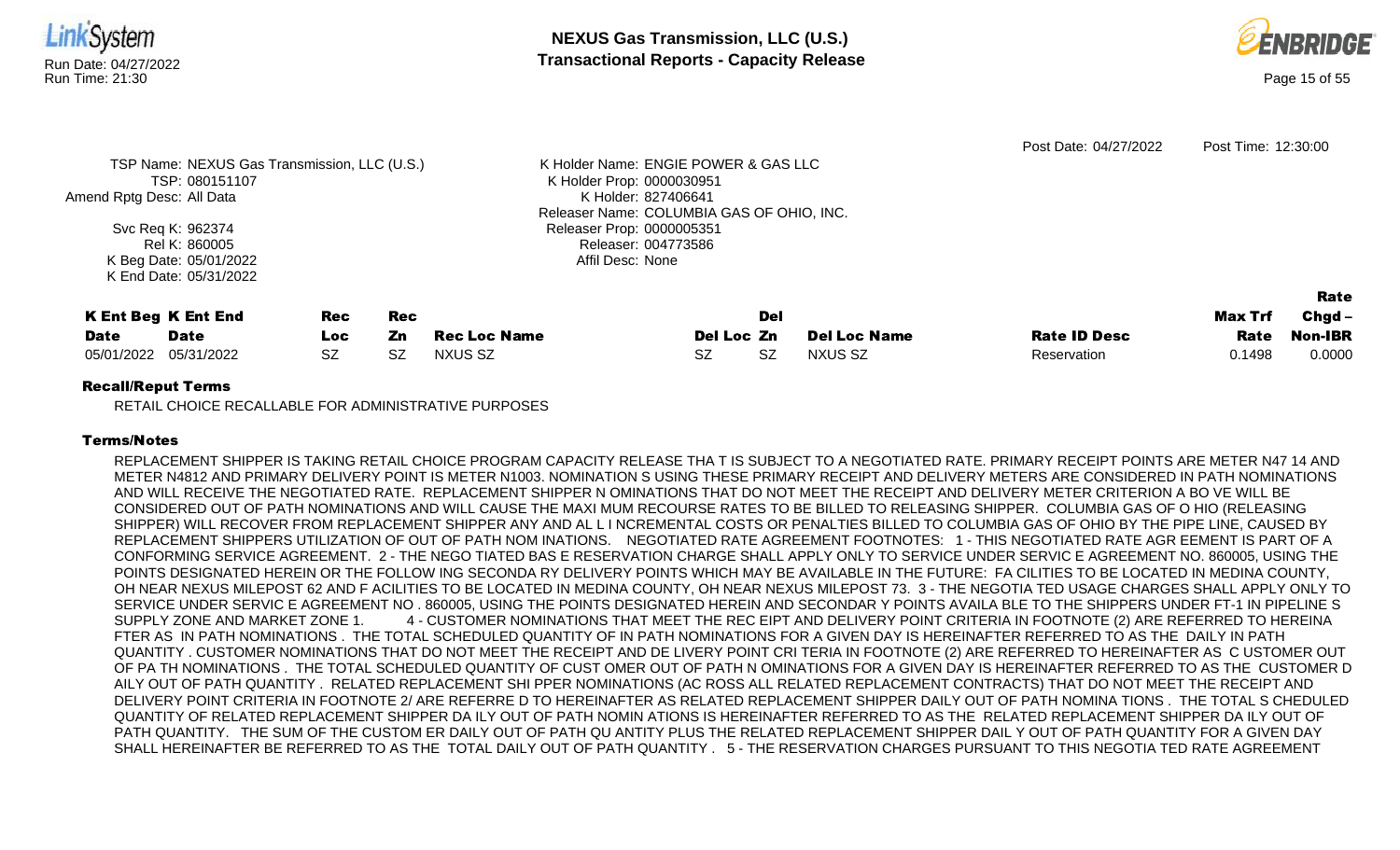



|                            |                                              |            |            |                                      |                                           |           |                     | Post Date: 04/27/2022 | Post Time: 12:30:00 |                |
|----------------------------|----------------------------------------------|------------|------------|--------------------------------------|-------------------------------------------|-----------|---------------------|-----------------------|---------------------|----------------|
|                            | TSP Name: NEXUS Gas Transmission, LLC (U.S.) |            |            | K Holder Name: ENGIE POWER & GAS LLC |                                           |           |                     |                       |                     |                |
|                            | TSP: 080151107                               |            |            |                                      | K Holder Prop: 0000030951                 |           |                     |                       |                     |                |
| Amend Rptg Desc: All Data  |                                              |            |            |                                      | K Holder: 827406641                       |           |                     |                       |                     |                |
|                            |                                              |            |            |                                      | Releaser Name: COLUMBIA GAS OF OHIO, INC. |           |                     |                       |                     |                |
|                            | Svc Req K: 962374                            |            |            |                                      | Releaser Prop: 0000005351                 |           |                     |                       |                     |                |
|                            | Releaser: 004773586<br>Rel K: 860005         |            |            |                                      |                                           |           |                     |                       |                     |                |
|                            | K Beg Date: 05/01/2022                       |            |            |                                      | Affil Desc: None                          |           |                     |                       |                     |                |
|                            | K End Date: 05/31/2022                       |            |            |                                      |                                           |           |                     |                       |                     |                |
|                            |                                              |            |            |                                      |                                           |           |                     |                       |                     | Rate           |
| <b>K Ent Beg K Ent End</b> |                                              | <b>Rec</b> | <b>Rec</b> |                                      |                                           | Del       |                     |                       | Max Trf             | $Chgd -$       |
| <b>Date</b>                | <b>Date</b>                                  | Loc.       | Zn         | <b>Rec Loc Name</b>                  | Del Loc Zn                                |           | <b>Del Loc Name</b> | <b>Rate ID Desc</b>   | Rate                | <b>Non-IBR</b> |
| 05/01/2022                 | 05/31/2022                                   | <b>SZ</b>  | SZ         | NXUS SZ                              | SZ                                        | <b>SZ</b> | NXUS SZ             | Reservation           | 0.1498              | 0.0000         |
|                            |                                              |            |            |                                      |                                           |           |                     |                       |                     |                |

RETAIL CHOICE RECALLABLE FOR ADMINISTRATIVE PURPOSES

## Terms/Notes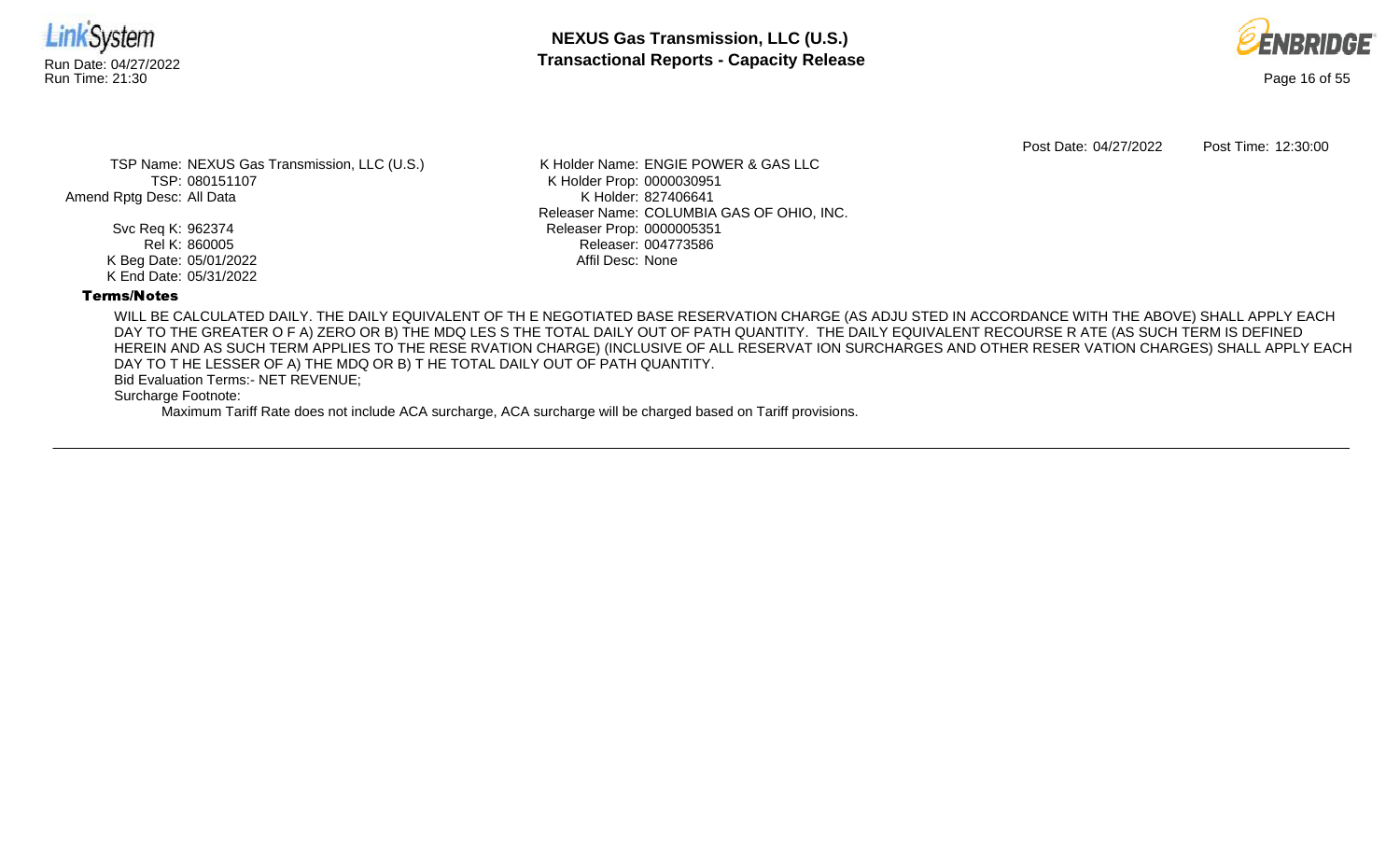



Post Date: 04/27/2022 Post Time: 12:30:00

TSP Name: NEXUS Gas Transmission, LLC (U.S.) TSP: 080151107 Amend Rptg Desc: All Data

> Svc Req K: 962374 Rel K: 860005 K Beg Date: 05/01/2022 K End Date: 05/31/2022

K Holder Name: ENGIE POWER & GAS LLC K Holder Prop: 0000030951 K Holder: 827406641 Releaser Name: COLUMBIA GAS OF OHIO, INC. Releaser Prop: 0000005351 Releaser: 004773586 Affil Desc: None

## Terms/Notes

WILL BE CALCULATED DAILY. THE DAILY EQUIVALENT OF TH E NEGOTIATED BASE RESERVATION CHARGE (AS ADJU STED IN ACCORDANCE WITH THE ABOVE) SHALL APPLY EACH DAY TO THE GREATER O F A) ZERO OR B) THE MDQ LES S THE TOTAL DAILY OUT OF PATH QUANTITY. THE DAILY EQUIVALENT RECOURSE R ATE (AS SUCH TERM IS DEFINED HEREIN AND AS SUCH TERM APPLIES TO THE RESE RVATION CHARGE) (INCLUSIVE OF ALL RESERVAT ION SURCHARGES AND OTHER RESER VATION CHARGES) SHALL APPLY EACH DAY TO T HE LESSER OF A) THE MDQ OR B) T HE TOTAL DAILY OUT OF PATH QUANTITY.

Bid Evaluation Terms:- NET REVENUE;

Surcharge Footnote: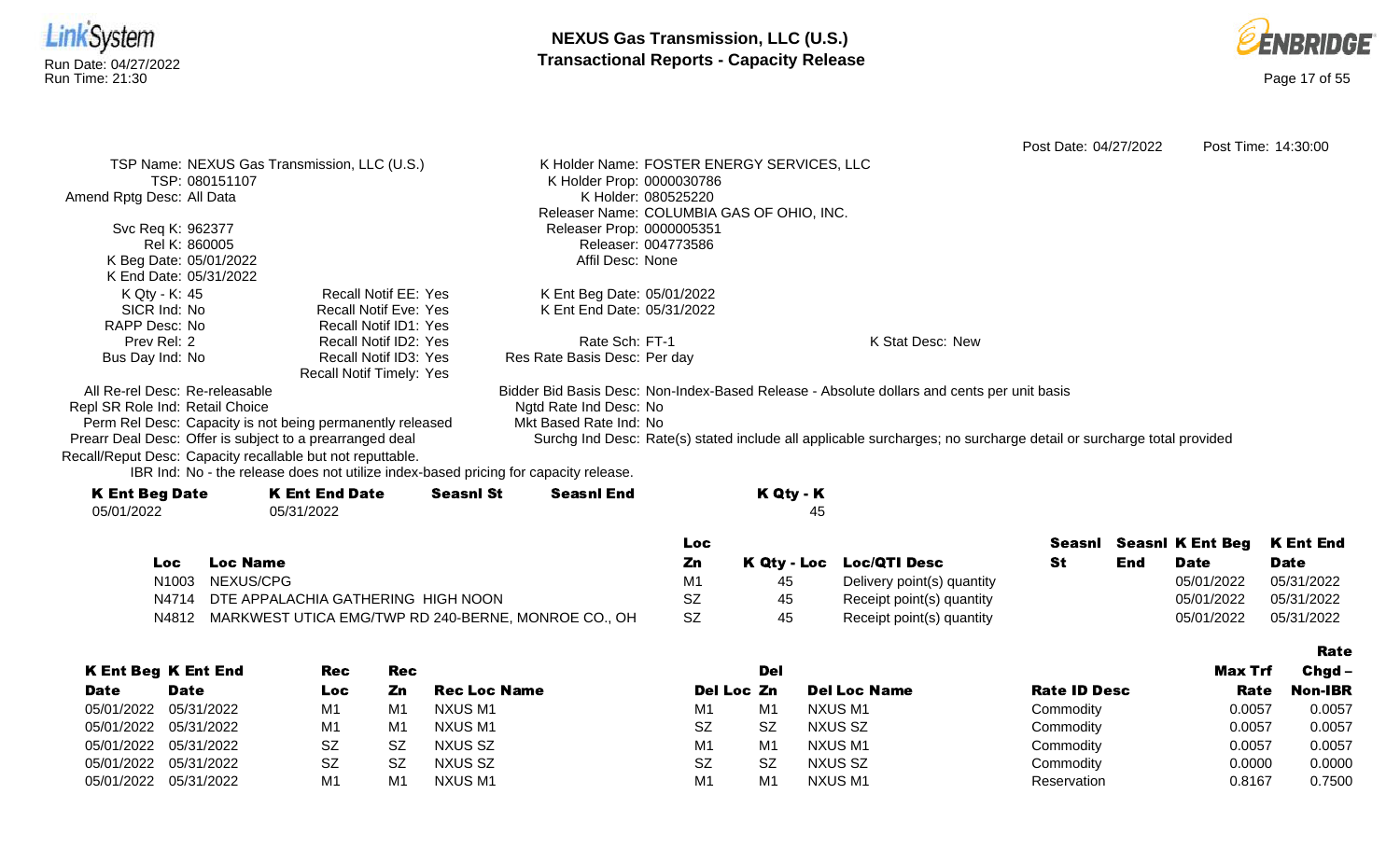



Rate

Post Date: 04/27/2022 Post Time: 14:30:00 TSP Name: NEXUS Gas Transmission, LLC (U.S.) TSP: 080151107 Amend Rptg Desc: All Data Svc Req K: 962377 Rel K: 860005 K Beg Date: 05/01/2022 K End Date: 05/31/2022 K Holder Name: FOSTER ENERGY SERVICES, LLC K Holder Prop: 0000030786 K Holder: 080525220 Releaser Name: COLUMBIA GAS OF OHIO, INC. Releaser Prop: 0000005351 Releaser: 004773586 Affil Desc: None K Qty - K: 45 SICR Ind: No RAPP Desc: No Prev Rel: 2 Bus Day Ind: No Recall Notif EE: Yes Recall Notif Eve: Yes Recall Notif ID1: Yes Recall Notif ID2: Yes Recall Notif ID3: Yes Recall Notif Timely: Yes K Ent Beg Date: 05/01/2022 K Ent End Date: 05/31/2022 Rate Sch: FT-1 Res Rate Basis Desc: Per day K Stat Desc: New All Re-rel Desc: Re-releasable Repl SR Role Ind: Retail Choice Perm Rel Desc: Capacity is not being permanently released Prearr Deal Desc: Offer is subject to a prearranged deal Bidder Bid Basis Desc: Non-Index-Based Release - Absolute dollars and cents per unit basis Ngtd Rate Ind Desc: No Mkt Based Rate Ind: No Surchg Ind Desc: Rate(s) stated include all applicable surcharges; no surcharge detail or surcharge total provided Recall/Reput Desc: Capacity recallable but not reputtable.

| <b>K Ent Beg Date</b> | <b>K Ent End Date</b> | <b>Seasnl St</b> | Seasnl End | K Qty - K |
|-----------------------|-----------------------|------------------|------------|-----------|
| 05/01/2022            | 05/31/2022            |                  |            | 45        |
|                       |                       |                  |            |           |

|            |                                                           | Loc       |    |                            |     |             | Seasnl Seasnl K Ent Beg K Ent End |
|------------|-----------------------------------------------------------|-----------|----|----------------------------|-----|-------------|-----------------------------------|
| <b>Loc</b> | <b>Loc Name</b>                                           | Zn        |    | K Qty - Loc Loc/QTI Desc   | End | <b>Date</b> | <b>Date</b>                       |
|            | N1003 NEXUS/CPG                                           | M1        | 45 | Delivery point(s) quantity |     | 05/01/2022  | 05/31/2022                        |
|            | N4714 DTE APPALACHIA GATHERING HIGH NOON                  | SZ        | 45 | Receipt point(s) quantity  |     | 05/01/2022  | 05/31/2022                        |
|            | N4812 MARKWEST UTICA EMG/TWP RD 240-BERNE, MONROE CO., OH | <b>SZ</b> | 45 | Receipt point(s) quantity  |     | 05/01/2022  | 05/31/2022                        |

|             |                            |           |           |                     |                |                |                     |                     |         | -----          |
|-------------|----------------------------|-----------|-----------|---------------------|----------------|----------------|---------------------|---------------------|---------|----------------|
|             | <b>K Ent Beg K Ent End</b> | Rec       | Rec       |                     |                | Del            |                     |                     | Max Trf | $Chgd -$       |
| <b>Date</b> | <b>Date</b>                | Loc       | Zn        | <b>Rec Loc Name</b> | Del Loc Zn     |                | <b>Del Loc Name</b> | <b>Rate ID Desc</b> | Rate    | <b>Non-IBR</b> |
| 05/01/2022  | 05/31/2022                 | M1        | M1        | NXUS M1             | M1             | M1             | NXUS M1             | Commodity           | 0.0057  | 0.0057         |
| 05/01/2022  | 05/31/2022                 | M1        | M1        | NXUS M1             | <b>SZ</b>      | <b>SZ</b>      | NXUS SZ             | Commodity           | 0.0057  | 0.0057         |
| 05/01/2022  | 05/31/2022                 | <b>SZ</b> | <b>SZ</b> | <b>NXUS SZ</b>      | M <sub>1</sub> | M <sub>1</sub> | NXUS M1             | Commodity           | 0.0057  | 0.0057         |
| 05/01/2022  | 05/31/2022                 | <b>SZ</b> | <b>SZ</b> | NXUS SZ             | <b>SZ</b>      | <b>SZ</b>      | NXUS SZ             | Commodity           | 0.0000  | 0.0000         |
| 05/01/2022  | 05/31/2022                 | M1        | M1        | <b>NXUS M1</b>      | M1             | M <sub>1</sub> | NXUS M1             | Reservation         | 0.8167  | 0.7500         |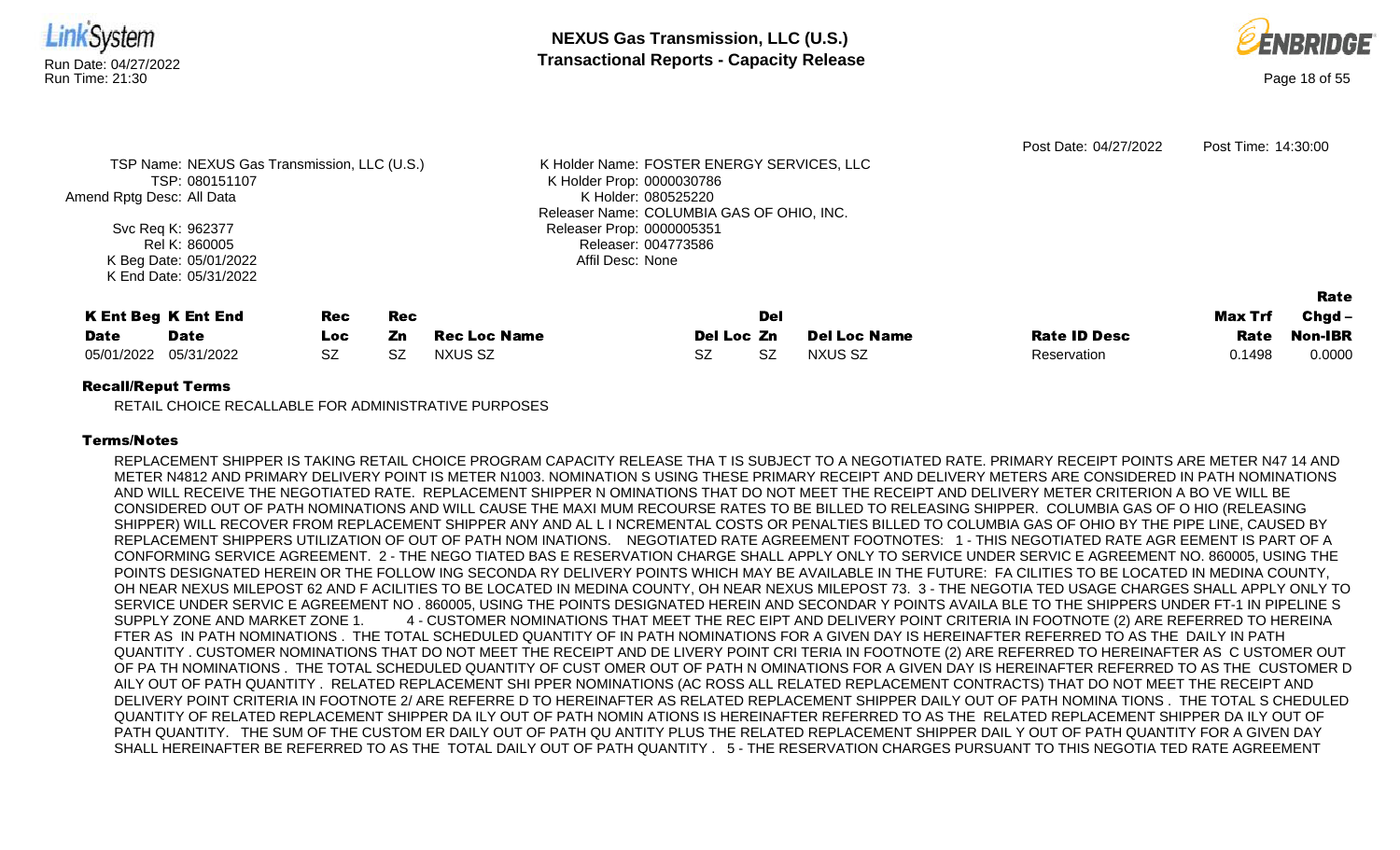

|                       | <b>K Ent Beg K Ent End</b> | Rec | Rec |              |            | Del |                     |                     | <b>Max Trf</b> | Chgd –         |
|-----------------------|----------------------------|-----|-----|--------------|------------|-----|---------------------|---------------------|----------------|----------------|
| <b>Date</b>           | <b>Date</b>                | Loc | Zn  | Rec Loc Name | Del Loc Zn |     | <b>Del Loc Name</b> | <b>Rate ID Desc</b> | Rate           | <b>Non-IBR</b> |
| 05/01/2022 05/31/2022 |                            |     | -SZ | NXUS SZ      |            |     | NXUS SZ             | Reservation         | 0.1498         | 0.0000         |

RETAIL CHOICE RECALLABLE FOR ADMINISTRATIVE PURPOSES

## Terms/Notes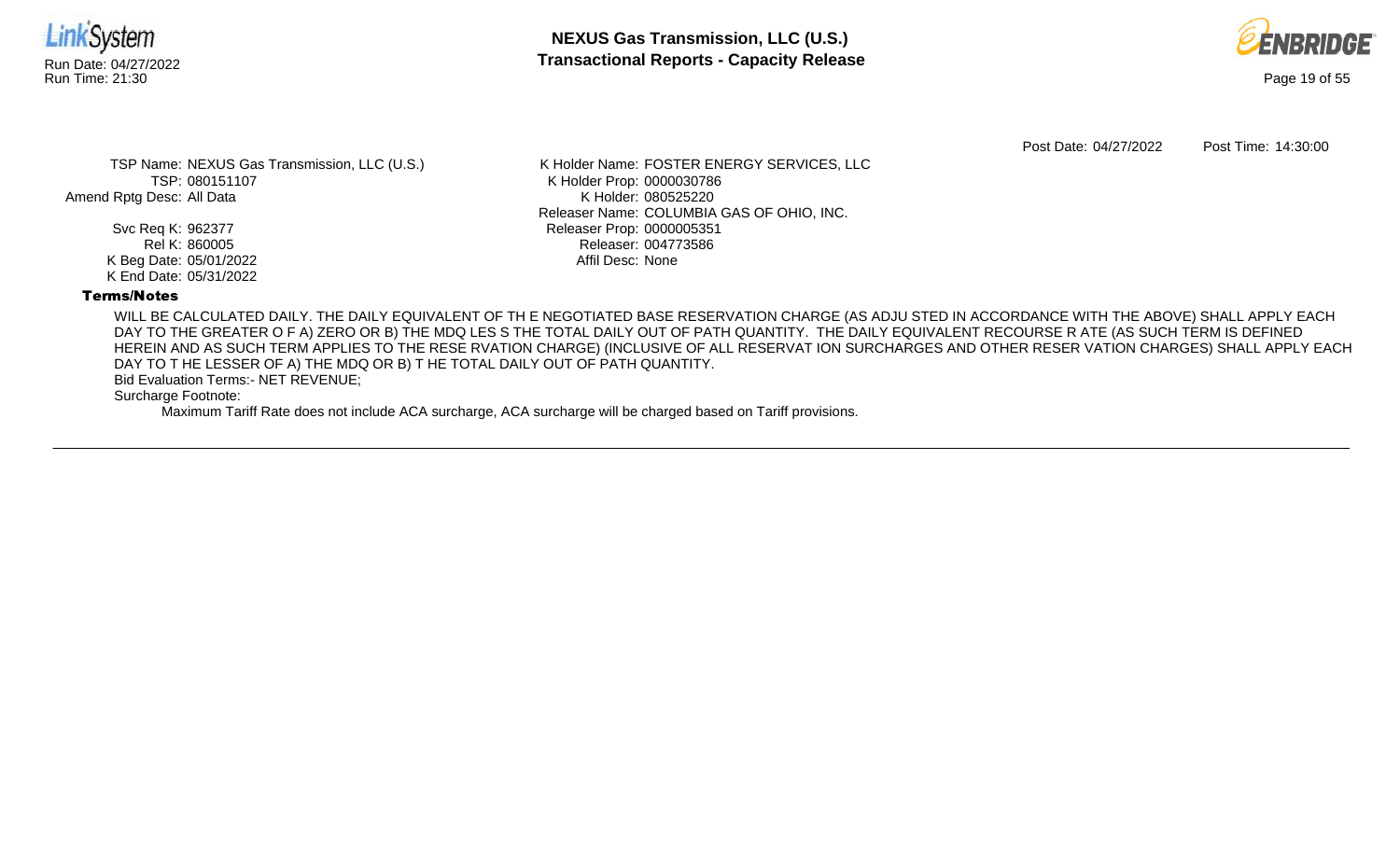



Post Date: 04/27/2022 Post Time: 14:30:00

TSP Name: NEXUS Gas Transmission, LLC (U.S.) TSP: 080151107 Amend Rptg Desc: All Data

> Svc Req K: 962377 Rel K: 860005 K Beg Date: 05/01/2022 K End Date: 05/31/2022

K Holder Name: FOSTER ENERGY SERVICES, LLC K Holder Prop: 0000030786 K Holder: 080525220 Releaser Name: COLUMBIA GAS OF OHIO, INC. Releaser Prop: 0000005351 Releaser: 004773586 Affil Desc: None

### Terms/Notes

WILL BE CALCULATED DAILY. THE DAILY EQUIVALENT OF TH E NEGOTIATED BASE RESERVATION CHARGE (AS ADJU STED IN ACCORDANCE WITH THE ABOVE) SHALL APPLY EACH DAY TO THE GREATER O F A) ZERO OR B) THE MDQ LES S THE TOTAL DAILY OUT OF PATH QUANTITY. THE DAILY EQUIVALENT RECOURSE R ATE (AS SUCH TERM IS DEFINED HEREIN AND AS SUCH TERM APPLIES TO THE RESE RVATION CHARGE) (INCLUSIVE OF ALL RESERVAT ION SURCHARGES AND OTHER RESER VATION CHARGES) SHALL APPLY EACH DAY TO T HE LESSER OF A) THE MDQ OR B) T HE TOTAL DAILY OUT OF PATH QUANTITY.

Bid Evaluation Terms:- NET REVENUE;

Surcharge Footnote: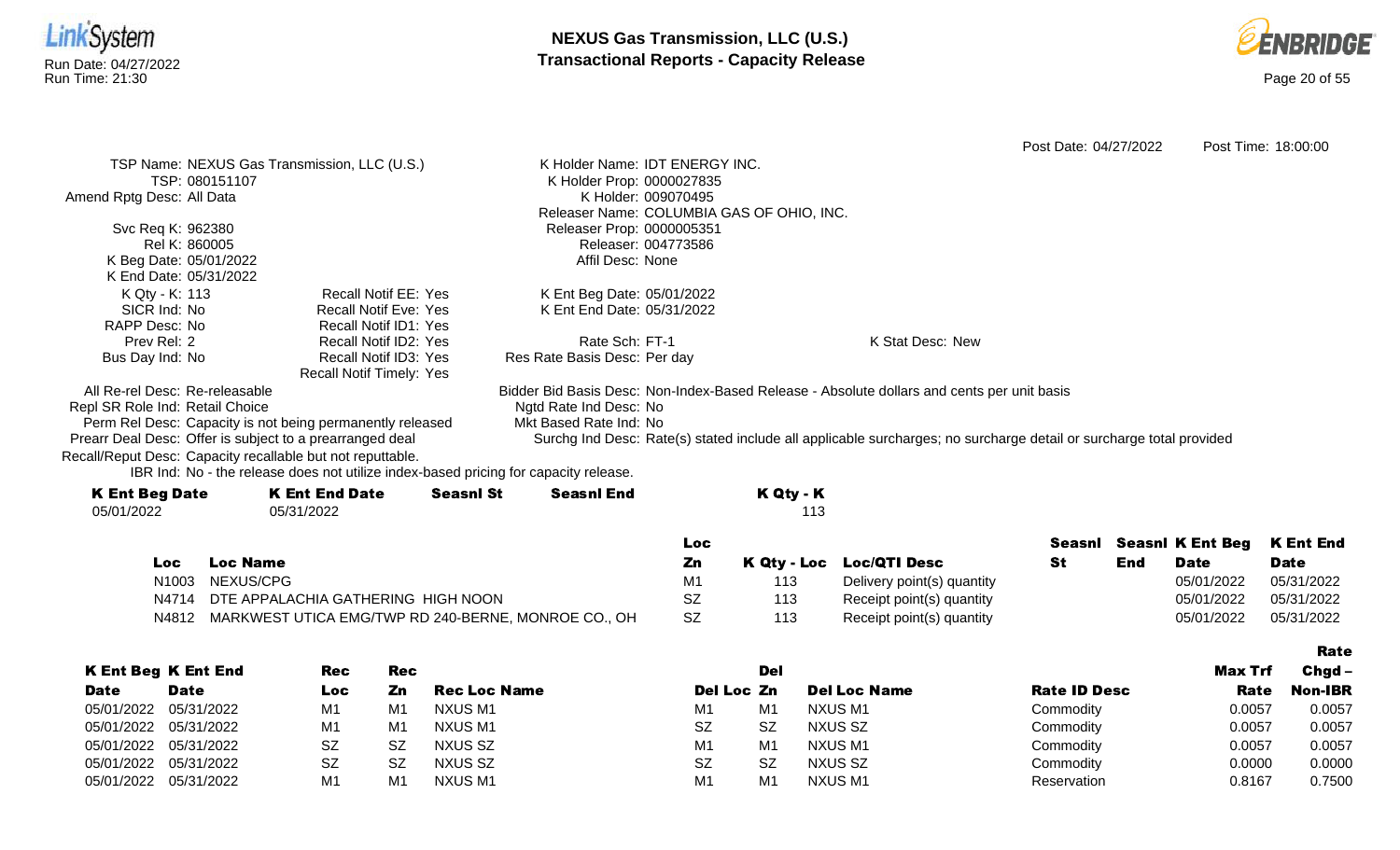

Perm Rel Desc: Capacity is not being permanently released Prearr Deal Desc: Offer is subject to a prearranged deal

Recall/Reput Desc: Capacity recallable but not reputtable.

Ngtd Rate Ind Desc: No Mkt Based Rate Ind: No Surchg Ind Desc: Rate(s) stated include all applicable surcharges; no surcharge detail or surcharge total provided

Rate

| <b>K Ent Beg Date</b> | <b>K Ent End Date</b> | <b>Seasnl St</b> | <b>Seasnl End</b> | K Qty - K |
|-----------------------|-----------------------|------------------|-------------------|-----------|
| 05/01/2022            | 05/31/2022            |                  |                   | 113       |
|                       |                       |                  |                   |           |

|     |                                                           | LOC.      |     |                            |     |             | Seasni Seasni K Ent Beg K Ent End |
|-----|-----------------------------------------------------------|-----------|-----|----------------------------|-----|-------------|-----------------------------------|
| Loc | <b>Loc Name</b>                                           | Ζn        |     | K Qty - Loc Loc/QTI Desc   | End | <b>Date</b> | <b>Date</b>                       |
|     | N1003 NEXUS/CPG                                           |           | 113 | Delivery point(s) quantity |     | 05/01/2022  | 05/31/2022                        |
|     | N4714 DTE APPALACHIA GATHERING HIGH NOON                  | SZ        | 113 | Receipt point(s) quantity  |     | 05/01/2022  | 05/31/2022                        |
|     | N4812 MARKWEST UTICA EMG/TWP RD 240-BERNE, MONROE CO., OH | <b>SZ</b> | 113 | Receipt point(s) quantity  |     | 05/01/2022  | 05/31/2022                        |

|             |                            |            |            |                     |                |                |                     |                     |         | ------         |
|-------------|----------------------------|------------|------------|---------------------|----------------|----------------|---------------------|---------------------|---------|----------------|
|             | <b>K Ent Beg K Ent End</b> | <b>Rec</b> | <b>Rec</b> |                     |                | Del            |                     |                     | Max Trf | $Chgd -$       |
| <b>Date</b> | <b>Date</b>                | Loc        | Zn         | <b>Rec Loc Name</b> | Del Loc Zn     |                | <b>Del Loc Name</b> | <b>Rate ID Desc</b> | Rate    | <b>Non-IBR</b> |
| 05/01/2022  | 05/31/2022                 | M1         | M1         | NXUS M1             | M1             | M <sub>1</sub> | NXUS M1             | Commodity           | 0.0057  | 0.0057         |
|             | 05/01/2022 05/31/2022      | M1         | M1         | NXUS M1             | <b>SZ</b>      | <b>SZ</b>      | NXUS SZ             | Commodity           | 0.0057  | 0.0057         |
|             | 05/01/2022 05/31/2022      | SZ         | SZ         | NXUS SZ             | M <sub>1</sub> | M <sub>1</sub> | NXUS M1             | Commodity           | 0.0057  | 0.0057         |
| 05/01/2022  | 05/31/2022                 | <b>SZ</b>  | SZ         | NXUS SZ             | <b>SZ</b>      | <b>SZ</b>      | NXUS SZ             | Commodity           | 0.0000  | 0.0000         |
| 05/01/2022  | 05/31/2022                 | M1         | M1         | NXUS M1             | M1             | M1             | <b>NXUS M1</b>      | Reservation         | 0.8167  | 0.7500         |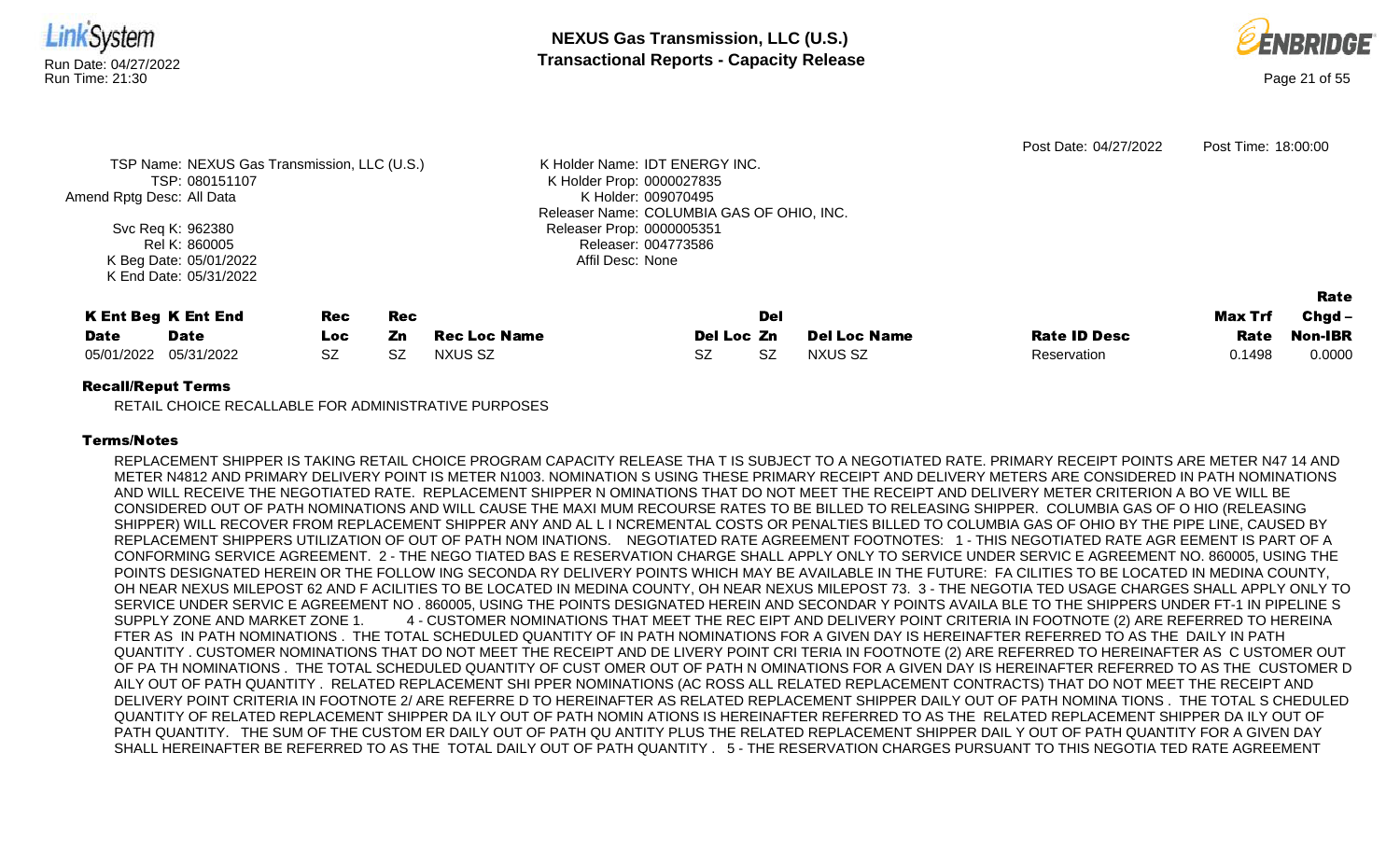

RETAIL CHOICE RECALLABLE FOR ADMINISTRATIVE PURPOSES

## Terms/Notes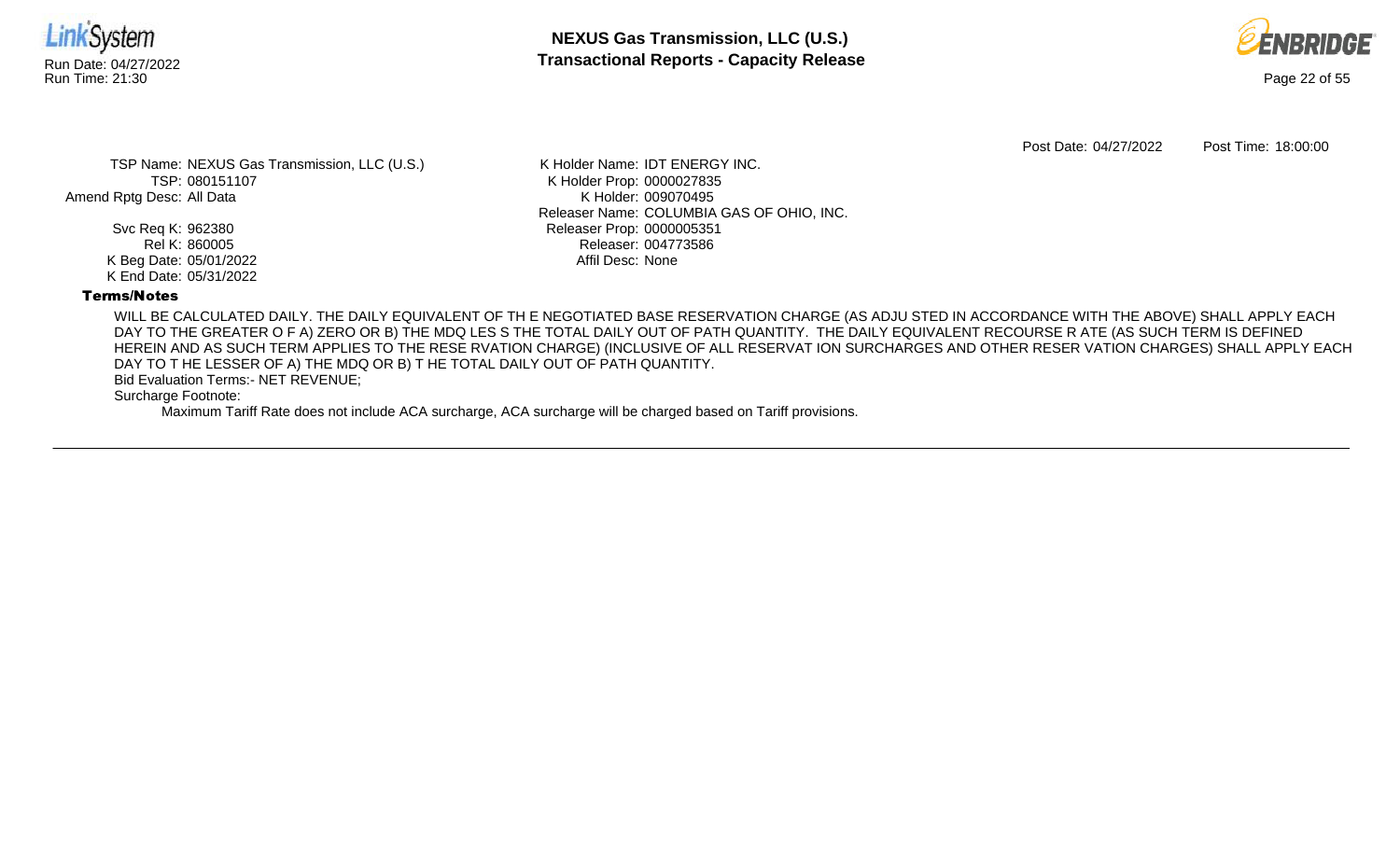



Post Date: 04/27/2022 Post Time: 18:00:00

TSP Name: NEXUS Gas Transmission, LLC (U.S.) TSP: 080151107 Amend Rptg Desc: All Data

> Svc Req K: 962380 Rel K: 860005 K Beg Date: 05/01/2022 K End Date: 05/31/2022

K Holder Name: IDT ENERGY INC. K Holder Prop: 0000027835 K Holder: 009070495 Releaser Name: COLUMBIA GAS OF OHIO, INC. Releaser Prop: 0000005351 Releaser: 004773586 Affil Desc: None

## Terms/Notes

WILL BE CALCULATED DAILY. THE DAILY EQUIVALENT OF TH E NEGOTIATED BASE RESERVATION CHARGE (AS ADJU STED IN ACCORDANCE WITH THE ABOVE) SHALL APPLY EACH DAY TO THE GREATER O F A) ZERO OR B) THE MDQ LES S THE TOTAL DAILY OUT OF PATH QUANTITY. THE DAILY EQUIVALENT RECOURSE R ATE (AS SUCH TERM IS DEFINED HEREIN AND AS SUCH TERM APPLIES TO THE RESE RVATION CHARGE) (INCLUSIVE OF ALL RESERVAT ION SURCHARGES AND OTHER RESER VATION CHARGES) SHALL APPLY EACH DAY TO T HE LESSER OF A) THE MDQ OR B) T HE TOTAL DAILY OUT OF PATH QUANTITY.

Bid Evaluation Terms:- NET REVENUE;

Surcharge Footnote: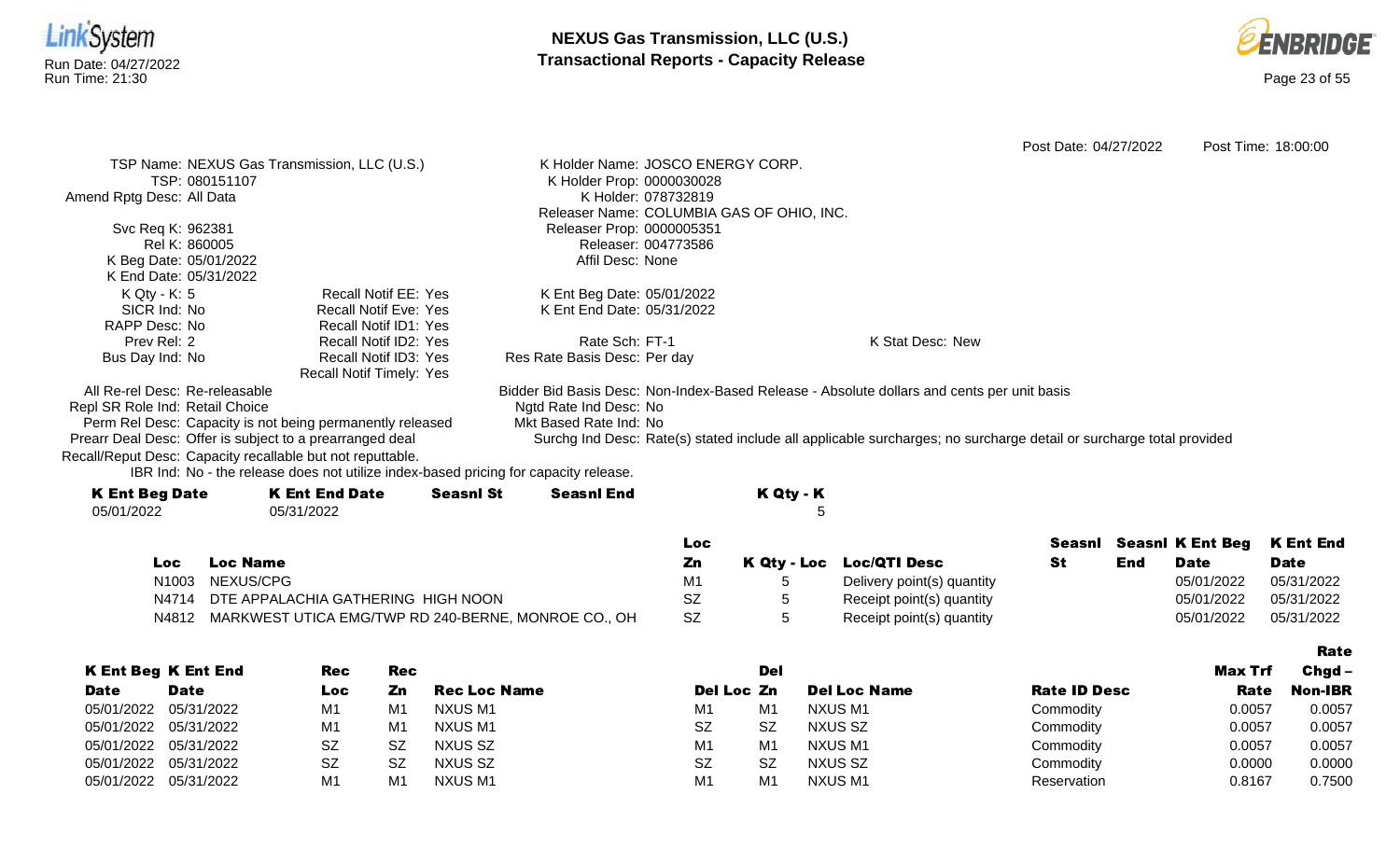



Rate

Post Date: 04/27/2022 Post Time: 18:00:00 TSP Name: NEXUS Gas Transmission, LLC (U.S.) TSP: 080151107 Amend Rptg Desc: All Data Svc Req K: 962381 Rel K: 860005 K Beg Date: 05/01/2022 K End Date: 05/31/2022 K Holder Name: JOSCO ENERGY CORP. K Holder Prop: 0000030028 K Holder: 078732819 Releaser Name: COLUMBIA GAS OF OHIO, INC. Releaser Prop: 0000005351 Releaser: 004773586 Affil Desc: None K Qty - K: 5 SICR Ind: No RAPP Desc: No Prev Rel: 2 Bus Day Ind: No Recall Notif EE: Yes Recall Notif Eve: Yes Recall Notif ID1: Yes Recall Notif ID2: Yes Recall Notif ID3: Yes Recall Notif Timely: Yes K Ent Beg Date: 05/01/2022 K Ent End Date: 05/31/2022 Rate Sch: FT-1 Res Rate Basis Desc: Per day K Stat Desc: New All Re-rel Desc: Re-releasable Repl SR Role Ind: Retail Choice Perm Rel Desc: Capacity is not being permanently released Prearr Deal Desc: Offer is subject to a prearranged deal Bidder Bid Basis Desc: Non-Index-Based Release - Absolute dollars and cents per unit basis Ngtd Rate Ind Desc: No Mkt Based Rate Ind: No Surchg Ind Desc: Rate(s) stated include all applicable surcharges; no surcharge detail or surcharge total provided Recall/Reput Desc: Capacity recallable but not reputtable.

| <b>K Ent Beg Date</b> | <b>K Ent End Date</b> | <b>Seasnl St</b> | <b>Seasnl End</b> |     | K Qty - K |
|-----------------------|-----------------------|------------------|-------------------|-----|-----------|
| 05/01/2022            | 05/31/2022            |                  |                   |     |           |
|                       |                       |                  |                   | Loc |           |

|      |                                                           | Loc       |                            |     |             | Seasni Seasni K Ent Beg K Ent End |
|------|-----------------------------------------------------------|-----------|----------------------------|-----|-------------|-----------------------------------|
| Loc. | <b>Loc Name</b>                                           | Zn        | K Qty - Loc Loc/QTI Desc   | End | <b>Date</b> | <b>Date</b>                       |
|      | N1003 NEXUS/CPG                                           | M1        | Delivery point(s) quantity |     | 05/01/2022  | 05/31/2022                        |
|      | N4714 DTE APPALACHIA GATHERING HIGH NOON                  |           | Receipt point(s) quantity  |     | 05/01/2022  | 05/31/2022                        |
|      | N4812 MARKWEST UTICA EMG/TWP RD 240-BERNE, MONROE CO., OH | <b>SZ</b> | Receipt point(s) quantity  |     | 05/01/2022  | 05/31/2022                        |

|                       |                            |            |                |                     |            |                |                     |                     |         | --------       |
|-----------------------|----------------------------|------------|----------------|---------------------|------------|----------------|---------------------|---------------------|---------|----------------|
|                       | <b>K Ent Beg K Ent End</b> | <b>Rec</b> | <b>Rec</b>     |                     |            | Del            |                     |                     | Max Trf | $Chqd -$       |
| <b>Date</b>           | <b>Date</b>                | Loc        | Zn             | <b>Rec Loc Name</b> | Del Loc Zn |                | <b>Del Loc Name</b> | <b>Rate ID Desc</b> | Rate    | <b>Non-IBR</b> |
| 05/01/2022 05/31/2022 |                            | M1         | M1             | NXUS M1             | M1         | M1             | NXUS M1             | Commodity           | 0.0057  | 0.0057         |
| 05/01/2022 05/31/2022 |                            | M1         | M <sub>1</sub> | NXUS M1             | <b>SZ</b>  | <b>SZ</b>      | NXUS SZ             | Commodity           | 0.0057  | 0.0057         |
| 05/01/2022 05/31/2022 |                            | <b>SZ</b>  | SZ             | NXUS SZ             | M1         | M <sub>1</sub> | NXUS M1             | Commodity           | 0.0057  | 0.0057         |
| 05/01/2022 05/31/2022 |                            | <b>SZ</b>  | SZ             | NXUS SZ             | <b>SZ</b>  | SZ             | NXUS SZ             | Commodity           | 0.0000  | 0.0000         |
| 05/01/2022 05/31/2022 |                            | M1         | M1             | NXUS M1             | M1         | M <sub>1</sub> | NXUS M1             | Reservation         | 0.8167  | 0.7500         |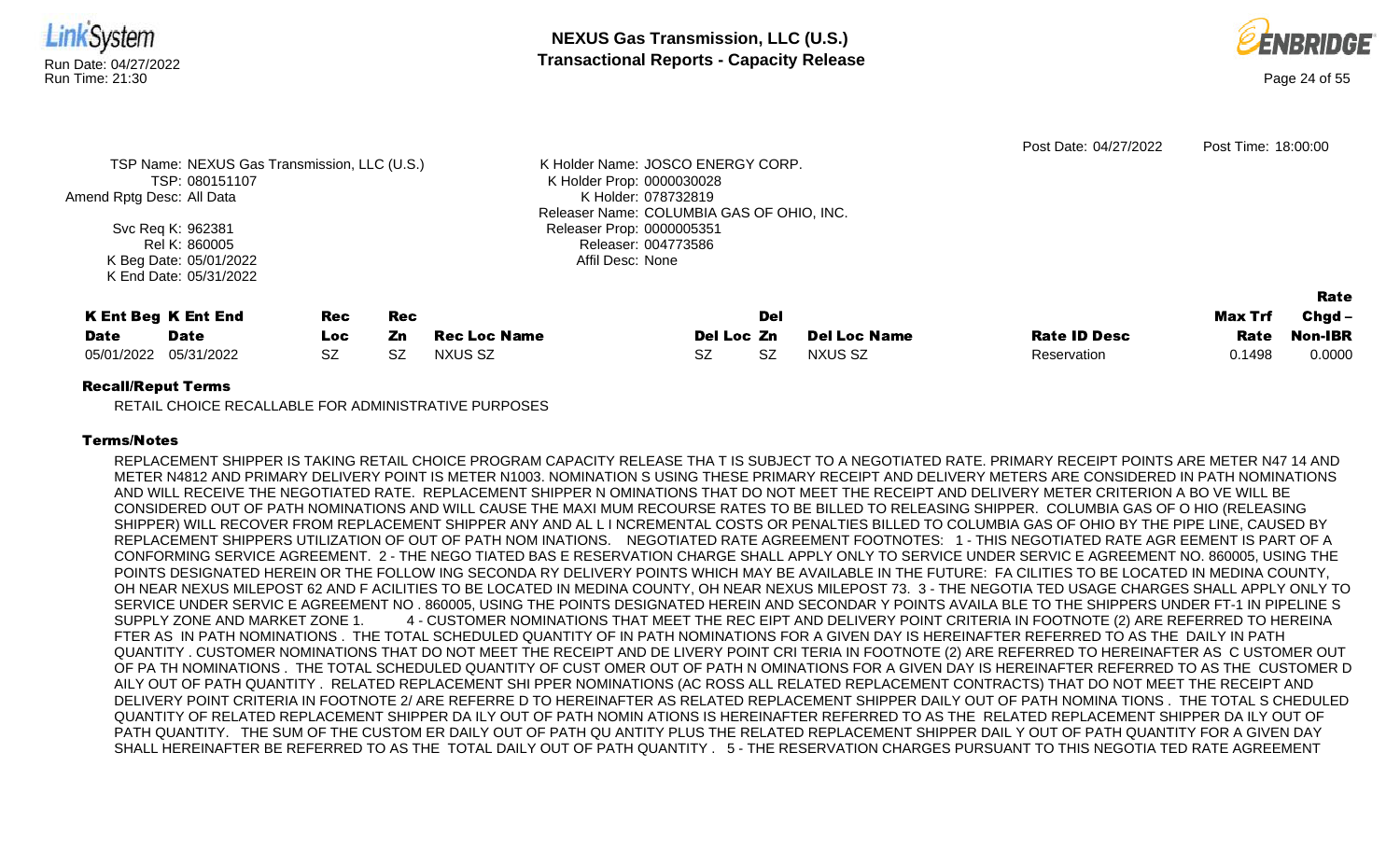



|                           |                                              |           |            |                     |                                           |           |                     | Post Date: 04/27/2022 | Post Time: 18:00:00 |                |
|---------------------------|----------------------------------------------|-----------|------------|---------------------|-------------------------------------------|-----------|---------------------|-----------------------|---------------------|----------------|
|                           | TSP Name: NEXUS Gas Transmission, LLC (U.S.) |           |            |                     | K Holder Name: JOSCO ENERGY CORP.         |           |                     |                       |                     |                |
|                           | TSP: 080151107                               |           |            |                     | K Holder Prop: 0000030028                 |           |                     |                       |                     |                |
| Amend Rptg Desc: All Data |                                              |           |            |                     | K Holder: 078732819                       |           |                     |                       |                     |                |
|                           |                                              |           |            |                     | Releaser Name: COLUMBIA GAS OF OHIO, INC. |           |                     |                       |                     |                |
|                           | Svc Req K: 962381                            |           |            |                     | Releaser Prop: 0000005351                 |           |                     |                       |                     |                |
| Rel K: 860005             |                                              |           |            |                     | Releaser: 004773586                       |           |                     |                       |                     |                |
|                           | K Beg Date: 05/01/2022                       |           |            |                     | Affil Desc: None                          |           |                     |                       |                     |                |
|                           | K End Date: 05/31/2022                       |           |            |                     |                                           |           |                     |                       |                     |                |
|                           |                                              |           |            |                     |                                           |           |                     |                       |                     | Rate           |
|                           | <b>K Ent Beg K Ent End</b>                   | Rec       | <b>Rec</b> |                     |                                           | Del       |                     |                       | Max Trf             | Chgd -         |
| <b>Date</b>               | <b>Date</b>                                  | Loc.      | Zn         | <b>Rec Loc Name</b> | Del Loc Zn                                |           | <b>Del Loc Name</b> | <b>Rate ID Desc</b>   | Rate                | <b>Non-IBR</b> |
| 05/01/2022                | 05/31/2022                                   | <b>SZ</b> | SZ         | NXUS SZ             | SZ.                                       | <b>SZ</b> | NXUS SZ             | Reservation           | 0.1498              | 0.0000         |
|                           |                                              |           |            |                     |                                           |           |                     |                       |                     |                |

RETAIL CHOICE RECALLABLE FOR ADMINISTRATIVE PURPOSES

# Terms/Notes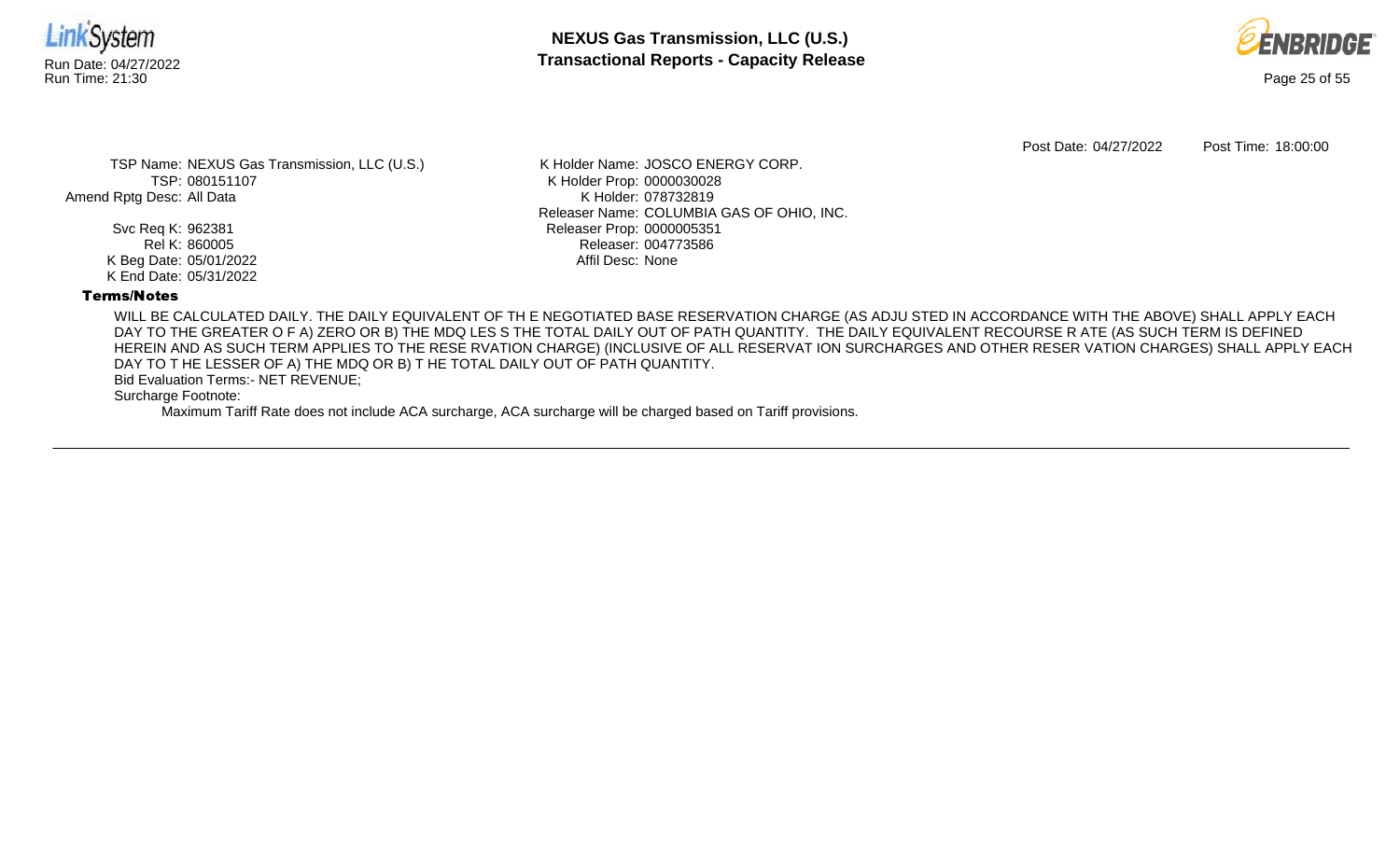



Post Date: 04/27/2022 Post Time: 18:00:00

TSP Name: NEXUS Gas Transmission, LLC (U.S.) TSP: 080151107 Amend Rptg Desc: All Data

> Svc Req K: 962381 Rel K: 860005 K Beg Date: 05/01/2022 K End Date: 05/31/2022

K Holder Name: JOSCO ENERGY CORP. K Holder Prop: 0000030028 K Holder: 078732819 Releaser Name: COLUMBIA GAS OF OHIO, INC. Releaser Prop: 0000005351 Releaser: 004773586 Affil Desc: None

## Terms/Notes

WILL BE CALCULATED DAILY. THE DAILY EQUIVALENT OF TH E NEGOTIATED BASE RESERVATION CHARGE (AS ADJU STED IN ACCORDANCE WITH THE ABOVE) SHALL APPLY EACH DAY TO THE GREATER O F A) ZERO OR B) THE MDQ LES S THE TOTAL DAILY OUT OF PATH QUANTITY. THE DAILY EQUIVALENT RECOURSE R ATE (AS SUCH TERM IS DEFINED HEREIN AND AS SUCH TERM APPLIES TO THE RESE RVATION CHARGE) (INCLUSIVE OF ALL RESERVAT ION SURCHARGES AND OTHER RESER VATION CHARGES) SHALL APPLY EACH DAY TO T HE LESSER OF A) THE MDQ OR B) T HE TOTAL DAILY OUT OF PATH QUANTITY.

Bid Evaluation Terms:- NET REVENUE;

Surcharge Footnote: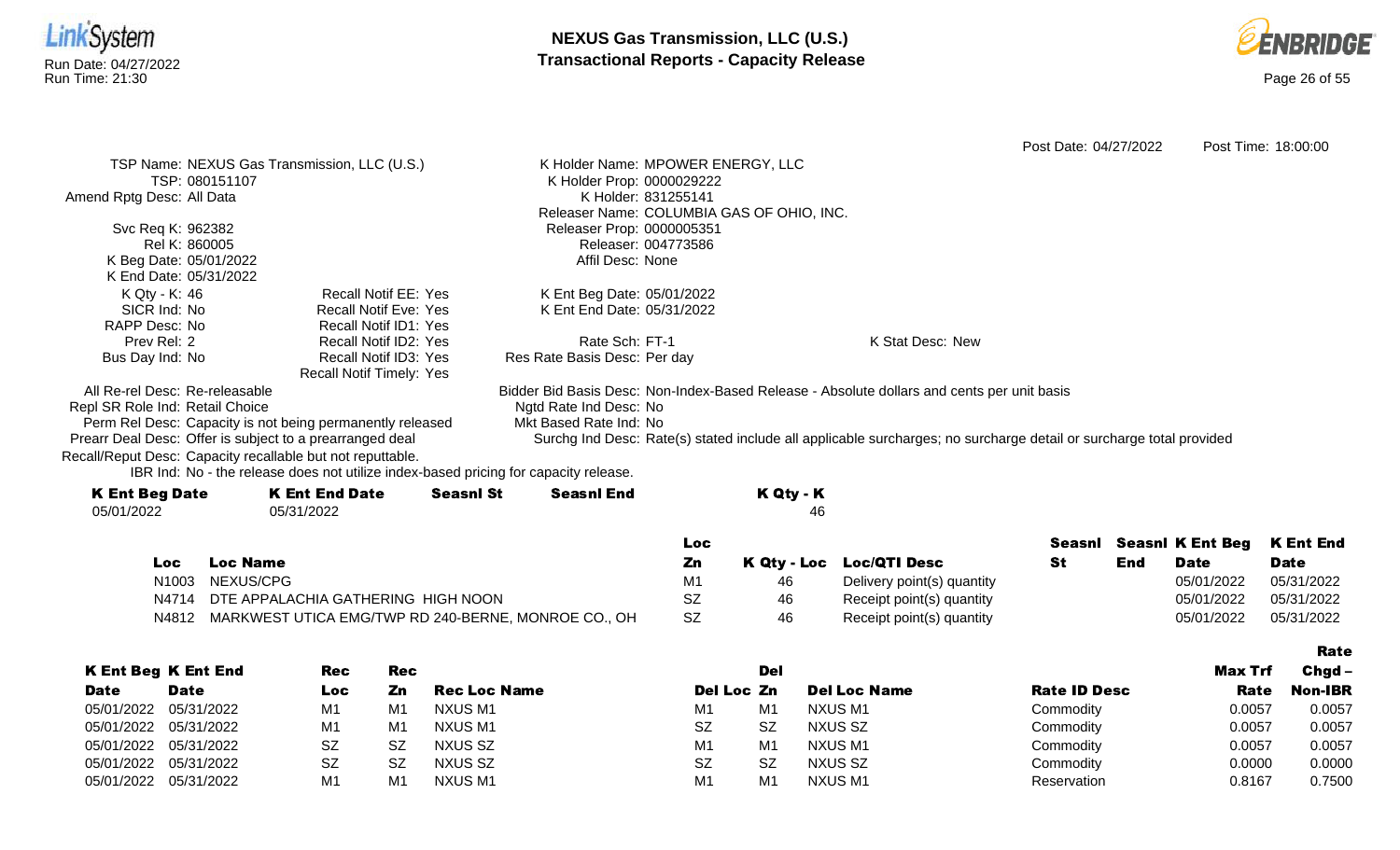



|                                                            |                                                                                      |                                       |                                   |                                           |                                                                                                                    | Post Date: 04/27/2022 |     |                         | Post Time: 18:00:00 |
|------------------------------------------------------------|--------------------------------------------------------------------------------------|---------------------------------------|-----------------------------------|-------------------------------------------|--------------------------------------------------------------------------------------------------------------------|-----------------------|-----|-------------------------|---------------------|
|                                                            | TSP Name: NEXUS Gas Transmission, LLC (U.S.)                                         |                                       | K Holder Name: MPOWER ENERGY, LLC |                                           |                                                                                                                    |                       |     |                         |                     |
| TSP: 080151107                                             |                                                                                      |                                       | K Holder Prop: 0000029222         |                                           |                                                                                                                    |                       |     |                         |                     |
| Amend Rptg Desc: All Data                                  |                                                                                      |                                       | K Holder: 831255141               |                                           |                                                                                                                    |                       |     |                         |                     |
|                                                            |                                                                                      |                                       |                                   | Releaser Name: COLUMBIA GAS OF OHIO, INC. |                                                                                                                    |                       |     |                         |                     |
| Svc Req K: 962382                                          |                                                                                      |                                       | Releaser Prop: 0000005351         |                                           |                                                                                                                    |                       |     |                         |                     |
| Rel K: 860005                                              |                                                                                      |                                       | Releaser: 004773586               |                                           |                                                                                                                    |                       |     |                         |                     |
| K Beg Date: 05/01/2022                                     |                                                                                      | Affil Desc: None                      |                                   |                                           |                                                                                                                    |                       |     |                         |                     |
| K End Date: 05/31/2022                                     |                                                                                      |                                       |                                   |                                           |                                                                                                                    |                       |     |                         |                     |
| K Qty - K: 46                                              | <b>Recall Notif EE: Yes</b>                                                          |                                       | K Ent Beg Date: 05/01/2022        |                                           |                                                                                                                    |                       |     |                         |                     |
| SICR Ind: No                                               | <b>Recall Notif Eve: Yes</b>                                                         |                                       | K Ent End Date: 05/31/2022        |                                           |                                                                                                                    |                       |     |                         |                     |
| RAPP Desc: No                                              | Recall Notif ID1: Yes                                                                |                                       |                                   |                                           |                                                                                                                    |                       |     |                         |                     |
| Prev Rel: 2                                                | Recall Notif ID2: Yes                                                                | Rate Sch: FT-1                        |                                   |                                           | K Stat Desc: New                                                                                                   |                       |     |                         |                     |
| Bus Day Ind: No                                            | Recall Notif ID3: Yes                                                                | Res Rate Basis Desc: Per day          |                                   |                                           |                                                                                                                    |                       |     |                         |                     |
|                                                            | <b>Recall Notif Timely: Yes</b>                                                      |                                       |                                   |                                           |                                                                                                                    |                       |     |                         |                     |
| All Re-rel Desc: Re-releasable                             |                                                                                      |                                       |                                   |                                           | Bidder Bid Basis Desc: Non-Index-Based Release - Absolute dollars and cents per unit basis                         |                       |     |                         |                     |
| Repl SR Role Ind: Retail Choice                            |                                                                                      | Ngtd Rate Ind Desc: No                |                                   |                                           |                                                                                                                    |                       |     |                         |                     |
|                                                            | Perm Rel Desc: Capacity is not being permanently released                            | Mkt Based Rate Ind: No                |                                   |                                           |                                                                                                                    |                       |     |                         |                     |
| Prearr Deal Desc: Offer is subject to a prearranged deal   |                                                                                      |                                       |                                   |                                           | Surchg Ind Desc: Rate(s) stated include all applicable surcharges; no surcharge detail or surcharge total provided |                       |     |                         |                     |
| Recall/Reput Desc: Capacity recallable but not reputtable. |                                                                                      |                                       |                                   |                                           |                                                                                                                    |                       |     |                         |                     |
|                                                            | IBR Ind: No - the release does not utilize index-based pricing for capacity release. |                                       |                                   |                                           |                                                                                                                    |                       |     |                         |                     |
| <b>K Ent Beg Date</b>                                      | <b>K Ent End Date</b>                                                                | <b>Seasnl St</b><br><b>Seasnl End</b> |                                   | K Qty - K                                 |                                                                                                                    |                       |     |                         |                     |
| 05/01/2022                                                 | 05/31/2022                                                                           |                                       |                                   | 46                                        |                                                                                                                    |                       |     |                         |                     |
|                                                            |                                                                                      |                                       | <b>Loc</b>                        |                                           |                                                                                                                    | Seasnl                |     | <b>Seasnl K Ent Beg</b> | <b>K Ent End</b>    |
| <b>Loc Name</b><br>Loc                                     |                                                                                      |                                       | Zn                                | K Qty - Loc                               | <b>Loc/QTI Desc</b>                                                                                                | <b>St</b>             | End | <b>Date</b>             | <b>Date</b>         |
| NEXUS/CPG<br>N <sub>1003</sub>                             |                                                                                      |                                       | M1                                | 46                                        |                                                                                                                    |                       |     | 05/01/2022              | 05/31/2022          |
|                                                            |                                                                                      |                                       |                                   |                                           | Delivery point(s) quantity                                                                                         |                       |     |                         |                     |
| N4714                                                      | DTE APPALACHIA GATHERING HIGH NOON                                                   |                                       | <b>SZ</b>                         | 46                                        | Receipt point(s) quantity                                                                                          |                       |     | 05/01/2022              | 05/31/2022          |
| N4812                                                      | MARKWEST UTICA EMG/TWP RD 240-BERNE, MONROE CO., OH                                  |                                       | <b>SZ</b>                         | 46                                        | Receipt point(s) quantity                                                                                          |                       |     | 05/01/2022              | 05/31/2022          |

|                       |                            |           |     |                     |                |                |                     |                     |         | <b>Rate</b>    |
|-----------------------|----------------------------|-----------|-----|---------------------|----------------|----------------|---------------------|---------------------|---------|----------------|
|                       | <b>K Ent Beg K Ent End</b> | Rec       | Rec |                     |                | Del            |                     |                     | Max Trf | $Chgd -$       |
| <b>Date</b>           | <b>Date</b>                | Loc       | Zn. | <b>Rec Loc Name</b> | Del Loc Zn     |                | <b>Del Loc Name</b> | <b>Rate ID Desc</b> | Rate    | <b>Non-IBR</b> |
| 05/01/2022            | 05/31/2022                 | M1        | M1  | NXUS M1             | M1             | M1             | NXUS M1             | Commodity           | 0.0057  | 0.0057         |
| 05/01/2022 05/31/2022 |                            | M1        | M1  | NXUS M1             | SZ             | <b>SZ</b>      | NXUS SZ             | Commodity           | 0.0057  | 0.0057         |
| 05/01/2022 05/31/2022 |                            | <b>SZ</b> | SZ  | NXUS SZ             | M <sub>1</sub> | M <sub>1</sub> | NXUS M1             | Commodity           | 0.0057  | 0.0057         |
| 05/01/2022            | 05/31/2022                 | SZ        | SZ  | NXUS SZ             | SZ             | -SZ            | NXUS SZ             | Commodity           | 0.0000  | 0.0000         |
| 05/01/2022            | 05/31/2022                 | M1        | M1  | NXUS M1             | M1             | M <sub>1</sub> | NXUS M1             | Reservation         | 0.8167  | 0.7500         |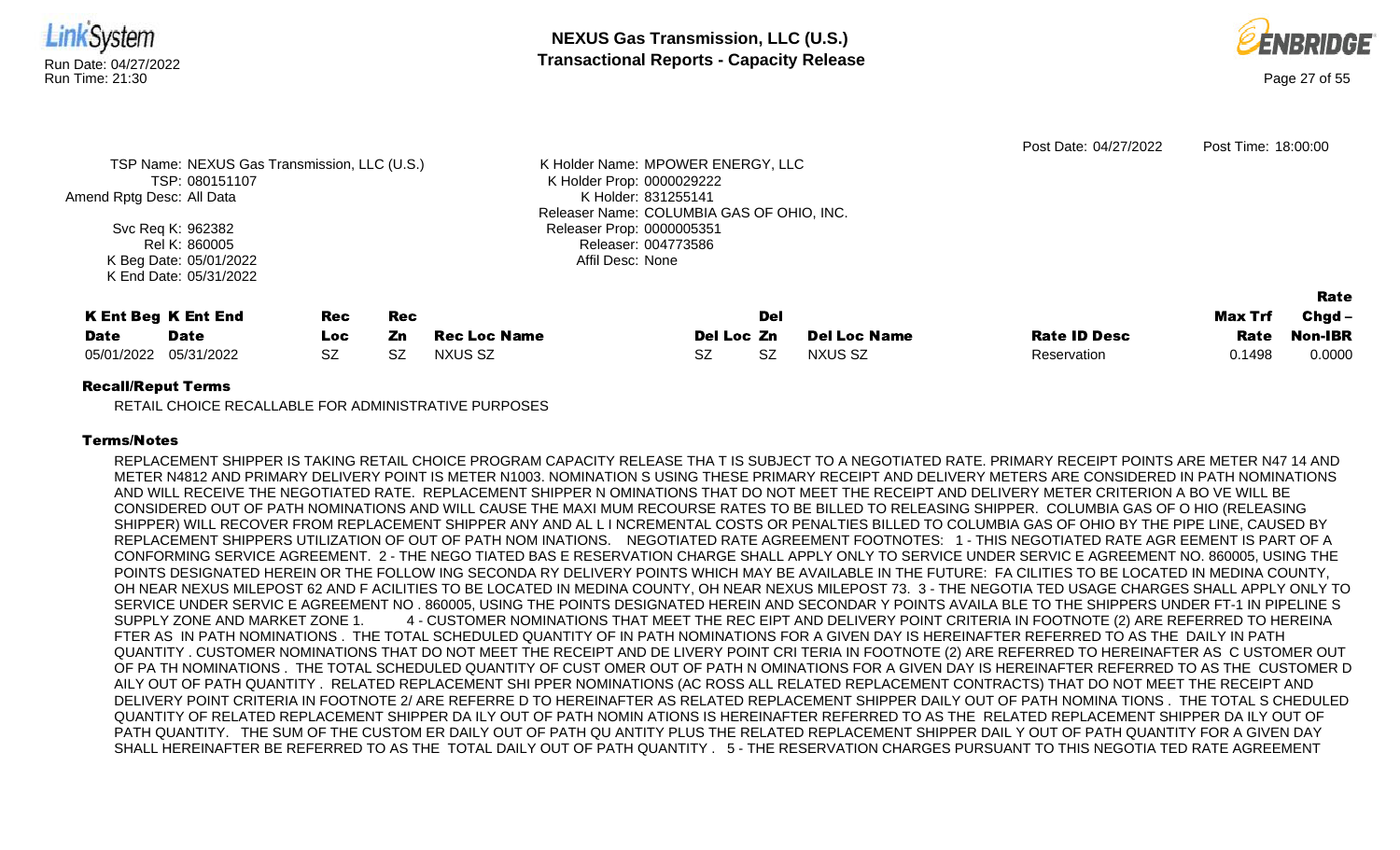



|                           |                                              |            |            |                     |                                           |                     | Post Date: 04/27/2022 | Post Time: 18:00:00 |          |
|---------------------------|----------------------------------------------|------------|------------|---------------------|-------------------------------------------|---------------------|-----------------------|---------------------|----------|
|                           | TSP Name: NEXUS Gas Transmission, LLC (U.S.) |            |            |                     | K Holder Name: MPOWER ENERGY, LLC         |                     |                       |                     |          |
|                           | TSP: 080151107                               |            |            |                     | K Holder Prop: 0000029222                 |                     |                       |                     |          |
| Amend Rptg Desc: All Data |                                              |            |            |                     | K Holder: 831255141                       |                     |                       |                     |          |
|                           |                                              |            |            |                     | Releaser Name: COLUMBIA GAS OF OHIO, INC. |                     |                       |                     |          |
|                           | Svc Req K: 962382                            |            |            |                     | Releaser Prop: 0000005351                 |                     |                       |                     |          |
|                           | Rel K: 860005                                |            |            |                     | Releaser: 004773586                       |                     |                       |                     |          |
|                           | K Beg Date: 05/01/2022                       |            |            |                     | Affil Desc: None                          |                     |                       |                     |          |
|                           | K End Date: 05/31/2022                       |            |            |                     |                                           |                     |                       |                     |          |
|                           |                                              |            |            |                     |                                           |                     |                       |                     | Rate     |
|                           | <b>K Ent Beg K Ent End</b>                   | <b>Rec</b> | <b>Rec</b> |                     | Del                                       |                     |                       | Max Trf             | $Chgd -$ |
| <b>Date</b>               | <b>Date</b>                                  | Loc.       | Zn         | <b>Rec Loc Name</b> | Del Loc Zn                                | <b>Del Loc Name</b> | <b>Rate ID Desc</b>   | Rate                | Non-IBR  |
| 05/01/2022                | 05/31/2022                                   | <b>SZ</b>  | <b>SZ</b>  | <b>NXUS SZ</b>      | <b>SZ</b><br>SZ.                          | NXUS SZ             | Reservation           | 0.1498              | 0.0000   |
|                           |                                              |            |            |                     |                                           |                     |                       |                     |          |

RETAIL CHOICE RECALLABLE FOR ADMINISTRATIVE PURPOSES

## Terms/Notes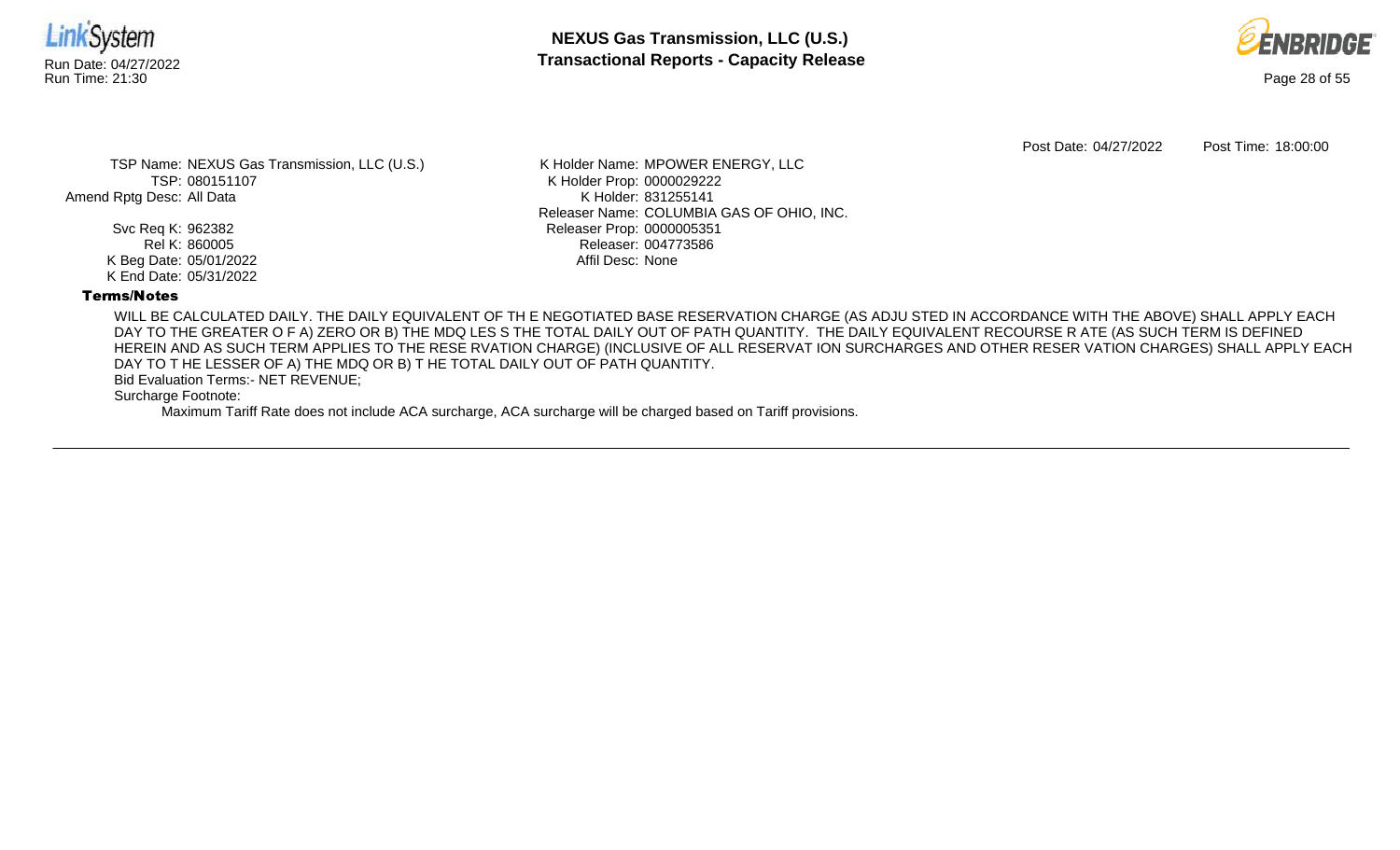



Post Date: 04/27/2022 Post Time: 18:00:00

TSP Name: NEXUS Gas Transmission, LLC (U.S.) TSP: 080151107 Amend Rptg Desc: All Data

> Svc Req K: 962382 Rel K: 860005 K Beg Date: 05/01/2022 K End Date: 05/31/2022

K Holder Name: MPOWER ENERGY, LLC K Holder Prop: 0000029222 K Holder: 831255141 Releaser Name: COLUMBIA GAS OF OHIO, INC. Releaser Prop: 0000005351 Releaser: 004773586 Affil Desc: None

## Terms/Notes

WILL BE CALCULATED DAILY. THE DAILY EQUIVALENT OF TH E NEGOTIATED BASE RESERVATION CHARGE (AS ADJU STED IN ACCORDANCE WITH THE ABOVE) SHALL APPLY EACH DAY TO THE GREATER O F A) ZERO OR B) THE MDQ LES S THE TOTAL DAILY OUT OF PATH QUANTITY. THE DAILY EQUIVALENT RECOURSE R ATE (AS SUCH TERM IS DEFINED HEREIN AND AS SUCH TERM APPLIES TO THE RESE RVATION CHARGE) (INCLUSIVE OF ALL RESERVAT ION SURCHARGES AND OTHER RESER VATION CHARGES) SHALL APPLY EACH DAY TO T HE LESSER OF A) THE MDQ OR B) T HE TOTAL DAILY OUT OF PATH QUANTITY.

Bid Evaluation Terms:- NET REVENUE;

Surcharge Footnote: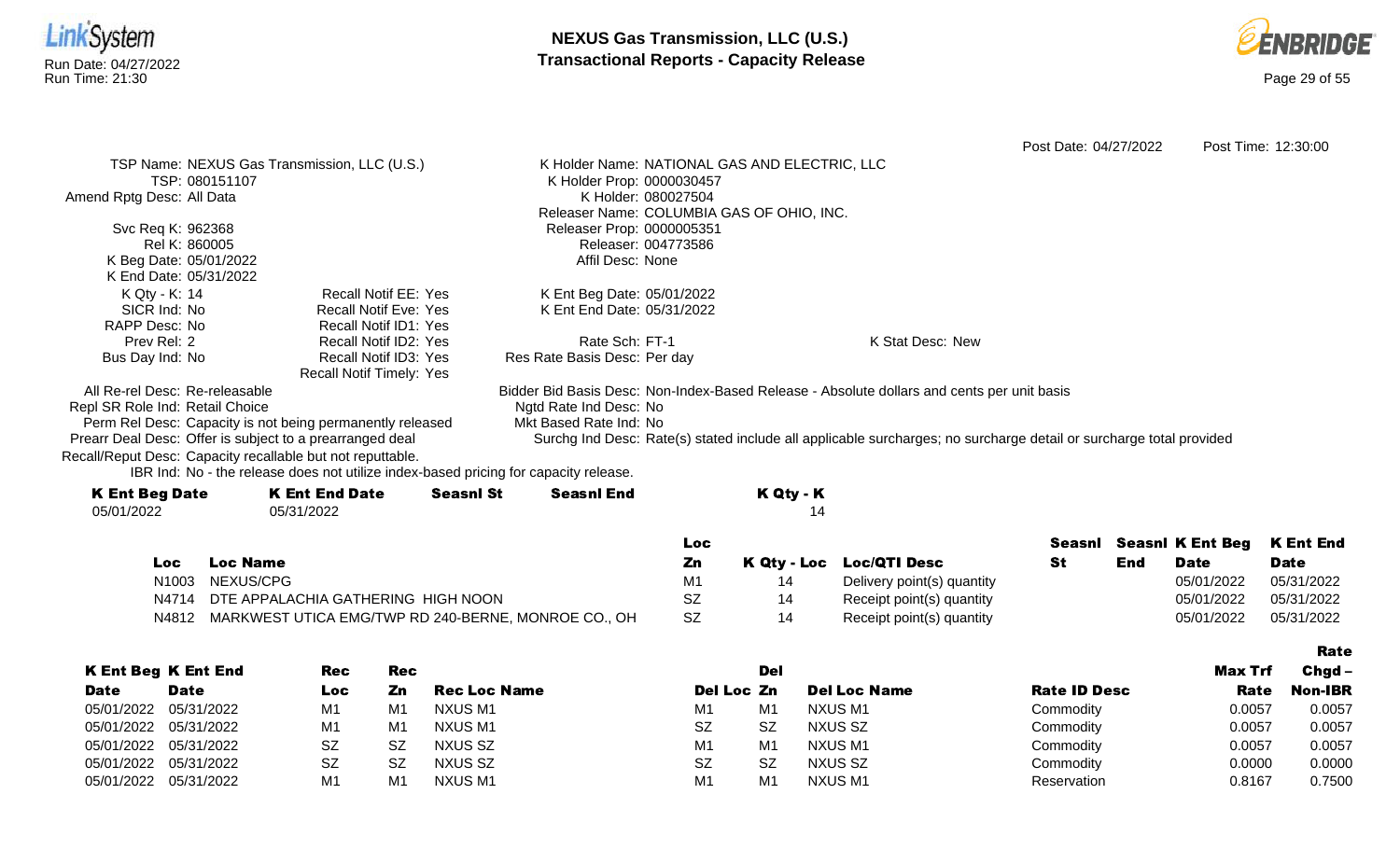



Post Date: 04/27/2022 Post Time: 12:30:00 TSP Name: NEXUS Gas Transmission, LLC (U.S.) TSP: 080151107 Amend Rptg Desc: All Data Svc Req K: 962368 Rel K: 860005 K Beg Date: 05/01/2022 K End Date: 05/31/2022 K Holder Name: NATIONAL GAS AND ELECTRIC, LLC K Holder Prop: 0000030457 K Holder: 080027504 Releaser Name: COLUMBIA GAS OF OHIO, INC. Releaser Prop: 0000005351 Releaser: 004773586 Affil Desc: None K Qty - K: 14 SICR Ind: No RAPP Desc: No Prev Rel: 2 Bus Day Ind: No Recall Notif EE: Yes Recall Notif Eve: Yes Recall Notif ID1: Yes Recall Notif ID2: Yes Recall Notif ID3: Yes Recall Notif Timely: Yes K Ent Beg Date: 05/01/2022 K Ent End Date: 05/31/2022 Rate Sch: FT-1 Res Rate Basis Desc: Per day K Stat Desc: New All Re-rel Desc: Re-releasable Repl SR Role Ind: Retail Choice Perm Rel Desc: Capacity is not being permanently released Prearr Deal Desc: Offer is subject to a prearranged deal Bidder Bid Basis Desc: Non-Index-Based Release - Absolute dollars and cents per unit basis Ngtd Rate Ind Desc: No Mkt Based Rate Ind: No Surchg Ind Desc: Rate(s) stated include all applicable surcharges; no surcharge detail or surcharge total provided Recall/Reput Desc: Capacity recallable but not reputtable.

| <b>K Ent Beg Date</b> | <b>K Ent End Date</b> | <b>Seasnl St</b> | <b>Seasnl End</b> | K Qty - K |
|-----------------------|-----------------------|------------------|-------------------|-----------|
| 05/01/2022            | 05/31/2022            |                  |                   |           |
|                       |                       |                  |                   |           |

|      |                                                           | Loc |                            |     |            | Seasnl Seasnl K Ent Beg K Ent End |
|------|-----------------------------------------------------------|-----|----------------------------|-----|------------|-----------------------------------|
| Loc. | <b>Loc Name</b>                                           |     | K Qty - Loc Loc/QTI Desc   | End | Date       | <b>Date</b>                       |
|      | N1003 NEXUS/CPG                                           |     | Delivery point(s) quantity |     | 05/01/2022 | 05/31/2022                        |
|      | N4714 DTE APPALACHIA GATHERING HIGH NOON                  | SZ  | Receipt point(s) quantity  |     | 05/01/2022 | 05/31/2022                        |
|      | N4812 MARKWEST UTICA EMG/TWP RD 240-BERNE, MONROE CO., OH | SZ  | Receipt point(s) quantity  |     | 05/01/2022 | 05/31/2022                        |

|             |                            |                |           |                     |                |                |                     |                     |         | Rate           |
|-------------|----------------------------|----------------|-----------|---------------------|----------------|----------------|---------------------|---------------------|---------|----------------|
|             | <b>K Ent Beg K Ent End</b> | Rec            | Rec       |                     |                | Del            |                     |                     | Max Trf | $Chgd -$       |
| <b>Date</b> | <b>Date</b>                | Loc            | Zn        | <b>Rec Loc Name</b> | Del Loc Zn     |                | <b>Del Loc Name</b> | <b>Rate ID Desc</b> | Rate    | <b>Non-IBR</b> |
| 05/01/2022  | 05/31/2022                 | M <sub>1</sub> | M1        | NXUS M1             | M1             | M <sub>1</sub> | NXUS M1             | Commodity           | 0.0057  | 0.0057         |
| 05/01/2022  | 05/31/2022                 | M <sub>1</sub> | M1        | NXUS M1             | <b>SZ</b>      | <b>SZ</b>      | NXUS SZ             | Commodity           | 0.0057  | 0.0057         |
| 05/01/2022  | 05/31/2022                 | SZ             | -SZ       | NXUS SZ             | M <sub>1</sub> | M <sub>1</sub> | NXUS M1             | Commodity           | 0.0057  | 0.0057         |
| 05/01/2022  | 05/31/2022                 | SZ             | <b>SZ</b> | NXUS SZ             | <b>SZ</b>      | <b>SZ</b>      | NXUS SZ             | Commodity           | 0.0000  | 0.0000         |
| 05/01/2022  | 05/31/2022                 | M <sub>1</sub> | M1        | NXUS M1             | M1             | M <sub>1</sub> | NXUS M1             | Reservation         | 0.8167  | 0.7500         |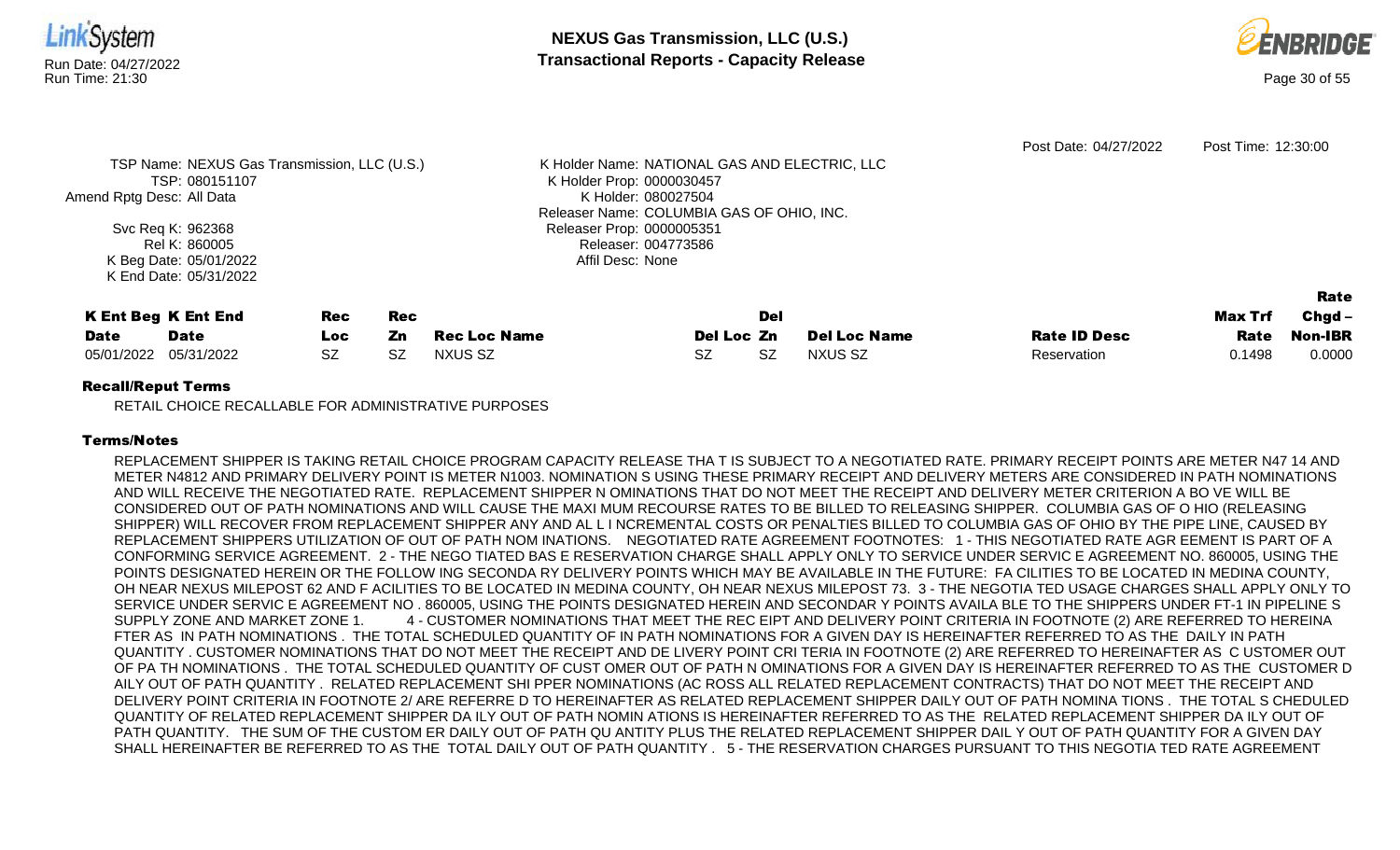

RETAIL CHOICE RECALLABLE FOR ADMINISTRATIVE PURPOSES

## Terms/Notes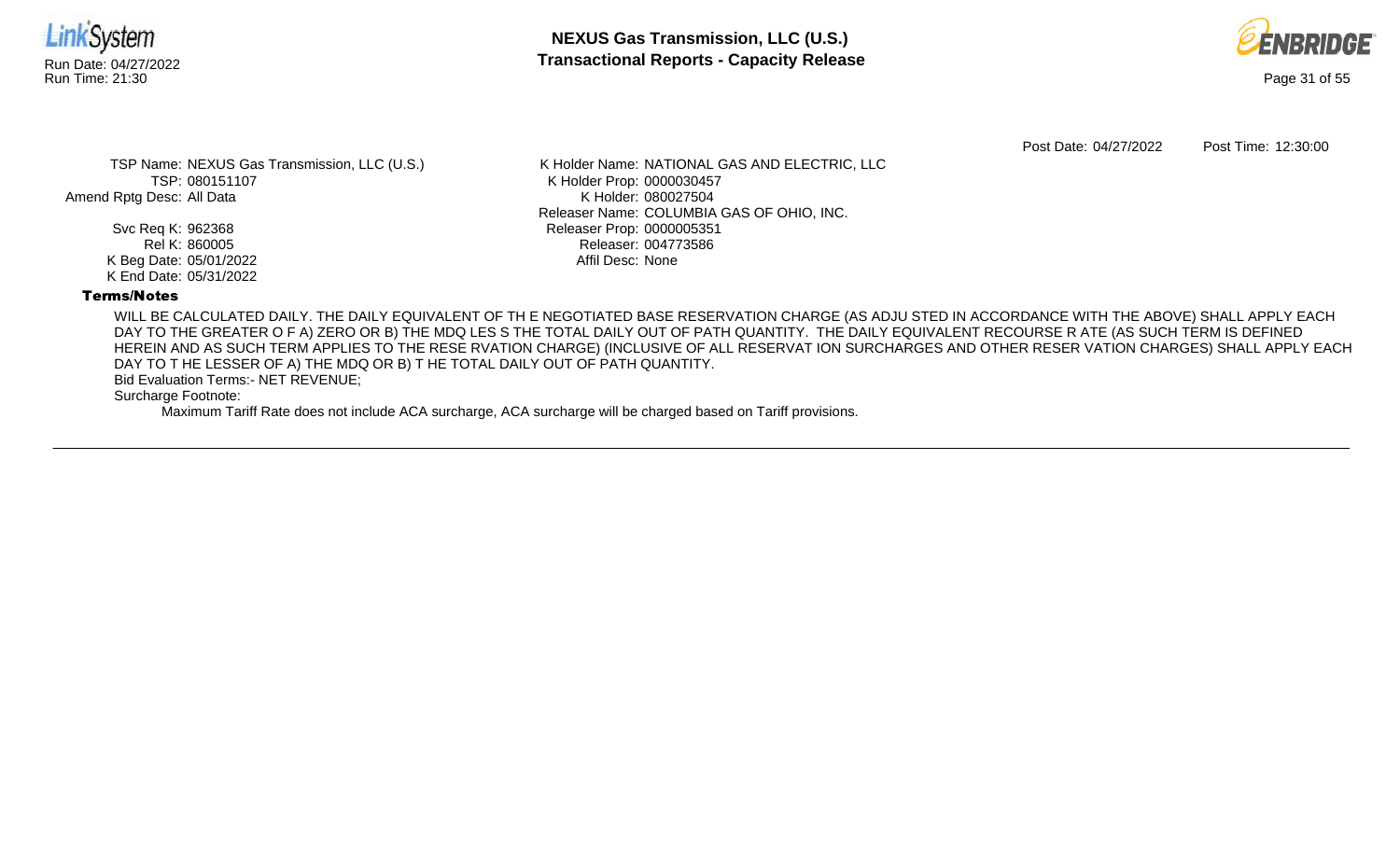



Post Date: 04/27/2022 Post Time: 12:30:00

TSP Name: NEXUS Gas Transmission, LLC (U.S.) TSP: 080151107 Amend Rptg Desc: All Data

> Svc Req K: 962368 Rel K: 860005 K Beg Date: 05/01/2022 K End Date: 05/31/2022

K Holder Name: NATIONAL GAS AND ELECTRIC, LLC K Holder Prop: 0000030457 K Holder: 080027504 Releaser Name: COLUMBIA GAS OF OHIO, INC. Releaser Prop: 0000005351 Releaser: 004773586 Affil Desc: None

## Terms/Notes

WILL BE CALCULATED DAILY. THE DAILY EQUIVALENT OF TH E NEGOTIATED BASE RESERVATION CHARGE (AS ADJU STED IN ACCORDANCE WITH THE ABOVE) SHALL APPLY EACH DAY TO THE GREATER O F A) ZERO OR B) THE MDQ LES S THE TOTAL DAILY OUT OF PATH QUANTITY. THE DAILY EQUIVALENT RECOURSE R ATE (AS SUCH TERM IS DEFINED HEREIN AND AS SUCH TERM APPLIES TO THE RESE RVATION CHARGE) (INCLUSIVE OF ALL RESERVAT ION SURCHARGES AND OTHER RESER VATION CHARGES) SHALL APPLY EACH DAY TO T HE LESSER OF A) THE MDQ OR B) T HE TOTAL DAILY OUT OF PATH QUANTITY.

Bid Evaluation Terms:- NET REVENUE;

Surcharge Footnote: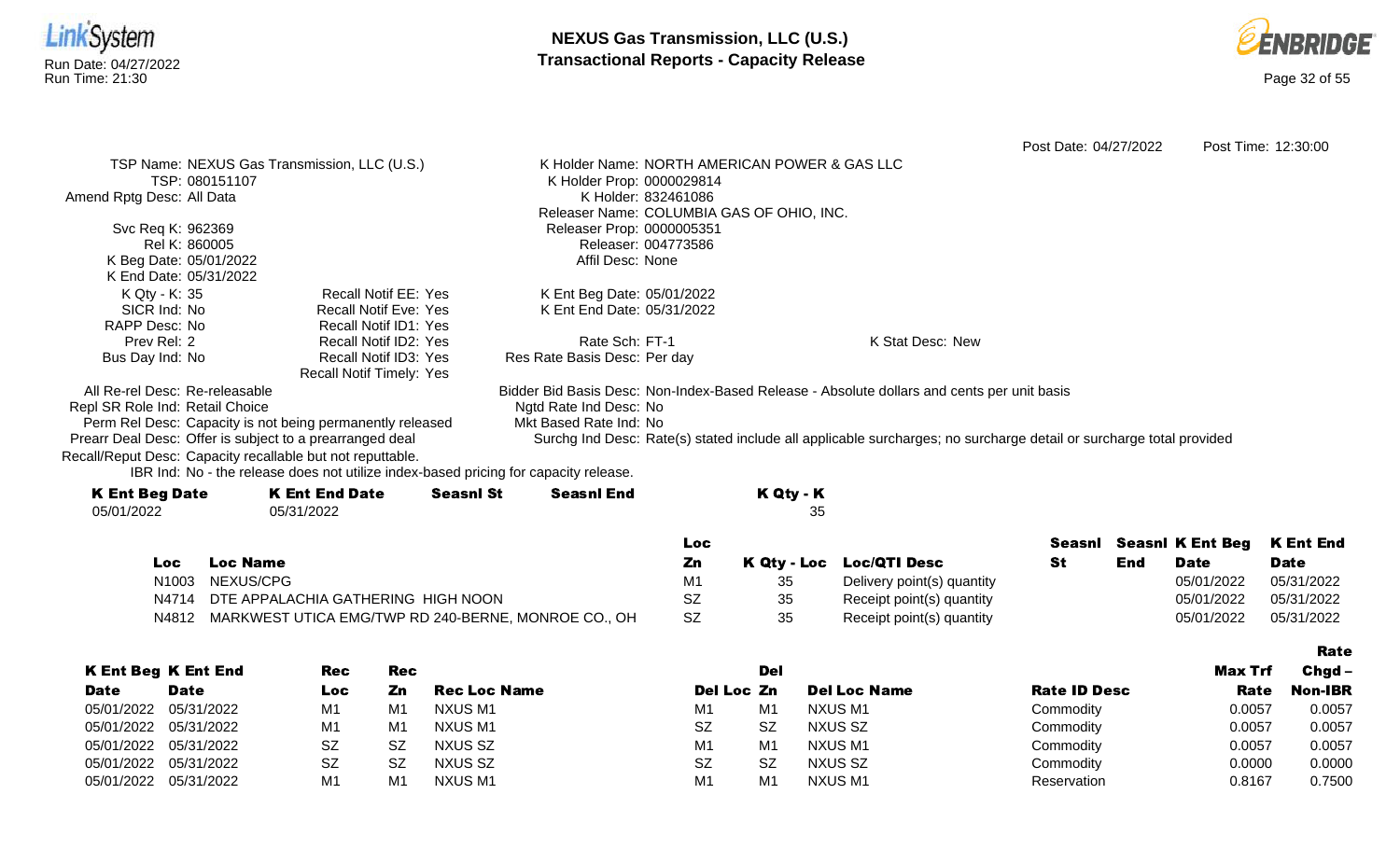



Rate

Post Date: 04/27/2022 Post Time: 12:30:00 TSP Name: NEXUS Gas Transmission, LLC (U.S.) TSP: 080151107 Amend Rptg Desc: All Data Svc Req K: 962369 Rel K: 860005 K Beg Date: 05/01/2022 K End Date: 05/31/2022 K Holder Name: NORTH AMERICAN POWER & GAS LLC K Holder Prop: 0000029814 K Holder: 832461086 Releaser Name: COLUMBIA GAS OF OHIO, INC. Releaser Prop: 0000005351 Releaser: 004773586 Affil Desc: None K Qty - K: 35 SICR Ind: No RAPP Desc: No Prev Rel: 2 Bus Day Ind: No Recall Notif EE: Yes Recall Notif Eve: Yes Recall Notif ID1: Yes Recall Notif ID2: Yes Recall Notif ID3: Yes Recall Notif Timely: Yes K Ent Beg Date: 05/01/2022 K Ent End Date: 05/31/2022 Rate Sch: FT-1 Res Rate Basis Desc: Per day K Stat Desc: New All Re-rel Desc: Re-releasable Repl SR Role Ind: Retail Choice Perm Rel Desc: Capacity is not being permanently released Prearr Deal Desc: Offer is subject to a prearranged deal Bidder Bid Basis Desc: Non-Index-Based Release - Absolute dollars and cents per unit basis Ngtd Rate Ind Desc: No Mkt Based Rate Ind: No Surchg Ind Desc: Rate(s) stated include all applicable surcharges; no surcharge detail or surcharge total provided Recall/Reput Desc: Capacity recallable but not reputtable.

| <b>K Ent Beg Date</b> | <b>K Ent End Date</b> | <b>Seasnl St</b> | <b>Seasnl End</b> | K Qty - K |
|-----------------------|-----------------------|------------------|-------------------|-----------|
| 05/01/2022            | 05/31/2022            |                  |                   | 35        |
|                       |                       |                  |                   |           |

|     |                                                           | LOC       |    |                            |     |             | Seasni Seasni K Ent Beg K Ent End |
|-----|-----------------------------------------------------------|-----------|----|----------------------------|-----|-------------|-----------------------------------|
| Loc | Loc Name                                                  | Zn.       |    | K Qty - Loc Loc/QTI Desc   | End | <b>Date</b> | <b>Date</b>                       |
|     | N1003 NEXUS/CPG                                           | M1        | 35 | Delivery point(s) quantity |     | 05/01/2022  | 05/31/2022                        |
|     | N4714 DTE APPALACHIA GATHERING HIGH NOON                  | SZ        | 35 | Receipt point(s) quantity  |     | 05/01/2022  | 05/31/2022                        |
|     | N4812 MARKWEST UTICA EMG/TWP RD 240-BERNE, MONROE CO., OH | <b>SZ</b> | 35 | Receipt point(s) quantity  |     | 05/01/2022  | 05/31/2022                        |

|             |                            |           |           |                     |                |                |                     |                     |         | --------       |
|-------------|----------------------------|-----------|-----------|---------------------|----------------|----------------|---------------------|---------------------|---------|----------------|
|             | <b>K Ent Beg K Ent End</b> | Rec       | Rec       |                     |                | Del            |                     |                     | Max Trf | $Chgd -$       |
| <b>Date</b> | <b>Date</b>                | Loc       | Zn        | <b>Rec Loc Name</b> | Del Loc Zn     |                | <b>Del Loc Name</b> | <b>Rate ID Desc</b> | Rate    | <b>Non-IBR</b> |
|             | 05/01/2022 05/31/2022      | M1        | M         | NXUS M1             | M1             | M <sub>1</sub> | NXUS M1             | Commodity           | 0.0057  | 0.0057         |
|             | 05/01/2022 05/31/2022      | M1        | M         | NXUS M1             | <b>SZ</b>      | -SZ            | NXUS SZ             | Commodity           | 0.0057  | 0.0057         |
|             | 05/01/2022 05/31/2022      | <b>SZ</b> | <b>SZ</b> | NXUS SZ             | M <sub>1</sub> | M <sub>1</sub> | <b>NXUS M1</b>      | Commodity           | 0.0057  | 0.0057         |
|             | 05/01/2022 05/31/2022      | <b>SZ</b> | <b>SZ</b> | NXUS SZ             | <b>SZ</b>      | <b>SZ</b>      | NXUS SZ             | Commodity           | 0.0000  | 0.0000         |
|             | 05/01/2022 05/31/2022      | M1        | M1        | NXUS M1             | M1             | M <sub>1</sub> | NXUS M1             | Reservation         | 0.8167  | 0.7500         |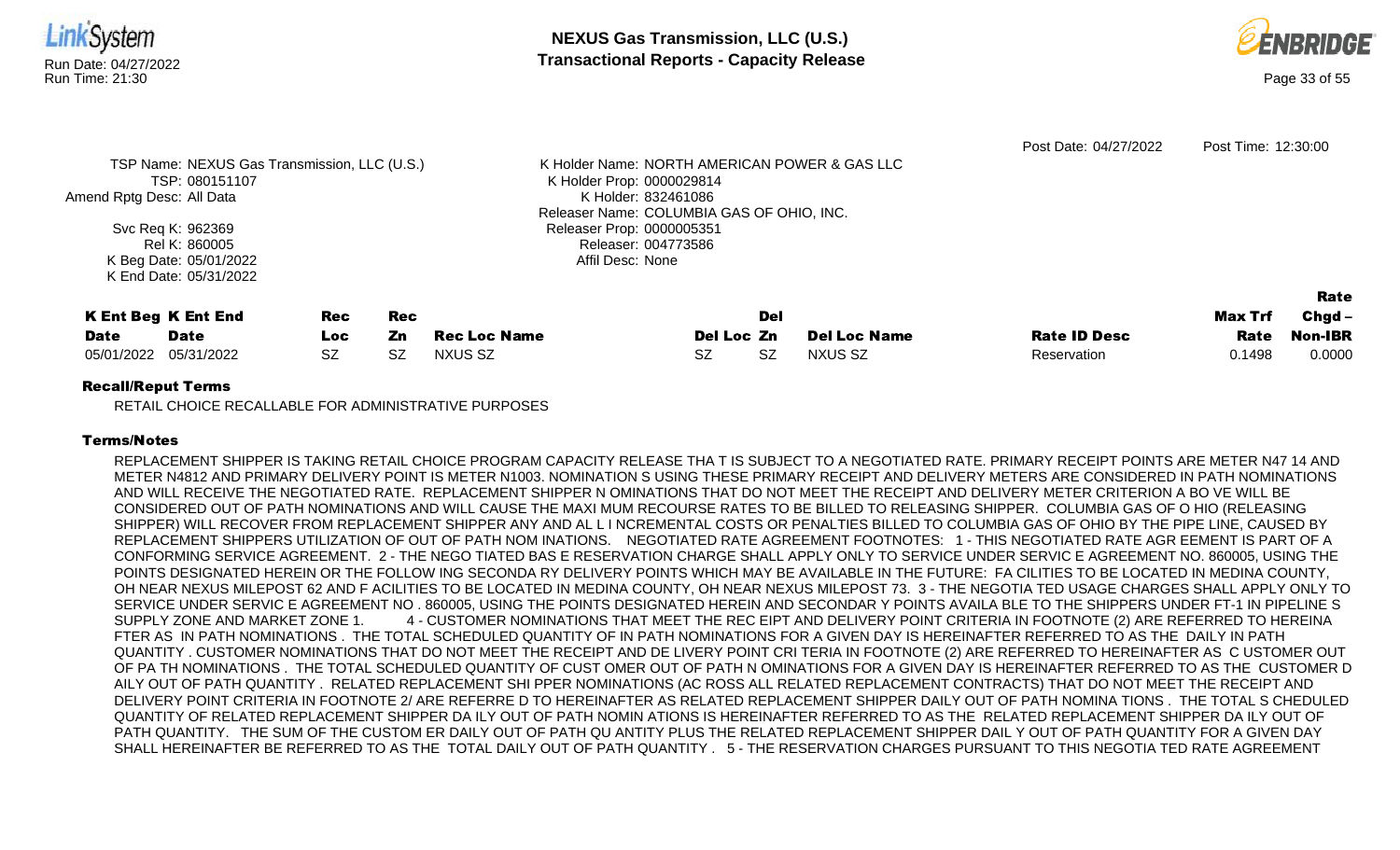

RETAIL CHOICE RECALLABLE FOR ADMINISTRATIVE PURPOSES

## Terms/Notes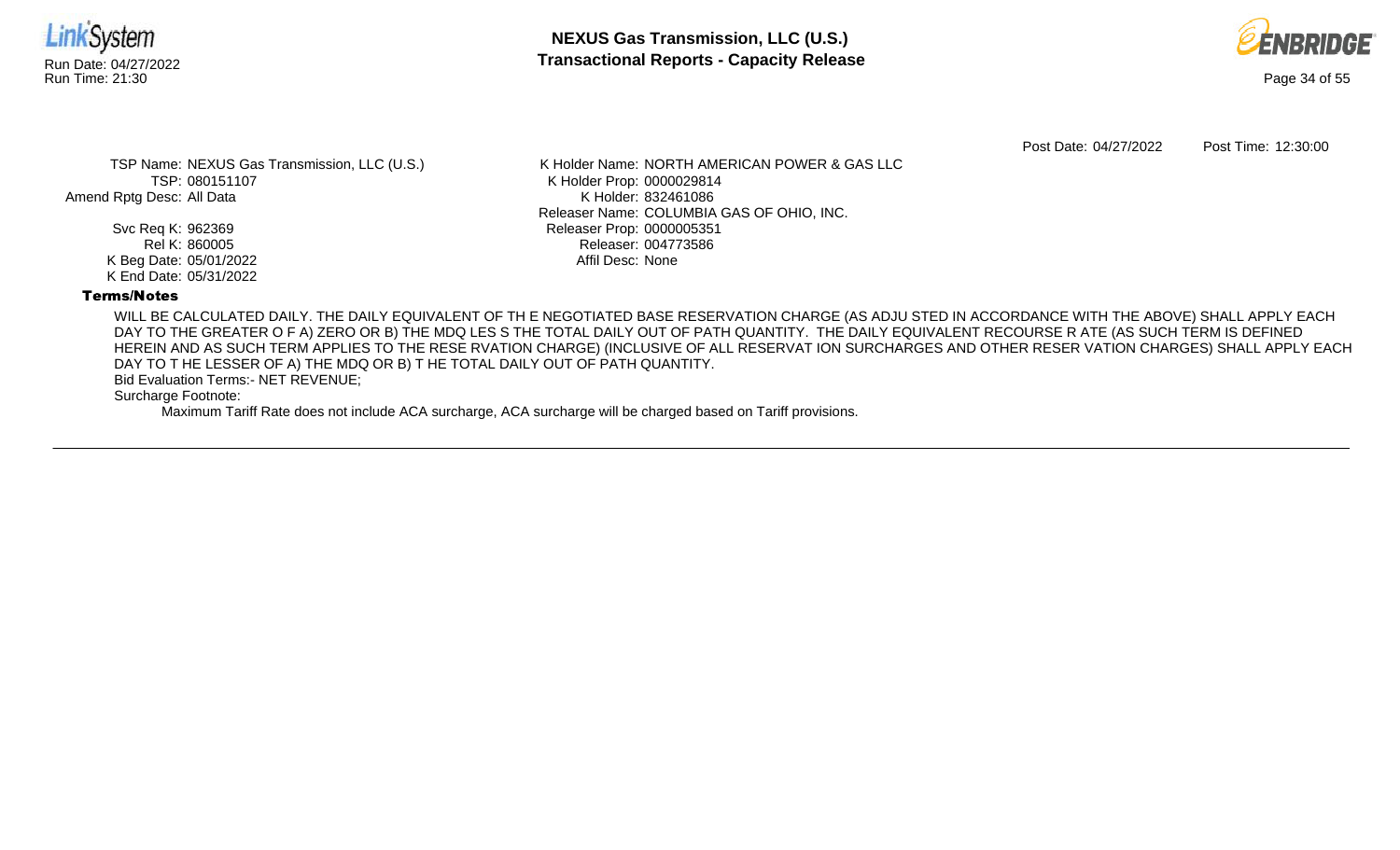



Post Date: 04/27/2022 Post Time: 12:30:00

TSP Name: NEXUS Gas Transmission, LLC (U.S.) TSP: 080151107 Amend Rptg Desc: All Data

> Svc Req K: 962369 Rel K: 860005 K Beg Date: 05/01/2022 K End Date: 05/31/2022

K Holder Name: NORTH AMERICAN POWER & GAS LLC K Holder Prop: 0000029814 K Holder: 832461086 Releaser Name: COLUMBIA GAS OF OHIO, INC. Releaser Prop: 0000005351 Releaser: 004773586 Affil Desc: None

## Terms/Notes

WILL BE CALCULATED DAILY. THE DAILY EQUIVALENT OF TH E NEGOTIATED BASE RESERVATION CHARGE (AS ADJU STED IN ACCORDANCE WITH THE ABOVE) SHALL APPLY EACH DAY TO THE GREATER O F A) ZERO OR B) THE MDQ LES S THE TOTAL DAILY OUT OF PATH QUANTITY. THE DAILY EQUIVALENT RECOURSE R ATE (AS SUCH TERM IS DEFINED HEREIN AND AS SUCH TERM APPLIES TO THE RESE RVATION CHARGE) (INCLUSIVE OF ALL RESERVAT ION SURCHARGES AND OTHER RESER VATION CHARGES) SHALL APPLY EACH DAY TO T HE LESSER OF A) THE MDQ OR B) T HE TOTAL DAILY OUT OF PATH QUANTITY.

Bid Evaluation Terms:- NET REVENUE;

Surcharge Footnote: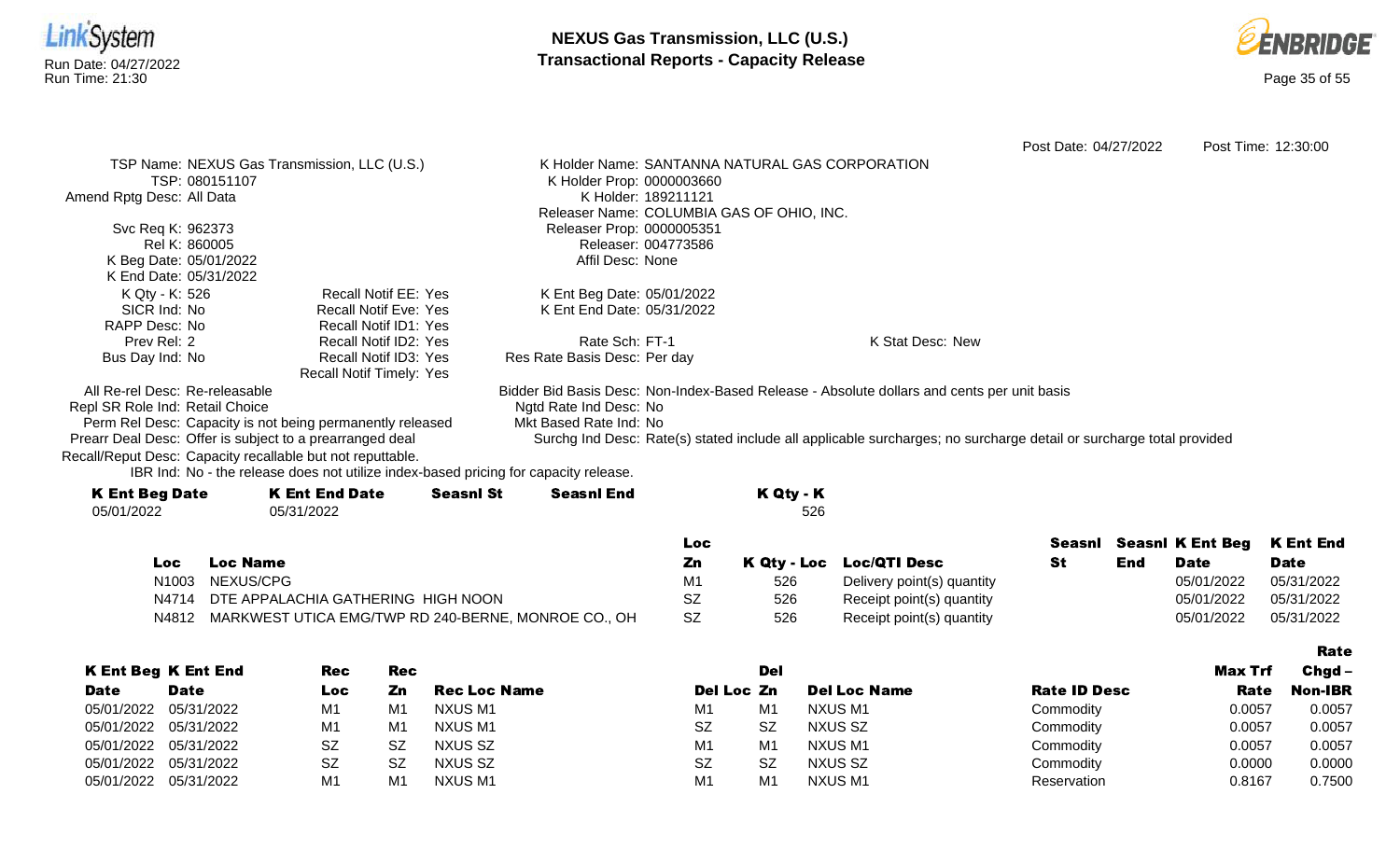



Rate

Post Date: 04/27/2022 Post Time: 12:30:00 TSP Name: NEXUS Gas Transmission, LLC (U.S.) TSP: 080151107 Amend Rptg Desc: All Data Svc Req K: 962373 Rel K: 860005 K Beg Date: 05/01/2022 K End Date: 05/31/2022 K Holder Name: SANTANNA NATURAL GAS CORPORATION K Holder Prop: 0000003660 K Holder: 189211121 Releaser Name: COLUMBIA GAS OF OHIO, INC. Releaser Prop: 0000005351 Releaser: 004773586 Affil Desc: None K Qty - K: 526 SICR Ind: No RAPP Desc: No Prev Rel: 2 Bus Day Ind: No Recall Notif EE: Yes Recall Notif Eve: Yes Recall Notif ID1: Yes Recall Notif ID2: Yes Recall Notif ID3: Yes Recall Notif Timely: Yes K Ent Beg Date: 05/01/2022 K Ent End Date: 05/31/2022 Rate Sch: FT-1 Res Rate Basis Desc: Per day K Stat Desc: New All Re-rel Desc: Re-releasable Repl SR Role Ind: Retail Choice Perm Rel Desc: Capacity is not being permanently released Prearr Deal Desc: Offer is subject to a prearranged deal Bidder Bid Basis Desc: Non-Index-Based Release - Absolute dollars and cents per unit basis Ngtd Rate Ind Desc: No Mkt Based Rate Ind: No Surchg Ind Desc: Rate(s) stated include all applicable surcharges; no surcharge detail or surcharge total provided

Recall/Reput Desc: Capacity recallable but not reputtable.

| <b>K Ent Beg Date</b> | <b>K Ent End Date</b> | <b>Seasnl St</b> | <b>Seasnl End</b> | K Qty - K |
|-----------------------|-----------------------|------------------|-------------------|-----------|
| 05/01/2022            | 05/31/2022            |                  |                   | 526       |
|                       |                       |                  |                   |           |

|     |                                                           | Loc.      |     |                            |     |             | Seasni Seasni K Ent Beg K Ent End |
|-----|-----------------------------------------------------------|-----------|-----|----------------------------|-----|-------------|-----------------------------------|
| Loc | <b>Loc Name</b>                                           | Zn        |     | K Qty - Loc Loc/QTI Desc   | End | <b>Date</b> | <b>Date</b>                       |
|     | N1003 NEXUS/CPG                                           | М1        | 526 | Delivery point(s) quantity |     | 05/01/2022  | 05/31/2022                        |
|     | N4714 DTE APPALACHIA GATHERING HIGH NOON                  | SZ        | 526 | Receipt point(s) quantity  |     | 05/01/2022  | 05/31/2022                        |
|     | N4812 MARKWEST UTICA EMG/TWP RD 240-BERNE, MONROE CO., OH | <b>SZ</b> | 526 | Receipt point(s) quantity  |     | 05/01/2022  | 05/31/2022                        |

|             |                            |                |           |                     |                |           |                     |                     |         | .              |
|-------------|----------------------------|----------------|-----------|---------------------|----------------|-----------|---------------------|---------------------|---------|----------------|
|             | <b>K Ent Beg K Ent End</b> | Rec            | Rec       |                     |                | Del       |                     |                     | Max Trf | $Chgd -$       |
| <b>Date</b> | <b>Date</b>                | Loc            | Zn        | <b>Rec Loc Name</b> | Del Loc Zn     |           | <b>Del Loc Name</b> | <b>Rate ID Desc</b> | Rate    | <b>Non-IBR</b> |
| 05/01/2022  | 05/31/2022                 | M1             | M1        | NXUS M1             | M1             | M1        | NXUS M1             | Commodity           | 0.0057  | 0.0057         |
| 05/01/2022  | 05/31/2022                 | M <sub>1</sub> | M1        | NXUS M1             | <b>SZ</b>      | <b>SZ</b> | NXUS SZ             | Commodity           | 0.0057  | 0.0057         |
| 05/01/2022  | 05/31/2022                 | SZ             | <b>SZ</b> | NXUS SZ             | M <sub>1</sub> | M1        | <b>NXUS M1</b>      | Commodity           | 0.0057  | 0.0057         |
| 05/01/2022  | 05/31/2022                 | SZ             | <b>SZ</b> | NXUS SZ             | <b>SZ</b>      | <b>SZ</b> | NXUS SZ             | Commodity           | 0.0000  | 0.0000         |
| 05/01/2022  | 05/31/2022                 | M1             | M١        | NXUS M1             | M <sub>1</sub> | M1        | <b>NXUS M1</b>      | Reservation         | 0.8167  | 0.7500         |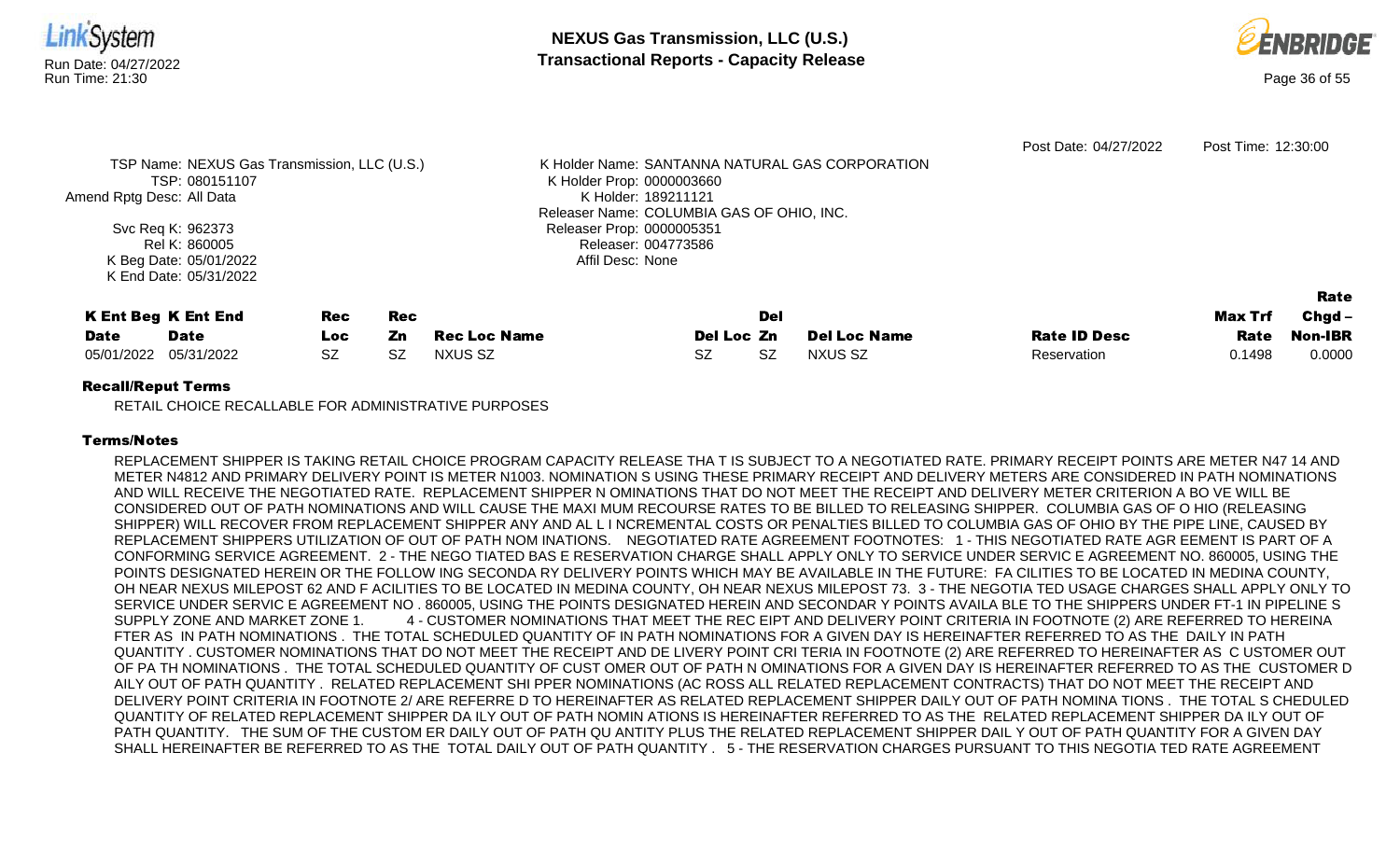

RETAIL CHOICE RECALLABLE FOR ADMINISTRATIVE PURPOSES

## Terms/Notes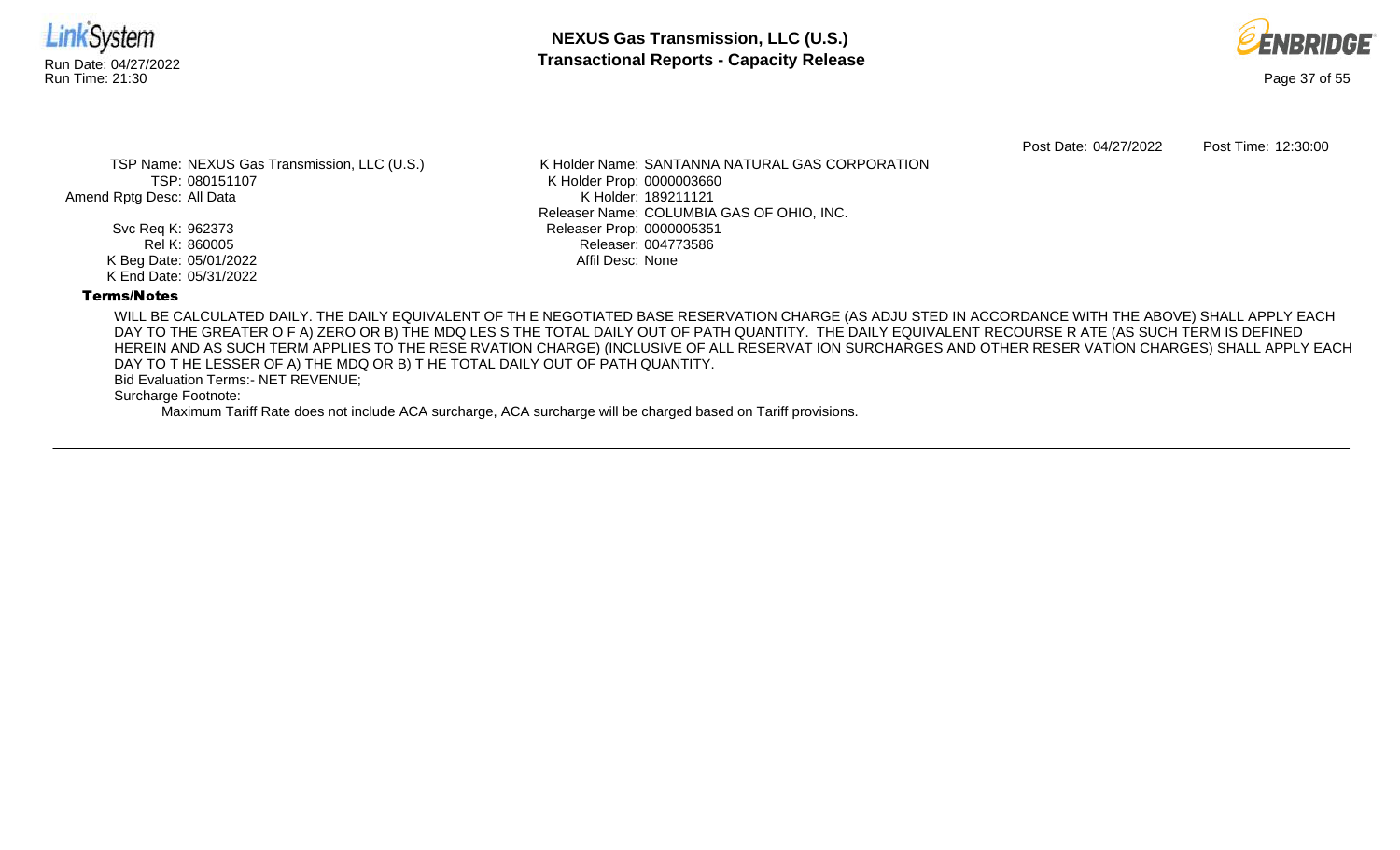



Post Date: 04/27/2022 Post Time: 12:30:00

TSP Name: NEXUS Gas Transmission, LLC (U.S.) TSP: 080151107 Amend Rptg Desc: All Data

> Svc Req K: 962373 Rel K: 860005 K Beg Date: 05/01/2022 K End Date: 05/31/2022

K Holder Name: SANTANNA NATURAL GAS CORPORATION K Holder Prop: 0000003660 K Holder: 189211121 Releaser Name: COLUMBIA GAS OF OHIO, INC. Releaser Prop: 0000005351 Releaser: 004773586 Affil Desc: None

## Terms/Notes

WILL BE CALCULATED DAILY. THE DAILY EQUIVALENT OF TH E NEGOTIATED BASE RESERVATION CHARGE (AS ADJU STED IN ACCORDANCE WITH THE ABOVE) SHALL APPLY EACH DAY TO THE GREATER O F A) ZERO OR B) THE MDQ LES S THE TOTAL DAILY OUT OF PATH QUANTITY. THE DAILY EQUIVALENT RECOURSE R ATE (AS SUCH TERM IS DEFINED HEREIN AND AS SUCH TERM APPLIES TO THE RESE RVATION CHARGE) (INCLUSIVE OF ALL RESERVAT ION SURCHARGES AND OTHER RESER VATION CHARGES) SHALL APPLY EACH DAY TO T HE LESSER OF A) THE MDQ OR B) T HE TOTAL DAILY OUT OF PATH QUANTITY.

Bid Evaluation Terms:- NET REVENUE;

Surcharge Footnote: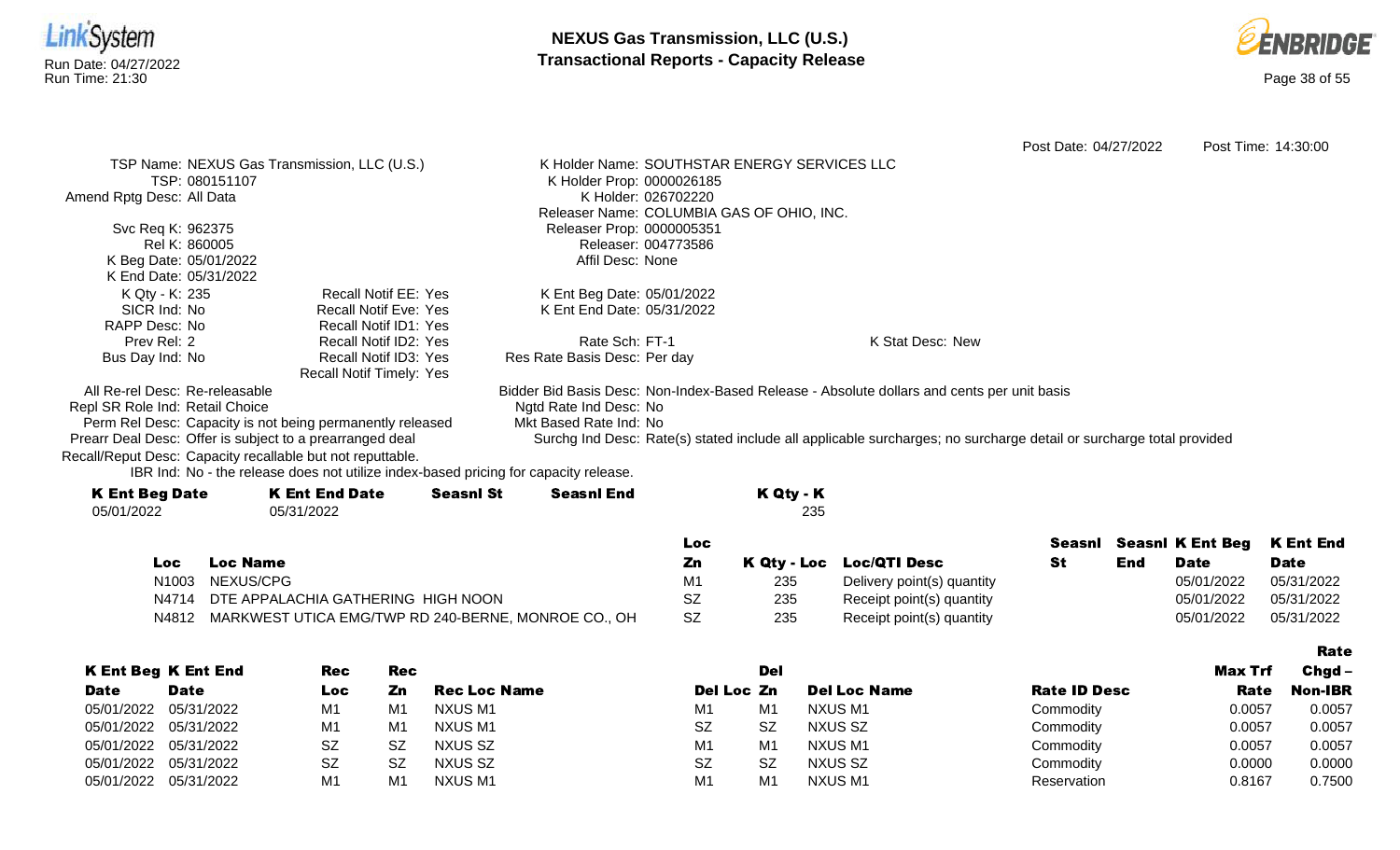



Rate

Post Date: 04/27/2022 Post Time: 14:30:00 TSP Name: NEXUS Gas Transmission, LLC (U.S.) TSP: 080151107 Amend Rptg Desc: All Data Svc Req K: 962375 Rel K: 860005 K Beg Date: 05/01/2022 K End Date: 05/31/2022 K Holder Name: SOUTHSTAR ENERGY SERVICES LLC K Holder Prop: 0000026185 K Holder: 026702220 Releaser Name: COLUMBIA GAS OF OHIO, INC. Releaser Prop: 0000005351 Releaser: 004773586 Affil Desc: None K Qty - K: 235 SICR Ind: No RAPP Desc: No Prev Rel: 2 Bus Day Ind: No Recall Notif EE: Yes Recall Notif Eve: Yes Recall Notif ID1: Yes Recall Notif ID2: Yes Recall Notif ID3: Yes Recall Notif Timely: Yes K Ent Beg Date: 05/01/2022 K Ent End Date: 05/31/2022 Rate Sch: FT-1 Res Rate Basis Desc: Per day K Stat Desc: New All Re-rel Desc: Re-releasable Repl SR Role Ind: Retail Choice Perm Rel Desc: Capacity is not being permanently released Prearr Deal Desc: Offer is subject to a prearranged deal Bidder Bid Basis Desc: Non-Index-Based Release - Absolute dollars and cents per unit basis Ngtd Rate Ind Desc: No Mkt Based Rate Ind: No Surchg Ind Desc: Rate(s) stated include all applicable surcharges; no surcharge detail or surcharge total provided

Recall/Reput Desc: Capacity recallable but not reputtable.

| <b>K Ent Beg Date</b> | <b>K Ent End Date</b> | <b>Seasnl St</b> | <b>Seasnl End</b> | K Qty - K |
|-----------------------|-----------------------|------------------|-------------------|-----------|
| 05/01/2022            | 05/31/2022            |                  |                   | 235       |
|                       |                       |                  |                   |           |

|      |                                                           | Loc            |     |                            |     | Seasnl Seasnl K Ent Beg K Ent End |             |
|------|-----------------------------------------------------------|----------------|-----|----------------------------|-----|-----------------------------------|-------------|
| Loc. | <b>Loc Name</b>                                           | Zn             |     | K Qty - Loc Loc/QTI Desc   | End | <b>Date</b>                       | <b>Date</b> |
|      | N1003 NEXUS/CPG                                           | M <sup>1</sup> | 235 | Delivery point(s) quantity |     | 05/01/2022                        | 05/31/2022  |
|      | N4714 DTE APPALACHIA GATHERING HIGH NOON                  | SZ             | 235 | Receipt point(s) quantity  |     | 05/01/2022                        | 05/31/2022  |
|      | N4812 MARKWEST UTICA EMG/TWP RD 240-BERNE, MONROE CO., OH | <b>SZ</b>      | 235 | Receipt point(s) quantity  |     | 05/01/2022                        | 05/31/2022  |

|                       |                            |     |           |                     |                |                |                     |                     |         | ---------      |
|-----------------------|----------------------------|-----|-----------|---------------------|----------------|----------------|---------------------|---------------------|---------|----------------|
|                       | <b>K Ent Beg K Ent End</b> | Rec | Rec       |                     |                | Del            |                     |                     | Max Trf | $Chgd -$       |
| <b>Date</b>           | <b>Date</b>                | Loc | Zn        | <b>Rec Loc Name</b> | Del Loc Zn     |                | <b>Del Loc Name</b> | <b>Rate ID Desc</b> | Rate    | <b>Non-IBR</b> |
| 05/01/2022            | 05/31/2022                 | M1  | M1        | NXUS M1             | M1             | M <sub>1</sub> | NXUS M1             | Commodity           | 0.0057  | 0.0057         |
| 05/01/2022 05/31/2022 |                            | M٬  | M1        | NXUS M1             | <b>SZ</b>      | <b>SZ</b>      | NXUS SZ             | Commodity           | 0.0057  | 0.0057         |
| 05/01/2022 05/31/2022 |                            | SZ  | <b>SZ</b> | NXUS SZ             | M <sub>1</sub> | M <sub>1</sub> | <b>NXUS M1</b>      | Commodity           | 0.0057  | 0.0057         |
| 05/01/2022            | 05/31/2022                 | SZ  | <b>SZ</b> | NXUS SZ             | <b>SZ</b>      | SZ             | NXUS SZ             | Commodity           | 0.0000  | 0.0000         |
| 05/01/2022            | 05/31/2022                 | M٠  | M1        | <b>NXUSM1</b>       | M1             | M <sub>1</sub> | <b>NXUS M1</b>      | Reservation         | 0.8167  | 0.7500         |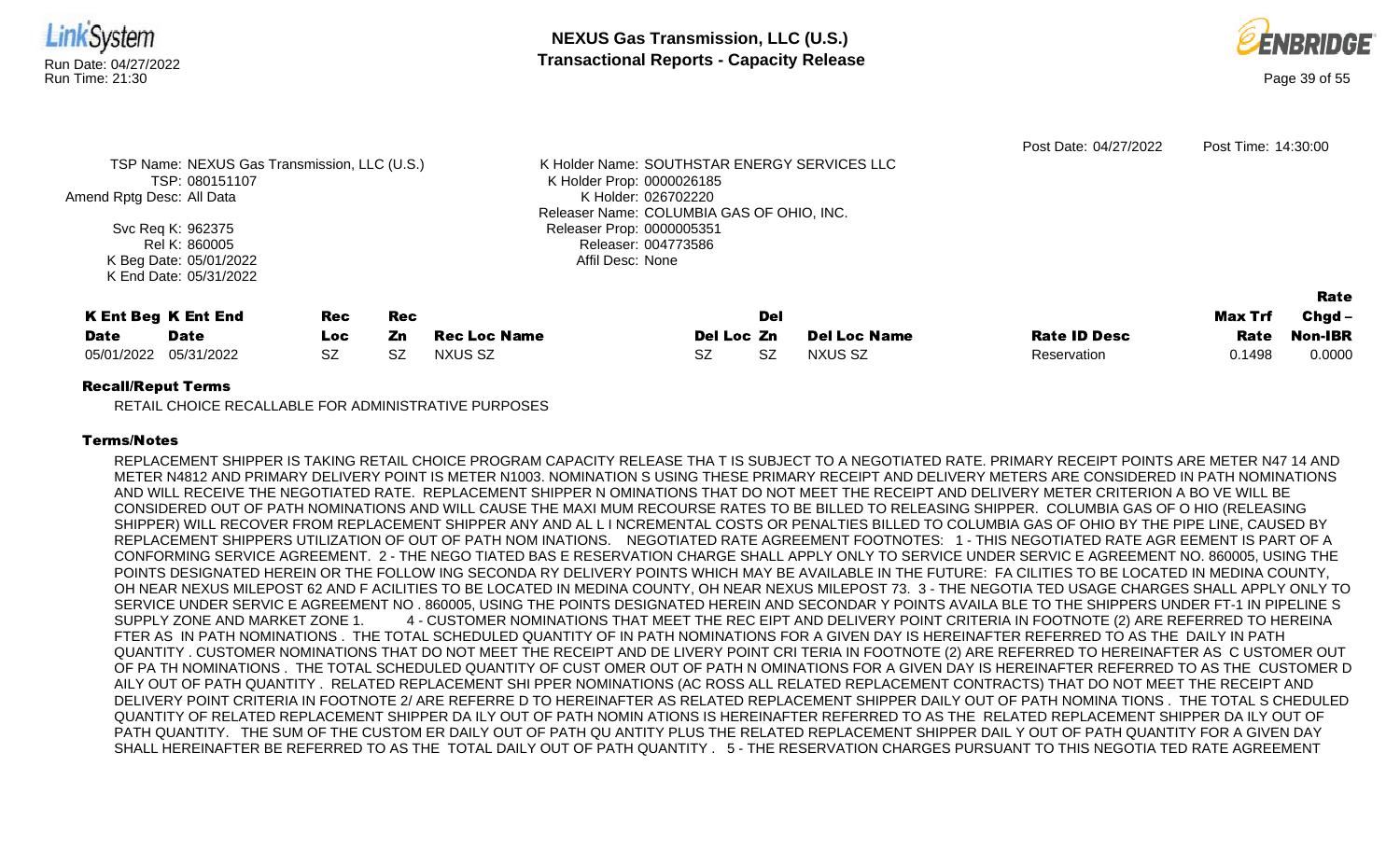

RETAIL CHOICE RECALLABLE FOR ADMINISTRATIVE PURPOSES

## Terms/Notes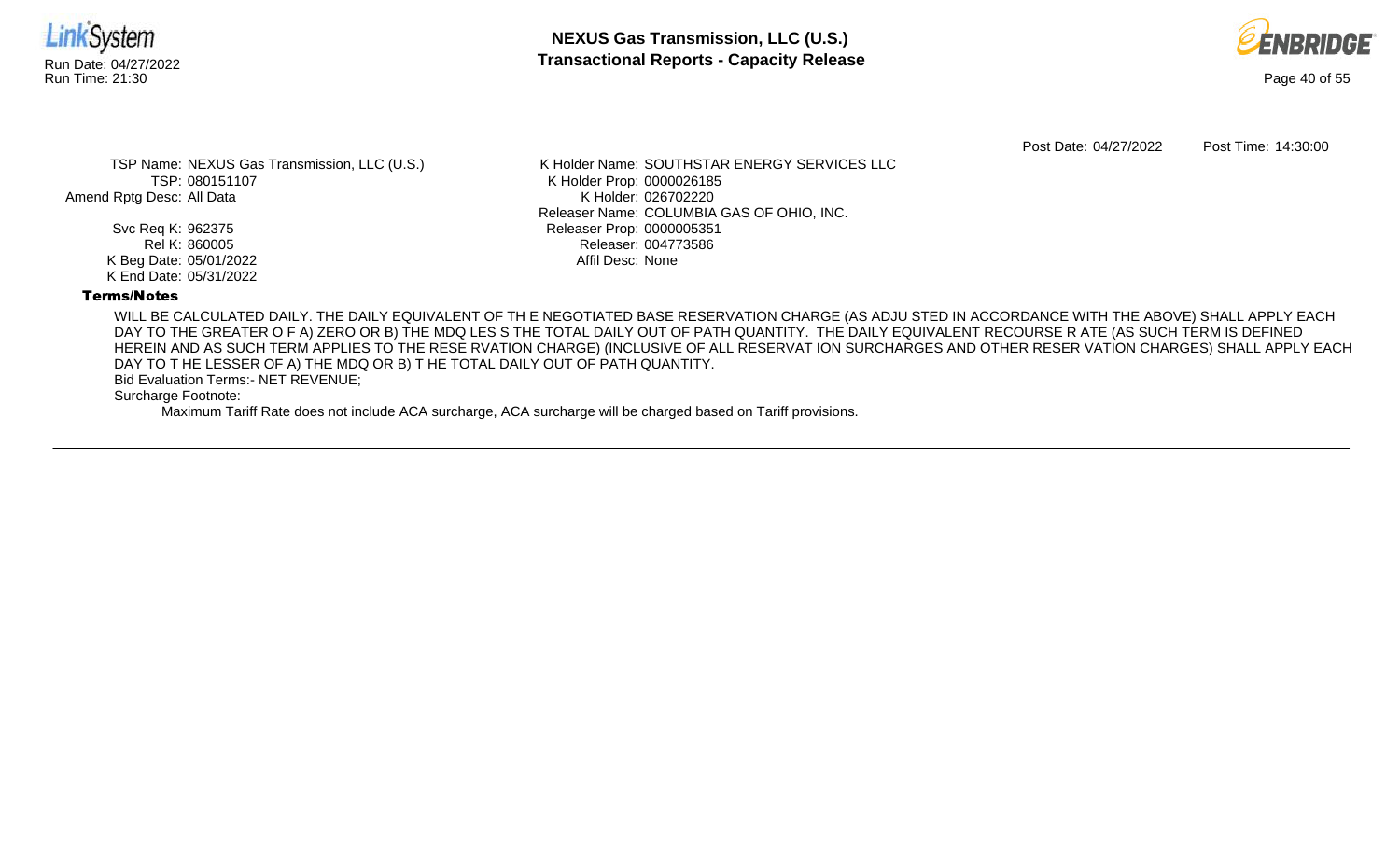



Post Date: 04/27/2022 Post Time: 14:30:00

TSP Name: NEXUS Gas Transmission, LLC (U.S.) TSP: 080151107 Amend Rptg Desc: All Data

> Svc Req K: 962375 Rel K: 860005 K Beg Date: 05/01/2022 K End Date: 05/31/2022

K Holder Name: SOUTHSTAR ENERGY SERVICES LLC K Holder Prop: 0000026185 K Holder: 026702220 Releaser Name: COLUMBIA GAS OF OHIO, INC. Releaser Prop: 0000005351 Releaser: 004773586 Affil Desc: None

## Terms/Notes

WILL BE CALCULATED DAILY. THE DAILY EQUIVALENT OF TH E NEGOTIATED BASE RESERVATION CHARGE (AS ADJU STED IN ACCORDANCE WITH THE ABOVE) SHALL APPLY EACH DAY TO THE GREATER O F A) ZERO OR B) THE MDQ LES S THE TOTAL DAILY OUT OF PATH QUANTITY. THE DAILY EQUIVALENT RECOURSE R ATE (AS SUCH TERM IS DEFINED HEREIN AND AS SUCH TERM APPLIES TO THE RESE RVATION CHARGE) (INCLUSIVE OF ALL RESERVAT ION SURCHARGES AND OTHER RESER VATION CHARGES) SHALL APPLY EACH DAY TO T HE LESSER OF A) THE MDQ OR B) T HE TOTAL DAILY OUT OF PATH QUANTITY.

Bid Evaluation Terms:- NET REVENUE;

Surcharge Footnote: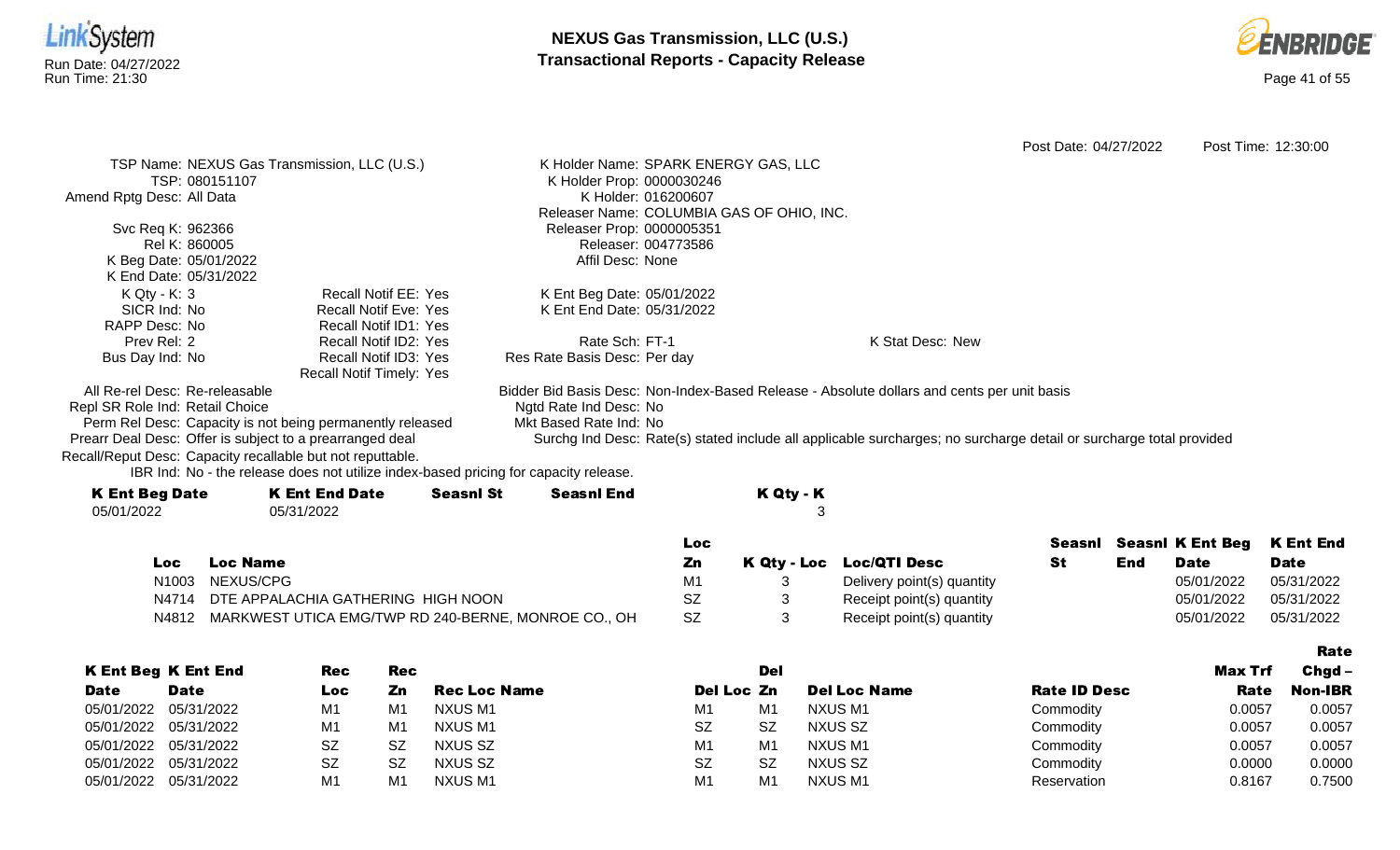



|                                                            |                                                                                      |                  |                              | Loc                                       |                                                                                                                    | <b>Seasni</b> Seasni K Ent Beg | <b>K Ent End</b>    |
|------------------------------------------------------------|--------------------------------------------------------------------------------------|------------------|------------------------------|-------------------------------------------|--------------------------------------------------------------------------------------------------------------------|--------------------------------|---------------------|
| 05/01/2022                                                 | 05/31/2022                                                                           |                  |                              | 3                                         |                                                                                                                    |                                |                     |
| <b>K Ent Beg Date</b>                                      | <b>K Ent End Date</b>                                                                | <b>Seasnl St</b> | <b>Seasnl End</b>            | K Qty - K                                 |                                                                                                                    |                                |                     |
|                                                            | IBR Ind: No - the release does not utilize index-based pricing for capacity release. |                  |                              |                                           |                                                                                                                    |                                |                     |
| Recall/Reput Desc: Capacity recallable but not reputtable. |                                                                                      |                  |                              |                                           |                                                                                                                    |                                |                     |
| Prearr Deal Desc: Offer is subject to a prearranged deal   |                                                                                      |                  |                              |                                           | Surchg Ind Desc: Rate(s) stated include all applicable surcharges; no surcharge detail or surcharge total provided |                                |                     |
|                                                            | Perm Rel Desc: Capacity is not being permanently released                            |                  | Mkt Based Rate Ind: No       |                                           |                                                                                                                    |                                |                     |
| Repl SR Role Ind: Retail Choice                            |                                                                                      |                  | Ngtd Rate Ind Desc: No       |                                           |                                                                                                                    |                                |                     |
| All Re-rel Desc: Re-releasable                             |                                                                                      |                  |                              |                                           | Bidder Bid Basis Desc: Non-Index-Based Release - Absolute dollars and cents per unit basis                         |                                |                     |
|                                                            | Recall Notif Timely: Yes                                                             |                  |                              |                                           |                                                                                                                    |                                |                     |
| Bus Day Ind: No                                            | Recall Notif ID3: Yes                                                                |                  | Res Rate Basis Desc: Per day |                                           |                                                                                                                    |                                |                     |
| Prev Rel: 2                                                | Recall Notif ID2: Yes                                                                |                  | Rate Sch: FT-1               |                                           | K Stat Desc: New                                                                                                   |                                |                     |
| SICR Ind: No<br>RAPP Desc: No                              | <b>Recall Notif Eve: Yes</b><br>Recall Notif ID1: Yes                                |                  | K Ent End Date: 05/31/2022   |                                           |                                                                                                                    |                                |                     |
| $K Qty - K: 3$                                             | <b>Recall Notif EE: Yes</b>                                                          |                  | K Ent Beg Date: 05/01/2022   |                                           |                                                                                                                    |                                |                     |
| K End Date: 05/31/2022                                     |                                                                                      |                  |                              |                                           |                                                                                                                    |                                |                     |
| K Beg Date: 05/01/2022                                     |                                                                                      |                  | Affil Desc: None             |                                           |                                                                                                                    |                                |                     |
| Rel K: 860005                                              |                                                                                      |                  | Releaser: 004773586          |                                           |                                                                                                                    |                                |                     |
| Svc Req K: 962366                                          |                                                                                      |                  | Releaser Prop: 0000005351    |                                           |                                                                                                                    |                                |                     |
|                                                            |                                                                                      |                  |                              | Releaser Name: COLUMBIA GAS OF OHIO, INC. |                                                                                                                    |                                |                     |
| Amend Rptg Desc: All Data                                  |                                                                                      |                  | K Holder: 016200607          |                                           |                                                                                                                    |                                |                     |
| TSP: 080151107                                             |                                                                                      |                  | K Holder Prop: 0000030246    |                                           |                                                                                                                    |                                |                     |
|                                                            | TSP Name: NEXUS Gas Transmission, LLC (U.S.)                                         |                  |                              | K Holder Name: SPARK ENERGY GAS, LLC      |                                                                                                                    |                                |                     |
|                                                            |                                                                                      |                  |                              |                                           | Post Date: 04/27/2022                                                                                              |                                | Post Time: 12:30:00 |

|       |                                                           | Loc       |                            |           |     | Seasni Seasni K Ent Beg K Ent End |             |
|-------|-----------------------------------------------------------|-----------|----------------------------|-----------|-----|-----------------------------------|-------------|
| Loc   | <b>Loc Name</b>                                           | Zn        | K Qty - Loc Loc/QTI Desc   | <b>St</b> | End | <b>Date</b>                       | <b>Date</b> |
| N1003 | NEXUS/CPG                                                 | M         | Delivery point(s) quantity |           |     | 05/01/2022                        | 05/31/2022  |
| N4714 | DTE APPALACHIA GATHERING HIGH NOON                        | <b>SZ</b> | Receipt point(s) quantity  |           |     | 05/01/2022                        | 05/31/2022  |
|       | N4812 MARKWEST UTICA EMG/TWP RD 240-BERNE, MONROE CO., OH | -SZ       | Receipt point(s) quantity  |           |     | 05/01/2022                        | 05/31/2022  |

|                       |                            |           |     |                     |                |                |                     |                     |                | Rate           |
|-----------------------|----------------------------|-----------|-----|---------------------|----------------|----------------|---------------------|---------------------|----------------|----------------|
|                       | <b>K Ent Beg K Ent End</b> | Rec       | Rec |                     |                | Del            |                     |                     | <b>Max Trf</b> | $Chgd -$       |
| <b>Date</b>           | <b>Date</b>                | Loc       | Zn  | <b>Rec Loc Name</b> | Del Loc Zn     |                | <b>Del Loc Name</b> | <b>Rate ID Desc</b> | Rate           | <b>Non-IBR</b> |
|                       | 05/01/2022 05/31/2022      | M1        | M1  | NXUS M1             | M1             | M1             | NXUS M1             | Commodity           | 0.0057         | 0.0057         |
|                       | 05/01/2022 05/31/2022      | M1        | M1  | NXUS M1             | <b>SZ</b>      | <b>SZ</b>      | NXUS SZ             | Commodity           | 0.0057         | 0.0057         |
| 05/01/2022 05/31/2022 |                            | SZ        | .SZ | NXUS SZ             | M1             | M1             | NXUS M1             | Commodity           | 0.0057         | 0.0057         |
|                       | 05/01/2022 05/31/2022      | <b>SZ</b> | -SZ | NXUS SZ             | <b>SZ</b>      | <b>SZ</b>      | NXUS SZ             | Commodity           | 0.0000         | 0.0000         |
| 05/01/2022 05/31/2022 |                            | M1        | M1  | NXUS M1             | M <sub>1</sub> | M <sub>1</sub> | NXUS M1             | Reservation         | 0.8167         | 0.7500         |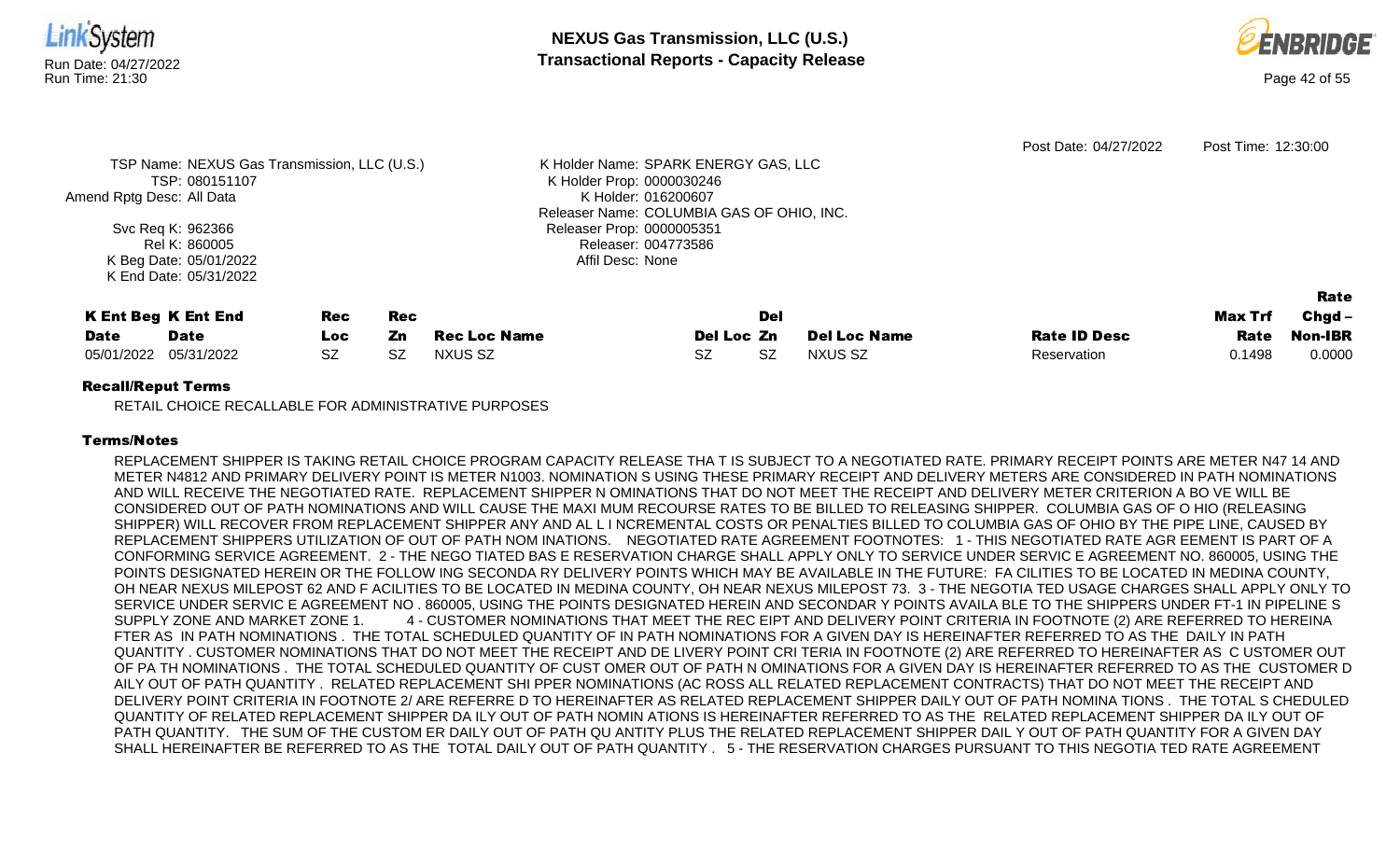



|                            |                                              |           |     |                     |                                           |           |                     | Post Date: 04/27/2022 | Post Time: 12:30:00 |                |
|----------------------------|----------------------------------------------|-----------|-----|---------------------|-------------------------------------------|-----------|---------------------|-----------------------|---------------------|----------------|
|                            | TSP Name: NEXUS Gas Transmission, LLC (U.S.) |           |     |                     | K Holder Name: SPARK ENERGY GAS, LLC      |           |                     |                       |                     |                |
|                            | TSP: 080151107                               |           |     |                     | K Holder Prop: 0000030246                 |           |                     |                       |                     |                |
| Amend Rptg Desc: All Data  |                                              |           |     |                     | K Holder: 016200607                       |           |                     |                       |                     |                |
|                            |                                              |           |     |                     | Releaser Name: COLUMBIA GAS OF OHIO, INC. |           |                     |                       |                     |                |
|                            | Svc Req K: 962366                            |           |     |                     | Releaser Prop: 0000005351                 |           |                     |                       |                     |                |
|                            | Rel K: 860005                                |           |     |                     | Releaser: 004773586                       |           |                     |                       |                     |                |
|                            | K Beg Date: 05/01/2022                       |           |     |                     | Affil Desc: None                          |           |                     |                       |                     |                |
|                            | K End Date: 05/31/2022                       |           |     |                     |                                           |           |                     |                       |                     |                |
|                            |                                              |           |     |                     |                                           |           |                     |                       |                     | Rate           |
|                            |                                              |           |     |                     |                                           | Del       |                     |                       |                     |                |
| <b>K Ent Beg K Ent End</b> |                                              | Rec       | Rec |                     |                                           |           |                     |                       | Max Trf             | $Chgd -$       |
| <b>Date</b>                | <b>Date</b>                                  | Loc       | Zn  | <b>Rec Loc Name</b> | Del Loc Zn                                |           | <b>Del Loc Name</b> | <b>Rate ID Desc</b>   | Rate                | <b>Non-IBR</b> |
| 05/01/2022                 | 05/31/2022                                   | <b>SZ</b> | SZ  | NXUS SZ             | SZ                                        | <b>SZ</b> | NXUS SZ             | Reservation           | 0.1498              | 0.0000         |
|                            |                                              |           |     |                     |                                           |           |                     |                       |                     |                |

RETAIL CHOICE RECALLABLE FOR ADMINISTRATIVE PURPOSES

## Terms/Notes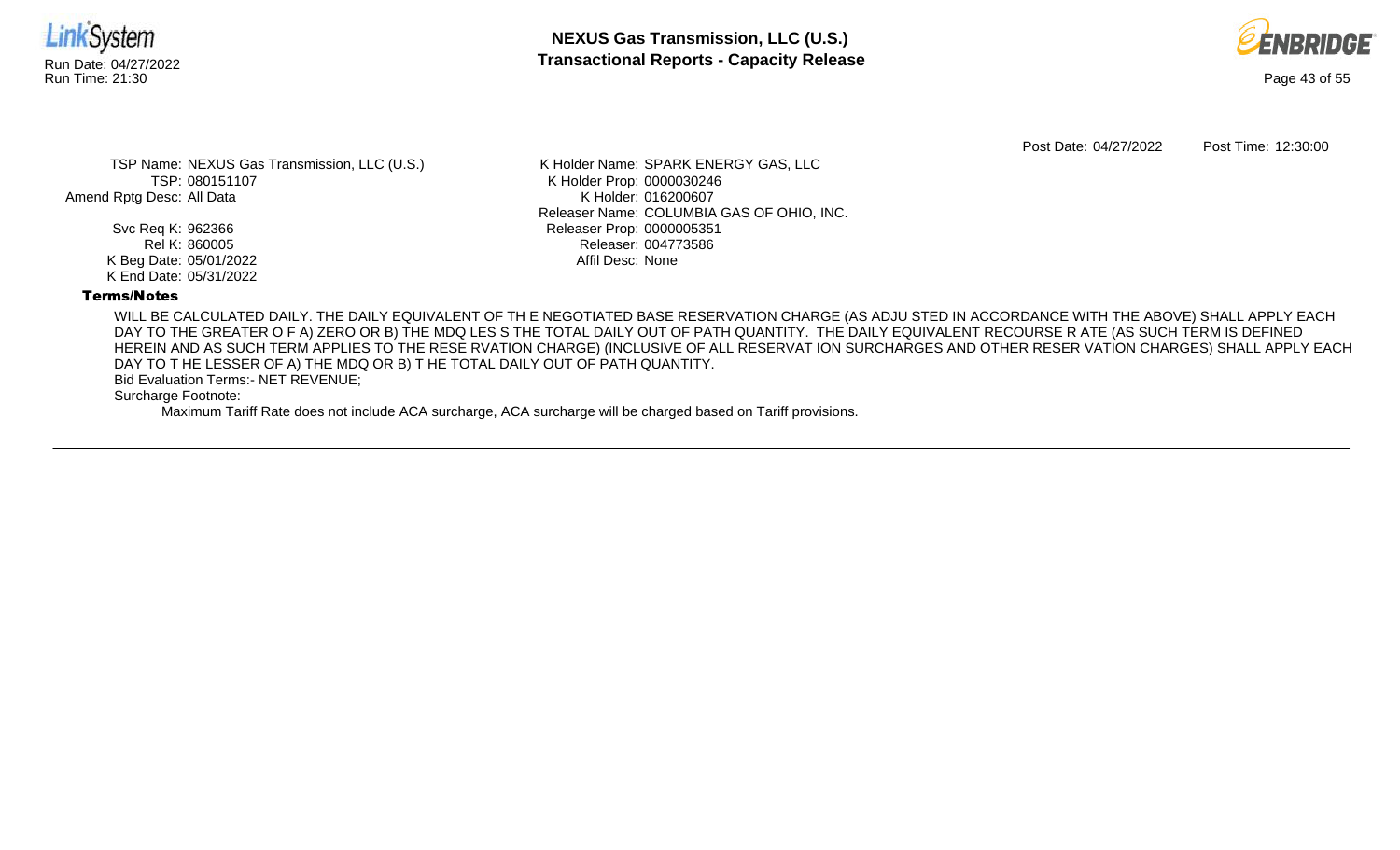



Post Date: 04/27/2022 Post Time: 12:30:00

TSP Name: NEXUS Gas Transmission, LLC (U.S.) TSP: 080151107 Amend Rptg Desc: All Data

> Svc Req K: 962366 Rel K: 860005 K Beg Date: 05/01/2022 K End Date: 05/31/2022

K Holder Name: SPARK ENERGY GAS, LLC K Holder Prop: 0000030246 K Holder: 016200607 Releaser Name: COLUMBIA GAS OF OHIO, INC. Releaser Prop: 0000005351 Releaser: 004773586 Affil Desc: None

## Terms/Notes

WILL BE CALCULATED DAILY. THE DAILY EQUIVALENT OF TH E NEGOTIATED BASE RESERVATION CHARGE (AS ADJU STED IN ACCORDANCE WITH THE ABOVE) SHALL APPLY EACH DAY TO THE GREATER O F A) ZERO OR B) THE MDQ LES S THE TOTAL DAILY OUT OF PATH QUANTITY. THE DAILY EQUIVALENT RECOURSE R ATE (AS SUCH TERM IS DEFINED HEREIN AND AS SUCH TERM APPLIES TO THE RESE RVATION CHARGE) (INCLUSIVE OF ALL RESERVAT ION SURCHARGES AND OTHER RESER VATION CHARGES) SHALL APPLY EACH DAY TO T HE LESSER OF A) THE MDQ OR B) T HE TOTAL DAILY OUT OF PATH QUANTITY.

Bid Evaluation Terms:- NET REVENUE;

Surcharge Footnote: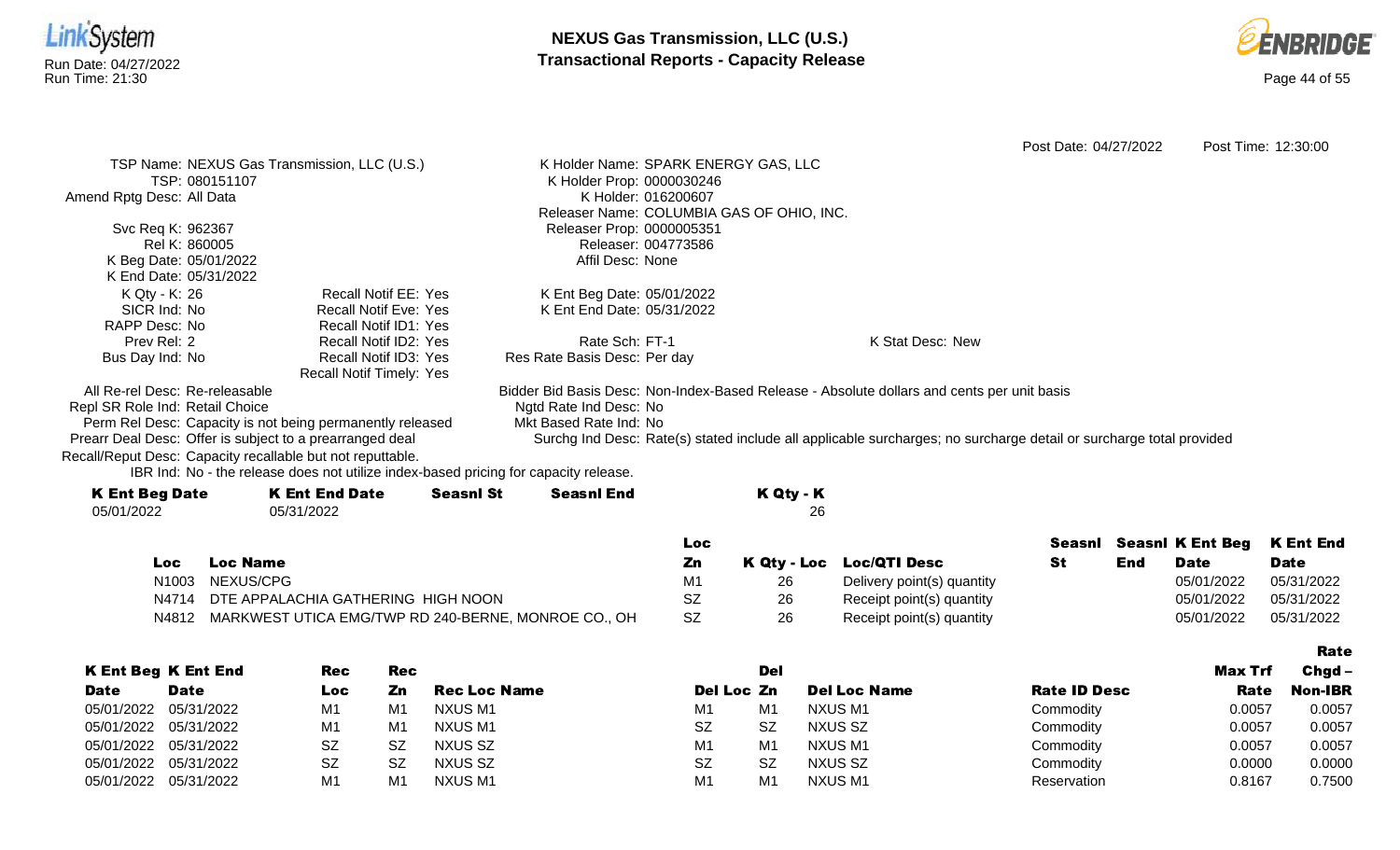



Rate

Post Date: 04/27/2022 Post Time: 12:30:00 TSP Name: NEXUS Gas Transmission, LLC (U.S.) TSP: 080151107 Amend Rptg Desc: All Data Svc Req K: 962367 Rel K: 860005 K Beg Date: 05/01/2022 K End Date: 05/31/2022 K Holder Name: SPARK ENERGY GAS, LLC K Holder Prop: 0000030246 K Holder: 016200607 Releaser Name: COLUMBIA GAS OF OHIO, INC. Releaser Prop: 0000005351 Releaser: 004773586 Affil Desc: None K Qty - K: 26 SICR Ind: No RAPP Desc: No Prev Rel: 2 Bus Day Ind: No Recall Notif EE: Yes Recall Notif Eve: Yes Recall Notif ID1: Yes Recall Notif ID2: Yes Recall Notif ID3: Yes Recall Notif Timely: Yes K Ent Beg Date: 05/01/2022 K Ent End Date: 05/31/2022 Rate Sch: FT-1 Res Rate Basis Desc: Per day K Stat Desc: New All Re-rel Desc: Re-releasable Repl SR Role Ind: Retail Choice Perm Rel Desc: Capacity is not being permanently released Prearr Deal Desc: Offer is subject to a prearranged deal Bidder Bid Basis Desc: Non-Index-Based Release - Absolute dollars and cents per unit basis Ngtd Rate Ind Desc: No Mkt Based Rate Ind: No Surchg Ind Desc: Rate(s) stated include all applicable surcharges; no surcharge detail or surcharge total provided

Recall/Reput Desc: Capacity recallable but not reputtable.

| <b>K Ent Beg Date</b> | <b>K Ent End Date</b> | <b>Seasnl St</b> | Seasnl End | K Qty - K |
|-----------------------|-----------------------|------------------|------------|-----------|
| 05/01/2022            | 05/31/2022            |                  |            | 26        |
|                       |                       |                  |            |           |

|     |                                                           | Loc |    |                            |     |             | Seasni Seasni K Ent Beg K Ent End |
|-----|-----------------------------------------------------------|-----|----|----------------------------|-----|-------------|-----------------------------------|
| Loc | <b>Loc Name</b>                                           |     |    | K Qty - Loc Loc/QTI Desc   | End | <b>Date</b> | <b>Date</b>                       |
|     | N1003 NEXUS/CPG                                           |     |    | Delivery point(s) quantity |     | 05/01/2022  | 05/31/2022                        |
|     | N4714 DTE APPALACHIA GATHERING HIGH NOON                  |     | 26 | Receipt point(s) quantity  |     | 05/01/2022  | 05/31/2022                        |
|     | N4812 MARKWEST UTICA EMG/TWP RD 240-BERNE, MONROE CO., OH | SZ  |    | Receipt point(s) quantity  |     | 05/01/2022  | 05/31/2022                        |

|                       |                            |                |     |              |                |                |                     |                     |         | .        |
|-----------------------|----------------------------|----------------|-----|--------------|----------------|----------------|---------------------|---------------------|---------|----------|
|                       | <b>K Ent Beg K Ent End</b> | <b>Rec</b>     | Rec |              |                | Del            |                     |                     | Max Trf | $Chgd -$ |
| <b>Date</b>           | <b>Date</b>                | Loc            | Zn  | Rec Loc Name | Del Loc Zn     |                | <b>Del Loc Name</b> | <b>Rate ID Desc</b> | Rate    | Non-IBR  |
| 05/01/2022            | 05/31/2022                 | M <sup>1</sup> | M1  | NXUS M1      | M <sub>1</sub> | M <sub>1</sub> | NXUS M1             | Commodity           | 0.0057  | 0.0057   |
| 05/01/2022 05/31/2022 |                            | M1             | M1  | NXUS M1      | <b>SZ</b>      | <b>SZ</b>      | NXUS SZ             | Commodity           | 0.0057  | 0.0057   |
| 05/01/2022 05/31/2022 |                            | <b>SZ</b>      | SZ  | NXUS SZ      | M <sub>1</sub> | M <sub>1</sub> | NXUS M1             | Commodity           | 0.0057  | 0.0057   |
| 05/01/2022 05/31/2022 |                            | <b>SZ</b>      | SZ  | NXUS SZ      | <b>SZ</b>      | <b>SZ</b>      | NXUS SZ             | Commodity           | 0.0000  | 0.0000   |
| 05/01/2022            | 05/31/2022                 | M1             | M1  | NXUS M1      | M <sub>1</sub> | M <sub>1</sub> | <b>NXUS M1</b>      | Reservation         | 0.8167  | 0.7500   |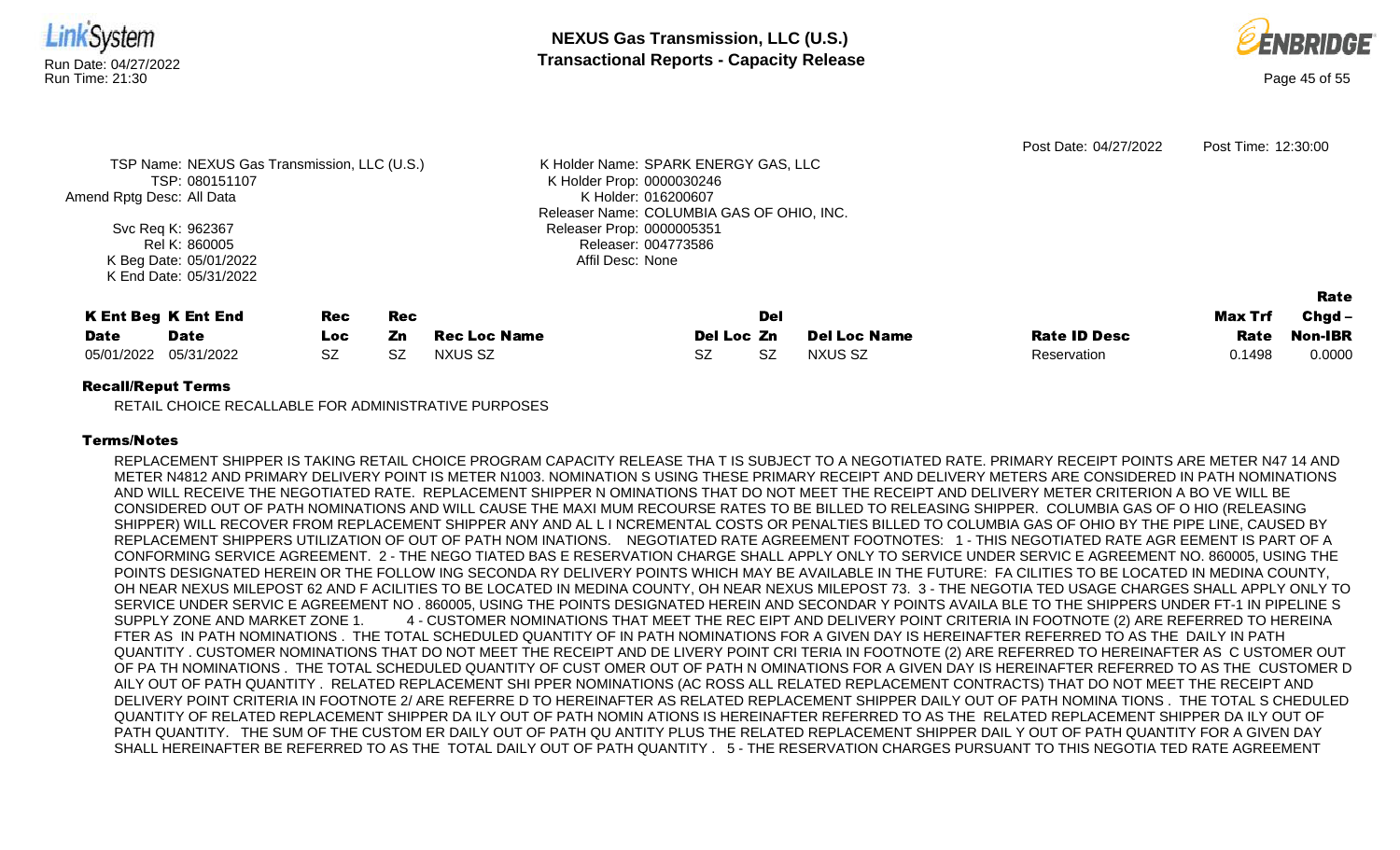



|                           |                                              |           |           |                     |                                           |     |                     | Post Date: 04/27/2022 | Post Time: 12:30:00 |                |
|---------------------------|----------------------------------------------|-----------|-----------|---------------------|-------------------------------------------|-----|---------------------|-----------------------|---------------------|----------------|
|                           | TSP Name: NEXUS Gas Transmission, LLC (U.S.) |           |           |                     | K Holder Name: SPARK ENERGY GAS, LLC      |     |                     |                       |                     |                |
|                           | TSP: 080151107                               |           |           |                     | K Holder Prop: 0000030246                 |     |                     |                       |                     |                |
| Amend Rptg Desc: All Data |                                              |           |           |                     | K Holder: 016200607                       |     |                     |                       |                     |                |
|                           |                                              |           |           |                     | Releaser Name: COLUMBIA GAS OF OHIO, INC. |     |                     |                       |                     |                |
|                           | Svc Req K: 962367                            |           |           |                     | Releaser Prop: 0000005351                 |     |                     |                       |                     |                |
|                           | Rel K: 860005                                |           |           |                     | Releaser: 004773586                       |     |                     |                       |                     |                |
|                           | K Beg Date: 05/01/2022                       |           |           |                     | Affil Desc: None                          |     |                     |                       |                     |                |
|                           | K End Date: 05/31/2022                       |           |           |                     |                                           |     |                     |                       |                     |                |
|                           |                                              |           |           |                     |                                           |     |                     |                       |                     | Rate           |
|                           |                                              |           |           |                     |                                           |     |                     |                       |                     |                |
|                           | <b>K Ent Beg K Ent End</b>                   | Rec       | Rec       |                     |                                           | Del |                     |                       | Max Trf             | $Chgd -$       |
| <b>Date</b>               | <b>Date</b>                                  | Loc.      | Zn        | <b>Rec Loc Name</b> | Del Loc Zn                                |     | <b>Del Loc Name</b> | <b>Rate ID Desc</b>   | Rate                | <b>Non-IBR</b> |
| 05/01/2022                | 05/31/2022                                   | <b>SZ</b> | <b>SZ</b> | NXUS SZ             | <b>SZ</b>                                 | SZ  | NXUS SZ             | Reservation           | 0.1498              | 0.0000         |
|                           |                                              |           |           |                     |                                           |     |                     |                       |                     |                |

RETAIL CHOICE RECALLABLE FOR ADMINISTRATIVE PURPOSES

## Terms/Notes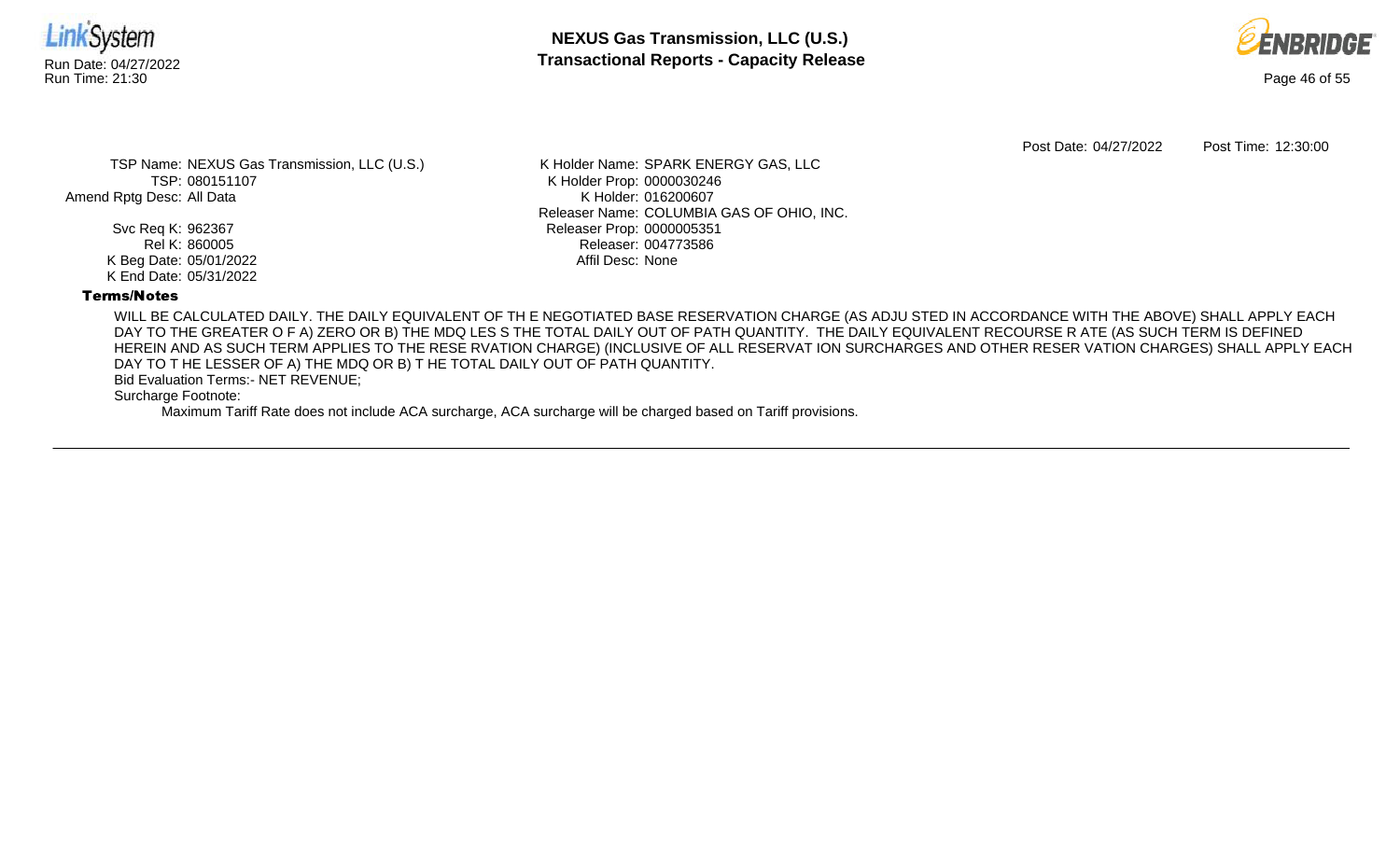



Post Date: 04/27/2022 Post Time: 12:30:00

TSP Name: NEXUS Gas Transmission, LLC (U.S.) TSP: 080151107 Amend Rptg Desc: All Data

> Svc Req K: 962367 Rel K: 860005 K Beg Date: 05/01/2022 K End Date: 05/31/2022

K Holder Name: SPARK ENERGY GAS, LLC K Holder Prop: 0000030246 K Holder: 016200607 Releaser Name: COLUMBIA GAS OF OHIO, INC. Releaser Prop: 0000005351 Releaser: 004773586 Affil Desc: None

## Terms/Notes

WILL BE CALCULATED DAILY. THE DAILY EQUIVALENT OF TH E NEGOTIATED BASE RESERVATION CHARGE (AS ADJU STED IN ACCORDANCE WITH THE ABOVE) SHALL APPLY EACH DAY TO THE GREATER O F A) ZERO OR B) THE MDQ LES S THE TOTAL DAILY OUT OF PATH QUANTITY. THE DAILY EQUIVALENT RECOURSE R ATE (AS SUCH TERM IS DEFINED HEREIN AND AS SUCH TERM APPLIES TO THE RESE RVATION CHARGE) (INCLUSIVE OF ALL RESERVAT ION SURCHARGES AND OTHER RESER VATION CHARGES) SHALL APPLY EACH DAY TO T HE LESSER OF A) THE MDQ OR B) T HE TOTAL DAILY OUT OF PATH QUANTITY.

Bid Evaluation Terms:- NET REVENUE;

Surcharge Footnote: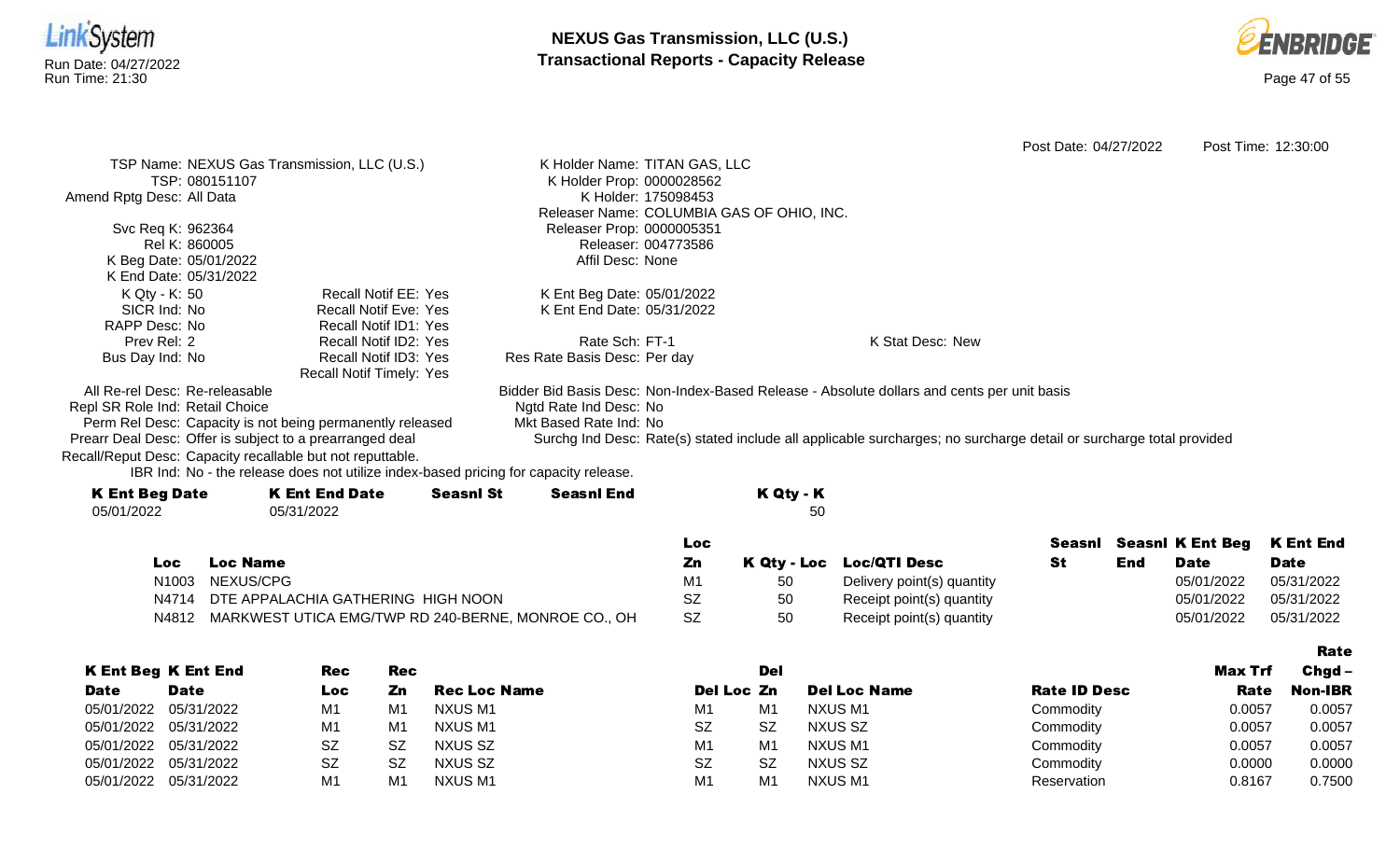



|                                 |                                                                                      |                  |                                                                                                                    |           |                          | Post Date: 04/27/2022 |     |                         | Post Time: 12:30:00 |
|---------------------------------|--------------------------------------------------------------------------------------|------------------|--------------------------------------------------------------------------------------------------------------------|-----------|--------------------------|-----------------------|-----|-------------------------|---------------------|
|                                 | TSP Name: NEXUS Gas Transmission, LLC (U.S.)                                         |                  | K Holder Name: TITAN GAS, LLC                                                                                      |           |                          |                       |     |                         |                     |
|                                 | TSP: 080151107                                                                       |                  | K Holder Prop: 0000028562                                                                                          |           |                          |                       |     |                         |                     |
| Amend Rptg Desc: All Data       |                                                                                      |                  | K Holder: 175098453                                                                                                |           |                          |                       |     |                         |                     |
|                                 |                                                                                      |                  | Releaser Name: COLUMBIA GAS OF OHIO, INC.                                                                          |           |                          |                       |     |                         |                     |
| Svc Req K: 962364               |                                                                                      |                  | Releaser Prop: 0000005351                                                                                          |           |                          |                       |     |                         |                     |
| Rel K: 860005                   |                                                                                      |                  | Releaser: 004773586                                                                                                |           |                          |                       |     |                         |                     |
| K Beg Date: 05/01/2022          |                                                                                      |                  | Affil Desc: None                                                                                                   |           |                          |                       |     |                         |                     |
| K End Date: 05/31/2022          |                                                                                      |                  |                                                                                                                    |           |                          |                       |     |                         |                     |
| K Qty - K: 50                   | <b>Recall Notif EE: Yes</b>                                                          |                  | K Ent Beg Date: 05/01/2022                                                                                         |           |                          |                       |     |                         |                     |
| SICR Ind: No                    | <b>Recall Notif Eve: Yes</b>                                                         |                  | K Ent End Date: 05/31/2022                                                                                         |           |                          |                       |     |                         |                     |
| RAPP Desc: No                   | Recall Notif ID1: Yes                                                                |                  |                                                                                                                    |           |                          |                       |     |                         |                     |
| Prev Rel: 2                     | Recall Notif ID2: Yes                                                                |                  | Rate Sch: FT-1                                                                                                     |           | K Stat Desc: New         |                       |     |                         |                     |
| Bus Day Ind: No                 | Recall Notif ID3: Yes                                                                |                  | Res Rate Basis Desc: Per day                                                                                       |           |                          |                       |     |                         |                     |
|                                 | Recall Notif Timely: Yes                                                             |                  |                                                                                                                    |           |                          |                       |     |                         |                     |
| All Re-rel Desc: Re-releasable  |                                                                                      |                  | Bidder Bid Basis Desc: Non-Index-Based Release - Absolute dollars and cents per unit basis                         |           |                          |                       |     |                         |                     |
| Repl SR Role Ind: Retail Choice |                                                                                      |                  | Ngtd Rate Ind Desc: No                                                                                             |           |                          |                       |     |                         |                     |
|                                 | Perm Rel Desc: Capacity is not being permanently released                            |                  | Mkt Based Rate Ind: No                                                                                             |           |                          |                       |     |                         |                     |
|                                 | Prearr Deal Desc: Offer is subject to a prearranged deal                             |                  | Surchg Ind Desc: Rate(s) stated include all applicable surcharges; no surcharge detail or surcharge total provided |           |                          |                       |     |                         |                     |
|                                 | Recall/Reput Desc: Capacity recallable but not reputtable.                           |                  |                                                                                                                    |           |                          |                       |     |                         |                     |
|                                 | IBR Ind: No - the release does not utilize index-based pricing for capacity release. |                  |                                                                                                                    |           |                          |                       |     |                         |                     |
| <b>K Ent Beg Date</b>           | <b>K Ent End Date</b>                                                                | <b>Seasnl St</b> | <b>Seasnl End</b>                                                                                                  | K Qty - K |                          |                       |     |                         |                     |
| 05/01/2022                      | 05/31/2022                                                                           |                  |                                                                                                                    | 50        |                          |                       |     |                         |                     |
|                                 |                                                                                      |                  |                                                                                                                    |           |                          |                       |     |                         |                     |
|                                 |                                                                                      |                  | Loc                                                                                                                |           |                          | Seasnl                |     | <b>Seasni K Ent Beg</b> | <b>K Ent End</b>    |
| Loc.                            | <b>Loc Name</b>                                                                      |                  | Zn                                                                                                                 |           | K Qty - Loc Loc/QTI Desc | <b>St</b>             | End | <b>Date</b>             | <b>Date</b>         |

| Loc   | Loc Name                                            | Ζn             |    | K Qty - Loc Loc/QTI Desc   | End | <b>Date</b> | Date       |
|-------|-----------------------------------------------------|----------------|----|----------------------------|-----|-------------|------------|
|       | N1003 NEXUS/CPG                                     | M <sup>1</sup> |    | Delivery point(s) quantity |     | 05/01/2022  | 05/31/2022 |
|       | N4714 DTE APPALACHIA GATHERING HIGH NOON            | SZ             | 50 | Receipt point(s) quantity  |     | 05/01/2022  | 05/31/2022 |
| N4812 | MARKWEST UTICA EMG/TWP RD 240-BERNE, MONROE CO., OH |                | 50 | Receipt point(s) quantity  |     | 05/01/2022  | 05/31/2022 |

|                       |                            |           |     |                     |                |                |                     |                     |                | Rate           |
|-----------------------|----------------------------|-----------|-----|---------------------|----------------|----------------|---------------------|---------------------|----------------|----------------|
|                       | <b>K Ent Beg K Ent End</b> | Rec       | Rec |                     |                | Del            |                     |                     | <b>Max Trf</b> | $Chgd -$       |
| <b>Date</b>           | <b>Date</b>                | Loc       | Zn  | <b>Rec Loc Name</b> | Del Loc Zn     |                | <b>Del Loc Name</b> | <b>Rate ID Desc</b> | Rate           | <b>Non-IBR</b> |
|                       | 05/01/2022 05/31/2022      | M1        | M1  | NXUS M1             | M1             | M1             | NXUS M1             | Commodity           | 0.0057         | 0.0057         |
|                       | 05/01/2022 05/31/2022      | M1        | M1  | NXUS M1             | <b>SZ</b>      | <b>SZ</b>      | NXUS SZ             | Commodity           | 0.0057         | 0.0057         |
| 05/01/2022 05/31/2022 |                            | SZ        | .SZ | NXUS SZ             | M1             | M1             | NXUS M1             | Commodity           | 0.0057         | 0.0057         |
|                       | 05/01/2022 05/31/2022      | <b>SZ</b> | -SZ | NXUS SZ             | <b>SZ</b>      | <b>SZ</b>      | NXUS SZ             | Commodity           | 0.0000         | 0.0000         |
| 05/01/2022 05/31/2022 |                            | M1        | M1  | NXUS M1             | M <sub>1</sub> | M <sub>1</sub> | NXUS M1             | Reservation         | 0.8167         | 0.7500         |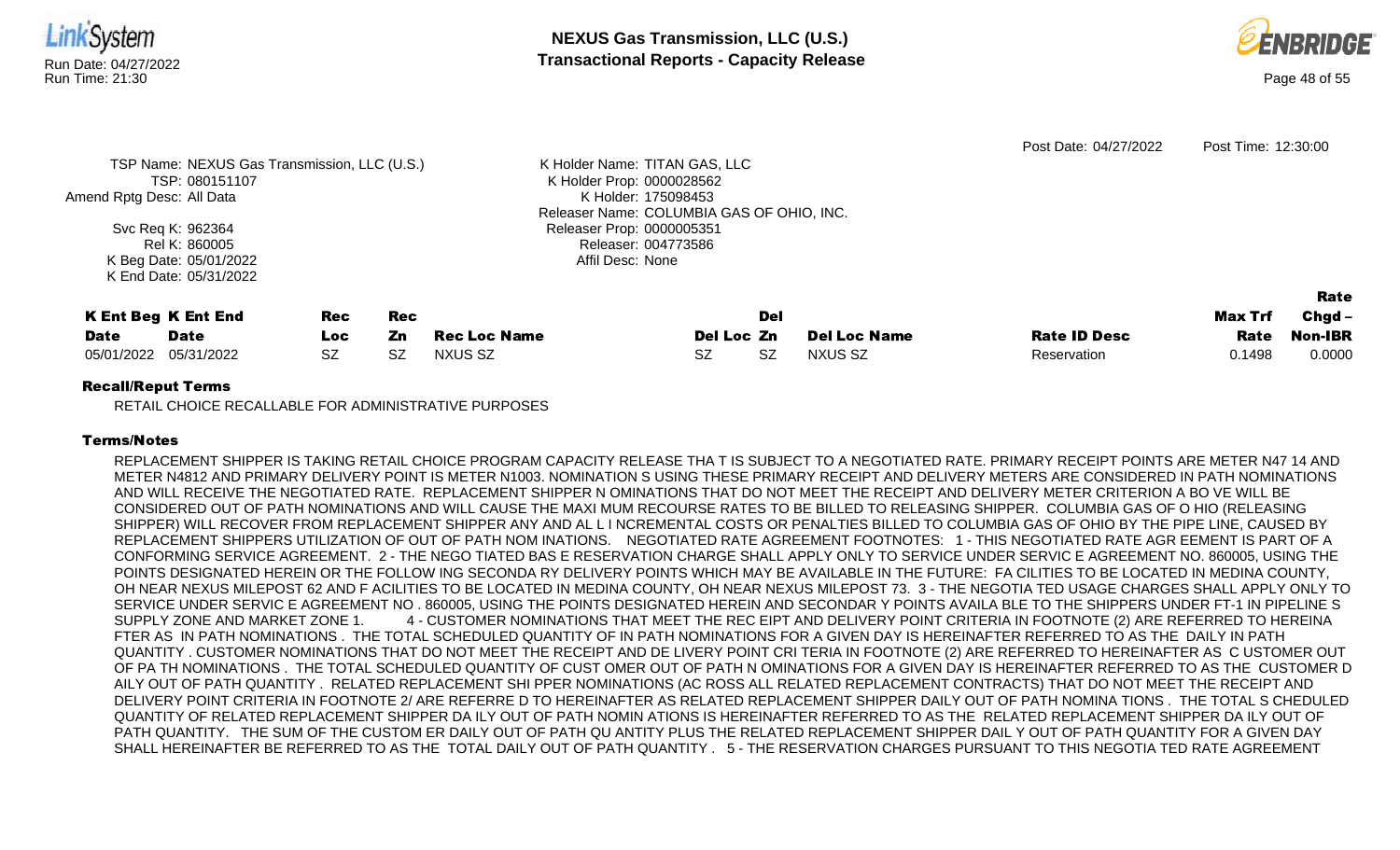



| Amend Rptg Desc: All Data | TSP Name: NEXUS Gas Transmission, LLC (U.S.)<br>TSP: 080151107<br>Svc Req K: 962364<br>Rel K: 860005<br>K Beg Date: 05/01/2022 |                          |                        |                                | K Holder Name: TITAN GAS, LLC<br>K Holder Prop: 0000028562<br>K Holder: 175098453<br>Releaser Name: COLUMBIA GAS OF OHIO, INC.<br>Releaser Prop: 0000005351<br>Releaser: 004773586<br>Affil Desc: None |                  |                                       | Post Date: 04/27/2022              | Post Time: 12:30:00       |                                       |
|---------------------------|--------------------------------------------------------------------------------------------------------------------------------|--------------------------|------------------------|--------------------------------|--------------------------------------------------------------------------------------------------------------------------------------------------------------------------------------------------------|------------------|---------------------------------------|------------------------------------|---------------------------|---------------------------------------|
| <b>Date</b><br>05/01/2022 | K End Date: 05/31/2022<br><b>K Ent Beg K Ent End</b><br><b>Date</b><br>05/31/2022                                              | Rec<br>Loc.<br><b>SZ</b> | Rec<br>Zn<br><b>SZ</b> | <b>Rec Loc Name</b><br>NXUS SZ | Del Loc Zn<br>SZ.                                                                                                                                                                                      | Del<br><b>SZ</b> | <b>Del Loc Name</b><br><b>NXUS SZ</b> | <b>Rate ID Desc</b><br>Reservation | Max Trf<br>Rate<br>0.1498 | Rate<br>$Chgd -$<br>Non-IBR<br>0.0000 |

RETAIL CHOICE RECALLABLE FOR ADMINISTRATIVE PURPOSES

## Terms/Notes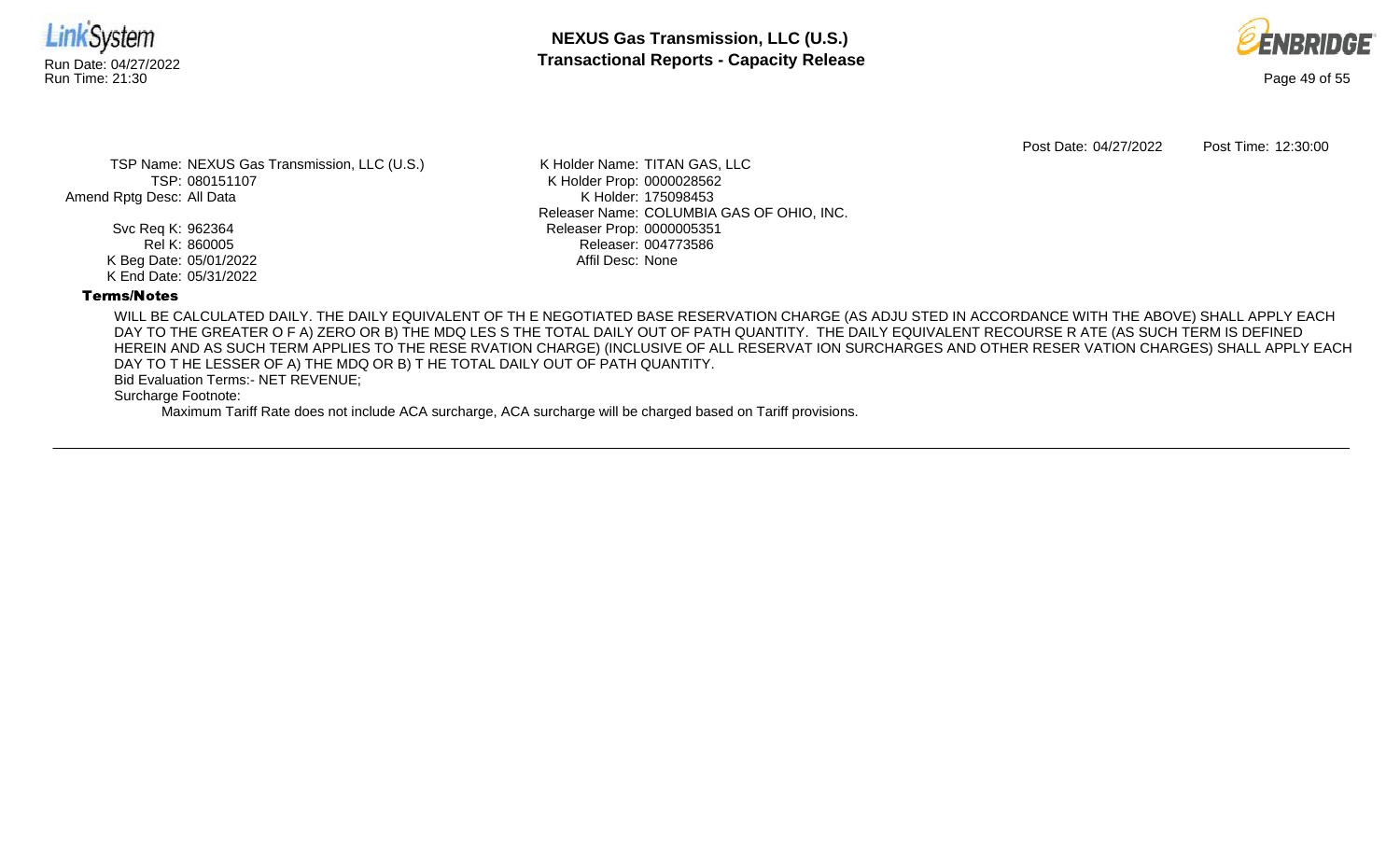



Post Date: 04/27/2022 Post Time: 12:30:00

TSP Name: NEXUS Gas Transmission, LLC (U.S.) TSP: 080151107 Amend Rptg Desc: All Data

> Svc Req K: 962364 Rel K: 860005 K Beg Date: 05/01/2022 K End Date: 05/31/2022

K Holder Name: TITAN GAS, LLC K Holder Prop: 0000028562 K Holder: 175098453 Releaser Name: COLUMBIA GAS OF OHIO, INC. Releaser Prop: 0000005351 Releaser: 004773586 Affil Desc: None

## Terms/Notes

WILL BE CALCULATED DAILY. THE DAILY EQUIVALENT OF TH E NEGOTIATED BASE RESERVATION CHARGE (AS ADJU STED IN ACCORDANCE WITH THE ABOVE) SHALL APPLY EACH DAY TO THE GREATER O F A) ZERO OR B) THE MDQ LES S THE TOTAL DAILY OUT OF PATH QUANTITY. THE DAILY EQUIVALENT RECOURSE R ATE (AS SUCH TERM IS DEFINED HEREIN AND AS SUCH TERM APPLIES TO THE RESE RVATION CHARGE) (INCLUSIVE OF ALL RESERVAT ION SURCHARGES AND OTHER RESER VATION CHARGES) SHALL APPLY EACH DAY TO T HE LESSER OF A) THE MDQ OR B) T HE TOTAL DAILY OUT OF PATH QUANTITY.

Bid Evaluation Terms:- NET REVENUE;

Surcharge Footnote: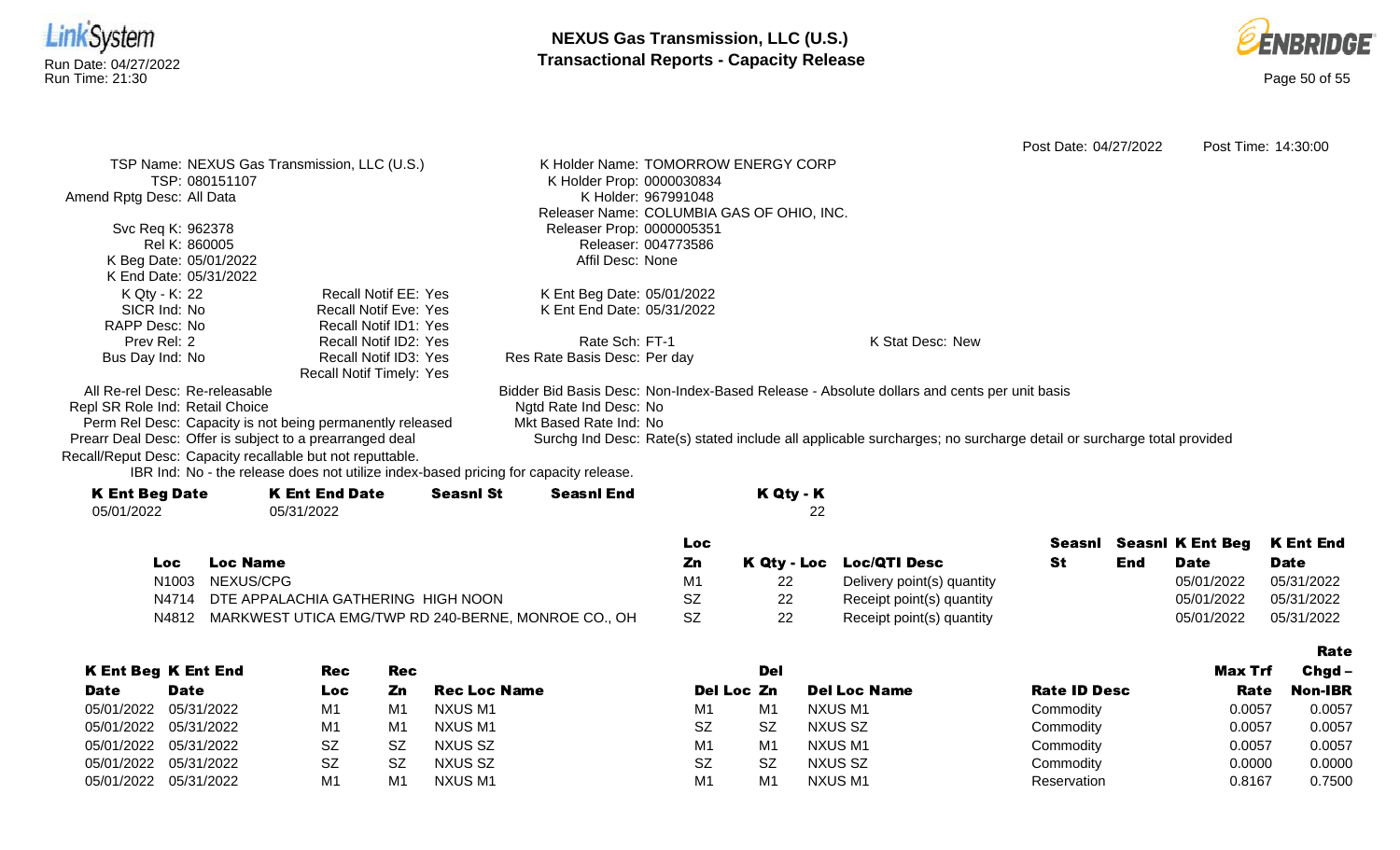



Rate

Post Date: 04/27/2022 Post Time: 14:30:00 TSP Name: NEXUS Gas Transmission, LLC (U.S.) TSP: 080151107 Amend Rptg Desc: All Data Svc Req K: 962378 Rel K: 860005 K Beg Date: 05/01/2022 K End Date: 05/31/2022 K Holder Name: TOMORROW ENERGY CORP K Holder Prop: 0000030834 K Holder: 967991048 Releaser Name: COLUMBIA GAS OF OHIO, INC. Releaser Prop: 0000005351 Releaser: 004773586 Affil Desc: None K Qty - K: 22 SICR Ind: No RAPP Desc: No Prev Rel: 2 Bus Day Ind: No Recall Notif EE: Yes Recall Notif Eve: Yes Recall Notif ID1: Yes Recall Notif ID2: Yes Recall Notif ID3: Yes Recall Notif Timely: Yes K Ent Beg Date: 05/01/2022 K Ent End Date: 05/31/2022 Rate Sch: FT-1 Res Rate Basis Desc: Per day K Stat Desc: New All Re-rel Desc: Re-releasable Repl SR Role Ind: Retail Choice Perm Rel Desc: Capacity is not being permanently released Prearr Deal Desc: Offer is subject to a prearranged deal Bidder Bid Basis Desc: Non-Index-Based Release - Absolute dollars and cents per unit basis Ngtd Rate Ind Desc: No Mkt Based Rate Ind: No Surchg Ind Desc: Rate(s) stated include all applicable surcharges; no surcharge detail or surcharge total provided Recall/Reput Desc: Capacity recallable but not reputtable.

| <b>K Ent Beg Date</b> | <b>K Ent End Date</b> | <b>Seasnl St</b> | <b>Seasnl End</b> | K Qty - K |
|-----------------------|-----------------------|------------------|-------------------|-----------|
| 05/01/2022            | 05/31/2022            |                  |                   |           |
|                       |                       |                  |                   |           |

|     |                                                           | LOC.      |    |                            |     |             | Seasni Seasni K Ent Beg K Ent End |
|-----|-----------------------------------------------------------|-----------|----|----------------------------|-----|-------------|-----------------------------------|
| Loc | <b>Loc Name</b>                                           | Ζn        |    | K Qty - Loc Loc/QTI Desc   | End | <b>Date</b> | <b>Date</b>                       |
|     | N1003 NEXUS/CPG                                           |           |    | Delivery point(s) quantity |     | 05/01/2022  | 05/31/2022                        |
|     | N4714 DTE APPALACHIA GATHERING HIGH NOON                  |           | 22 | Receipt point(s) quantity  |     | 05/01/2022  | 05/31/2022                        |
|     | N4812 MARKWEST UTICA EMG/TWP RD 240-BERNE, MONROE CO., OH | <b>SZ</b> | 22 | Receipt point(s) quantity  |     | 05/01/2022  | 05/31/2022                        |

|             |                            |                |                |                     |                |                |                     |              |         | ------   |
|-------------|----------------------------|----------------|----------------|---------------------|----------------|----------------|---------------------|--------------|---------|----------|
|             | <b>K Ent Beg K Ent End</b> | <b>Rec</b>     | <b>Rec</b>     |                     |                | Del            |                     |              | Max Trf | $Chgd -$ |
| <b>Date</b> | <b>Date</b>                | Loc            | Zn             | <b>Rec Loc Name</b> | Del Loc Zn     |                | <b>Del Loc Name</b> | Rate ID Desc | Rate    | Non-IBR  |
|             | 05/01/2022 05/31/2022      | M1             | M <sub>1</sub> | NXUS M1             | M1             | M <sub>1</sub> | NXUS M1             | Commodity    | 0.0057  | 0.0057   |
|             | 05/01/2022 05/31/2022      | M1             | M <sub>1</sub> | NXUS M1             | <b>SZ</b>      | <b>SZ</b>      | NXUS SZ             | Commodity    | 0.0057  | 0.0057   |
|             | 05/01/2022 05/31/2022      | <b>SZ</b>      | SZ             | NXUS SZ             | M <sub>1</sub> | M <sub>1</sub> | NXUS M1             | Commodity    | 0.0057  | 0.0057   |
|             | 05/01/2022 05/31/2022      | SZ             | SZ             | NXUS SZ             | <b>SZ</b>      | <b>SZ</b>      | NXUS SZ             | Commodity    | 0.0000  | 0.0000   |
|             | 05/01/2022 05/31/2022      | M <sub>1</sub> | M <sub>1</sub> | <b>NXUS M1</b>      | M <sub>1</sub> | M <sub>1</sub> | NXUS M1             | Reservation  | 0.8167  | 0.7500   |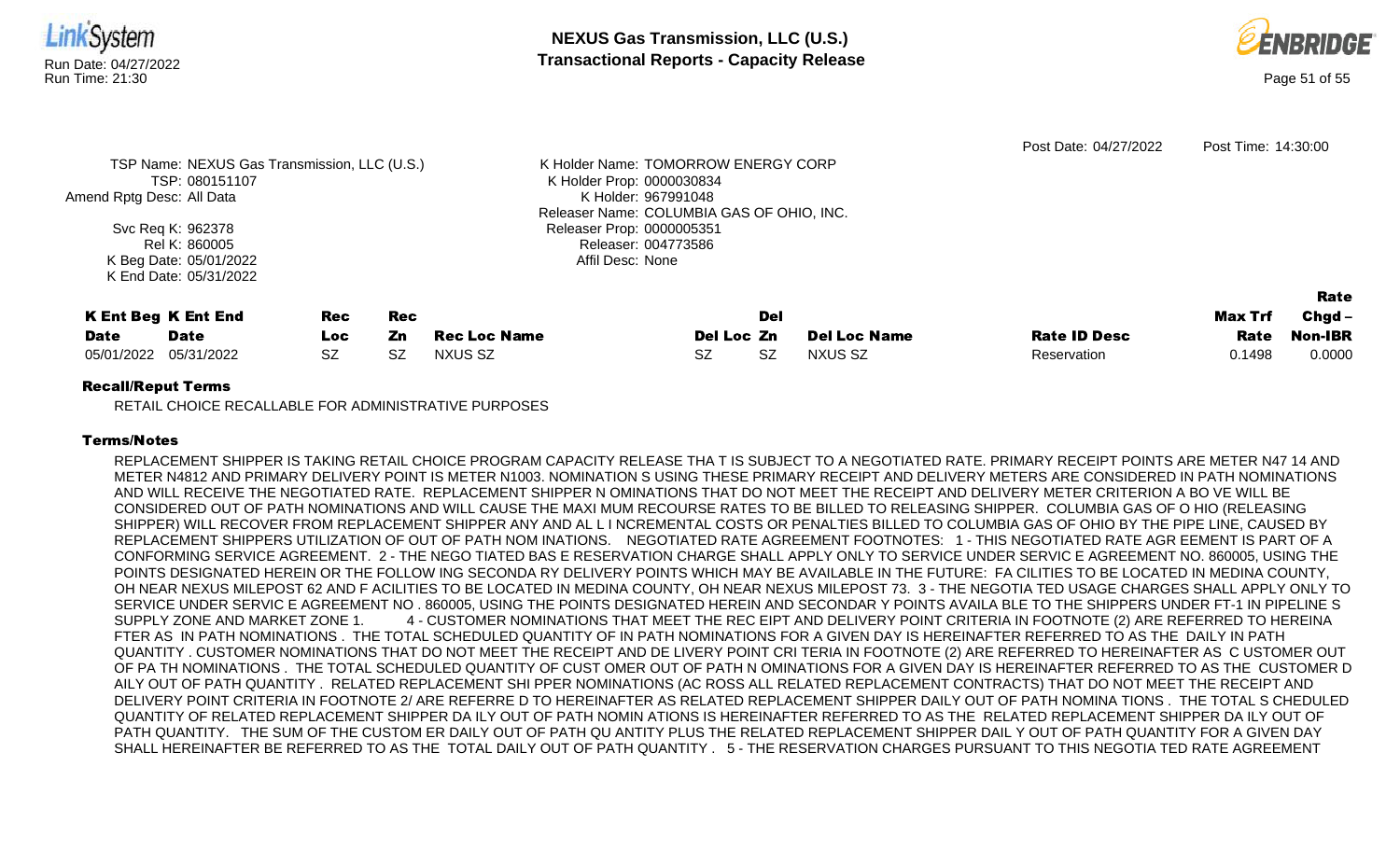

**NEXUS Gas Transmission, LLC (U.S.)** Run Date: 04/27/2022<br>Run Time: 21:30<br>Run Time: 21:30



|                                              |                        |            |           |                     |                                           |           |                     | Post Date: 04/27/2022 | Post Time: 14:30:00 |          |
|----------------------------------------------|------------------------|------------|-----------|---------------------|-------------------------------------------|-----------|---------------------|-----------------------|---------------------|----------|
| TSP Name: NEXUS Gas Transmission, LLC (U.S.) |                        |            |           |                     | K Holder Name: TOMORROW ENERGY CORP       |           |                     |                       |                     |          |
|                                              | TSP: 080151107         |            |           |                     | K Holder Prop: 0000030834                 |           |                     |                       |                     |          |
| Amend Rptg Desc: All Data                    |                        |            |           |                     | K Holder: 967991048                       |           |                     |                       |                     |          |
|                                              |                        |            |           |                     | Releaser Name: COLUMBIA GAS OF OHIO, INC. |           |                     |                       |                     |          |
|                                              | Svc Req K: 962378      |            |           |                     | Releaser Prop: 0000005351                 |           |                     |                       |                     |          |
|                                              | Rel K: 860005          |            |           |                     | Releaser: 004773586                       |           |                     |                       |                     |          |
|                                              | K Beg Date: 05/01/2022 |            |           |                     | Affil Desc: None                          |           |                     |                       |                     |          |
|                                              | K End Date: 05/31/2022 |            |           |                     |                                           |           |                     |                       |                     |          |
|                                              |                        |            |           |                     |                                           |           |                     |                       |                     | Rate     |
| <b>K Ent Beg K Ent End</b>                   |                        | <b>Rec</b> | Rec       |                     |                                           | Del       |                     |                       | <b>Max Trf</b>      | $Chgd -$ |
| <b>Date</b>                                  | <b>Date</b>            | Loc        | Zn        | <b>Rec Loc Name</b> | Del Loc Zn                                |           | <b>Del Loc Name</b> | <b>Rate ID Desc</b>   | <b>Rate</b>         | Non-IBR  |
| 05/01/2022                                   | 05/31/2022             | <b>SZ</b>  | <b>SZ</b> | NXUS SZ             | <b>SZ</b>                                 | <b>SZ</b> | NXUS SZ             | Reservation           | 0.1498              | 0.0000   |
|                                              |                        |            |           |                     |                                           |           |                     |                       |                     |          |

## Recall/Reput Terms

RETAIL CHOICE RECALLABLE FOR ADMINISTRATIVE PURPOSES

## Terms/Notes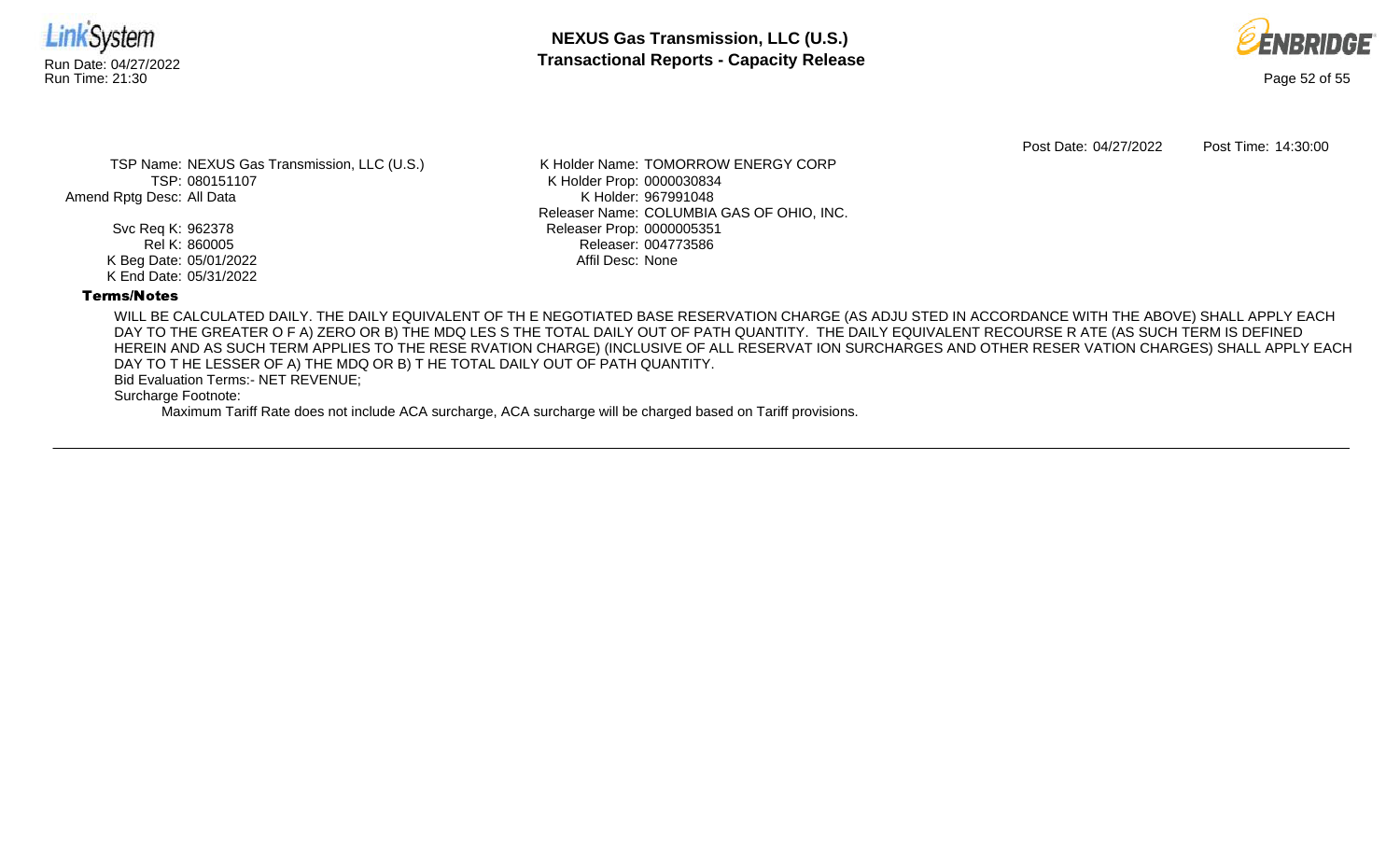



Post Date: 04/27/2022 Post Time: 14:30:00

TSP Name: NEXUS Gas Transmission, LLC (U.S.) TSP: 080151107 Amend Rptg Desc: All Data

> Svc Req K: 962378 Rel K: 860005 K Beg Date: 05/01/2022 K End Date: 05/31/2022

K Holder Name: TOMORROW ENERGY CORP K Holder Prop: 0000030834 K Holder: 967991048 Releaser Name: COLUMBIA GAS OF OHIO, INC. Releaser Prop: 0000005351 Releaser: 004773586 Affil Desc: None

## Terms/Notes

WILL BE CALCULATED DAILY. THE DAILY EQUIVALENT OF TH E NEGOTIATED BASE RESERVATION CHARGE (AS ADJU STED IN ACCORDANCE WITH THE ABOVE) SHALL APPLY EACH DAY TO THE GREATER O F A) ZERO OR B) THE MDQ LES S THE TOTAL DAILY OUT OF PATH QUANTITY. THE DAILY EQUIVALENT RECOURSE R ATE (AS SUCH TERM IS DEFINED HEREIN AND AS SUCH TERM APPLIES TO THE RESE RVATION CHARGE) (INCLUSIVE OF ALL RESERVAT ION SURCHARGES AND OTHER RESER VATION CHARGES) SHALL APPLY EACH DAY TO T HE LESSER OF A) THE MDQ OR B) T HE TOTAL DAILY OUT OF PATH QUANTITY.

Bid Evaluation Terms:- NET REVENUE;

Surcharge Footnote: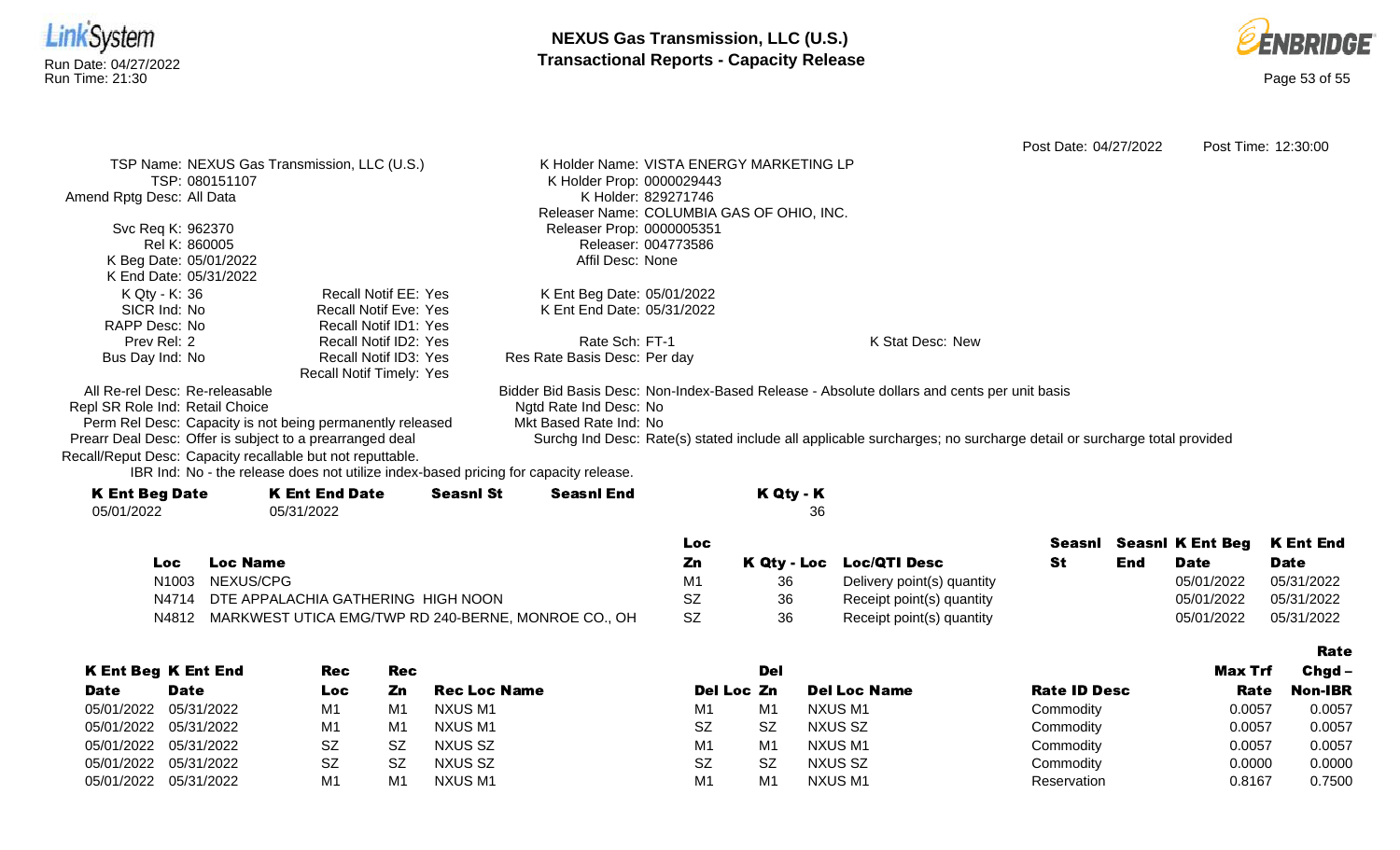



Rate

Post Date: 04/27/2022 Post Time: 12:30:00 TSP Name: NEXUS Gas Transmission, LLC (U.S.) TSP: 080151107 Amend Rptg Desc: All Data Svc Req K: 962370 Rel K: 860005 K Beg Date: 05/01/2022 K End Date: 05/31/2022 K Holder Name: VISTA ENERGY MARKETING LP K Holder Prop: 0000029443 K Holder: 829271746 Releaser Name: COLUMBIA GAS OF OHIO, INC. Releaser Prop: 0000005351 Releaser: 004773586 Affil Desc: None K Qty - K: 36 SICR Ind: No RAPP Desc: No Prev Rel: 2 Bus Day Ind: No Recall Notif EE: Yes Recall Notif Eve: Yes Recall Notif ID1: Yes Recall Notif ID2: Yes Recall Notif ID3: Yes Recall Notif Timely: Yes K Ent Beg Date: 05/01/2022 K Ent End Date: 05/31/2022 Rate Sch: FT-1 Res Rate Basis Desc: Per day K Stat Desc: New All Re-rel Desc: Re-releasable Repl SR Role Ind: Retail Choice Perm Rel Desc: Capacity is not being permanently released Prearr Deal Desc: Offer is subject to a prearranged deal Bidder Bid Basis Desc: Non-Index-Based Release - Absolute dollars and cents per unit basis Ngtd Rate Ind Desc: No Mkt Based Rate Ind: No Surchg Ind Desc: Rate(s) stated include all applicable surcharges; no surcharge detail or surcharge total provided Recall/Reput Desc: Capacity recallable but not reputtable.

| <b>K Ent Beg Date</b> | <b>K Ent End Date</b> | <b>Seasnl St</b> | <b>Seasnl End</b> | K Qty - K |
|-----------------------|-----------------------|------------------|-------------------|-----------|
| 05/01/2022            | 05/31/2022            |                  |                   | 36        |
|                       |                       |                  |                   |           |

|     |                                                           | <b>Loc</b> |    |                            |     |             | Seasni Seasni K Ent Beg K Ent End |
|-----|-----------------------------------------------------------|------------|----|----------------------------|-----|-------------|-----------------------------------|
| Loc | <b>Loc Name</b>                                           | Zn         |    | K Qty - Loc Loc/QTI Desc   | End | <b>Date</b> | <b>Date</b>                       |
|     | N <sub>1003</sub> NEXUS/CPG                               | М1         |    | Delivery point(s) quantity |     | 05/01/2022  | 05/31/2022                        |
|     | N4714 DTE APPALACHIA GATHERING HIGH NOON                  | SZ         | 36 | Receipt point(s) quantity  |     | 05/01/2022  | 05/31/2022                        |
|     | N4812 MARKWEST UTICA EMG/TWP RD 240-BERNE, MONROE CO., OH | SZ         | 36 | Receipt point(s) quantity  |     | 05/01/2022  | 05/31/2022                        |

|             |                            |            |     |              |                |           |                     |                     |         | ---------      |
|-------------|----------------------------|------------|-----|--------------|----------------|-----------|---------------------|---------------------|---------|----------------|
|             | <b>K Ent Beg K Ent End</b> | <b>Rec</b> | Rec |              |                | Del       |                     |                     | Max Trf | $Chgd -$       |
| <b>Date</b> | <b>Date</b>                | Loc        | Zn  | Rec Loc Name | Del Loc Zn     |           | <b>Del Loc Name</b> | <b>Rate ID Desc</b> | Rate    | <b>Non-IBR</b> |
| 05/01/2022  | 05/31/2022                 | M1         | M1  | NXUS M1      | M <sub>1</sub> | M1        | NXUS M1             | Commodity           | 0.0057  | 0.0057         |
|             | 05/01/2022 05/31/2022      | M1         | M1  | NXUS M1      | <b>SZ</b>      | <b>SZ</b> | NXUS SZ             | Commodity           | 0.0057  | 0.0057         |
|             | 05/01/2022 05/31/2022      | SZ         | SZ  | NXUS SZ      | M <sub>1</sub> | M1        | NXUS M1             | Commodity           | 0.0057  | 0.0057         |
| 05/01/2022  | 05/31/2022                 | <b>SZ</b>  | SZ  | NXUS SZ      | <b>SZ</b>      | SZ        | NXUS SZ             | Commodity           | 0.0000  | 0.0000         |
| 05/01/2022  | 05/31/2022                 | M1         | M1  | NXUS M1      | M <sub>1</sub> | M1        | <b>NXUS M1</b>      | Reservation         | 0.8167  | 0.7500         |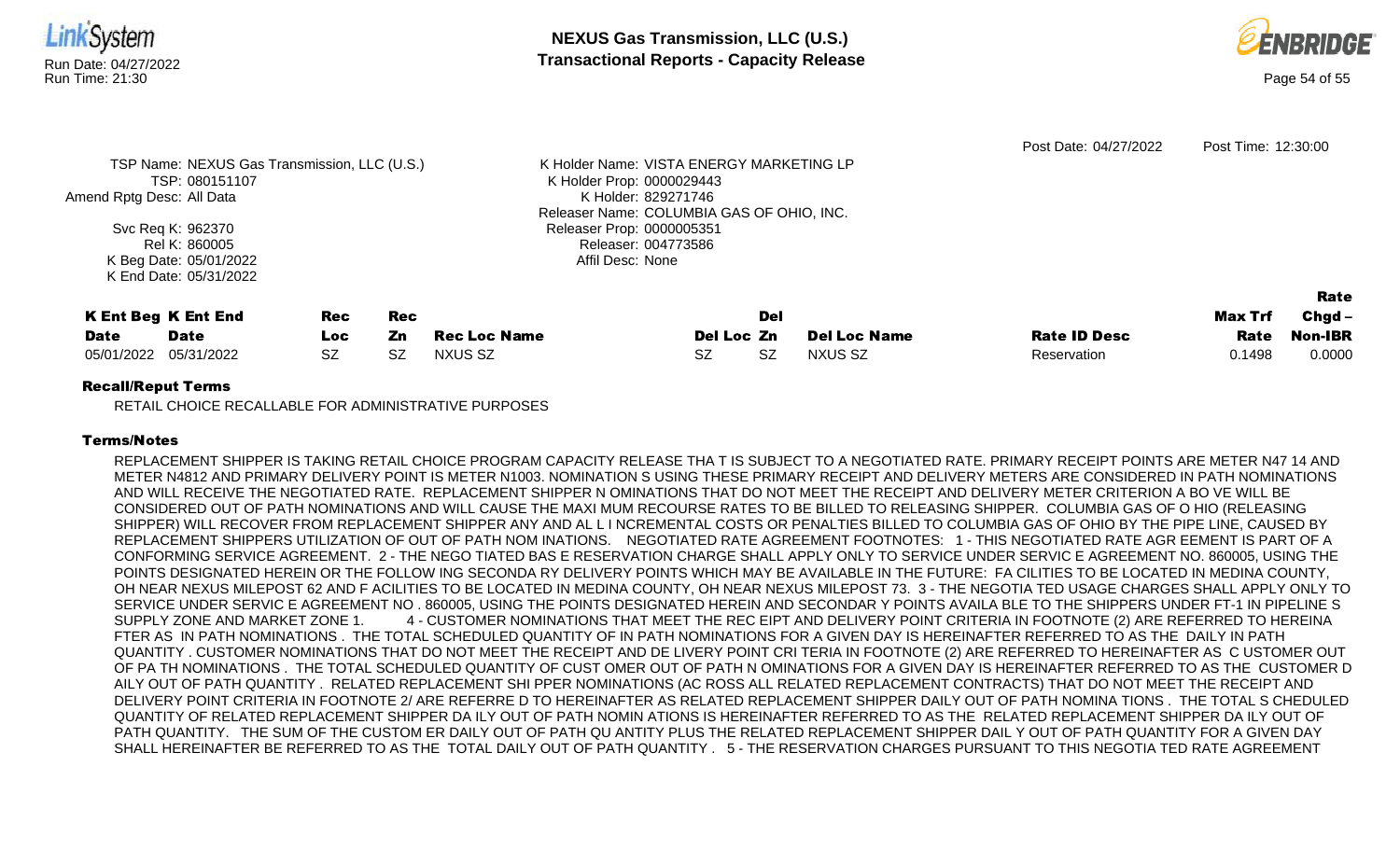

Releaser Prop: 0000005351 Releaser: 004773586 Affil Desc: None

Svc Req K: 962370 Rel K: 860005 K Beg Date: 05/01/2022 K End Date: 05/31/2022

K Ent Beg K Ent End **Date** Date Rec Loc Rec Zn Rec Loc Name Del Loc Zn Del **Del Loc Name Rate ID Desc** Max Trf Rate Rate Chgd-Non-IBR 05/01/2022 05/31/2022 SZ SZ NXUS SZ SZ SZ NXUS SZ Reservation 0.1498 0.0000

Releaser Name: COLUMBIA GAS OF OHIO, INC.

## Recall/Reput Terms

RETAIL CHOICE RECALLABLE FOR ADMINISTRATIVE PURPOSES

## Terms/Notes